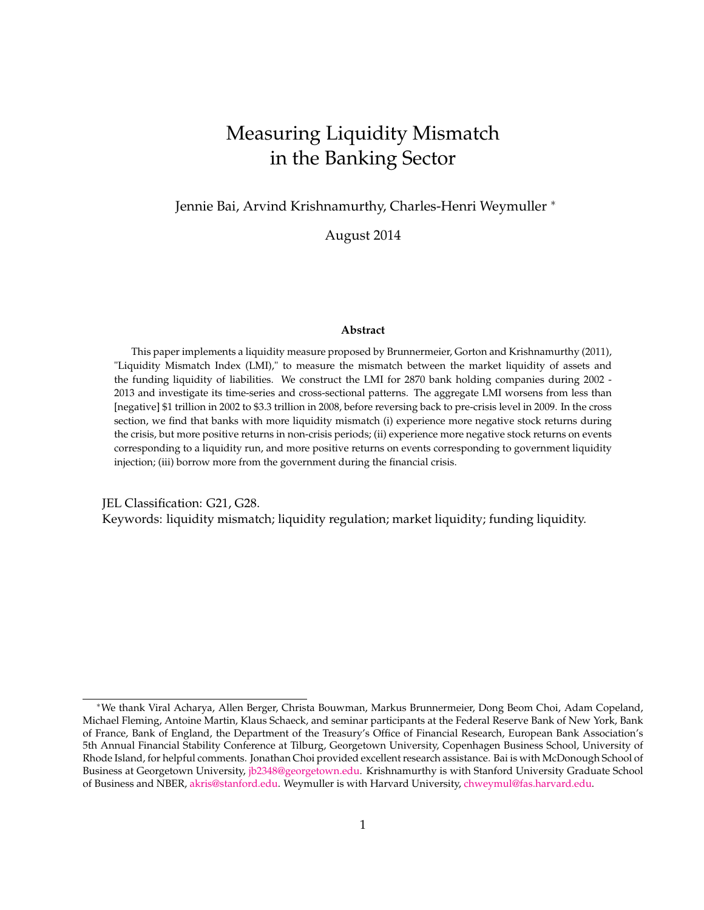# <span id="page-0-0"></span>Measuring Liquidity Mismatch in the Banking Sector

Jennie Bai, Arvind Krishnamurthy, Charles-Henri Weymuller <sup>∗</sup>

August 2014

#### **Abstract**

This paper implements a liquidity measure proposed by Brunnermeier, Gorton and Krishnamurthy (2011), "Liquidity Mismatch Index (LMI)," to measure the mismatch between the market liquidity of assets and the funding liquidity of liabilities. We construct the LMI for 2870 bank holding companies during 2002 - 2013 and investigate its time-series and cross-sectional patterns. The aggregate LMI worsens from less than [negative] \$1 trillion in 2002 to \$3.3 trillion in 2008, before reversing back to pre-crisis level in 2009. In the cross section, we find that banks with more liquidity mismatch (i) experience more negative stock returns during the crisis, but more positive returns in non-crisis periods; (ii) experience more negative stock returns on events corresponding to a liquidity run, and more positive returns on events corresponding to government liquidity injection; (iii) borrow more from the government during the financial crisis.

JEL Classification: G21, G28. Keywords: liquidity mismatch; liquidity regulation; market liquidity; funding liquidity.

<sup>∗</sup>We thank Viral Acharya, Allen Berger, Christa Bouwman, Markus Brunnermeier, Dong Beom Choi, Adam Copeland, Michael Fleming, Antoine Martin, Klaus Schaeck, and seminar participants at the Federal Reserve Bank of New York, Bank of France, Bank of England, the Department of the Treasury's Office of Financial Research, European Bank Association's 5th Annual Financial Stability Conference at Tilburg, Georgetown University, Copenhagen Business School, University of Rhode Island, for helpful comments. Jonathan Choi provided excellent research assistance. Bai is with McDonough School of Business at Georgetown University, [jb2348@georgetown.edu.](mailto:jb2348@georgetown.edu) Krishnamurthy is with Stanford University Graduate School of Business and NBER, [akris@stanford.edu.](mailto:jb2348@georgetown.edu) Weymuller is with Harvard University, [chweymul@fas.harvard.edu.](mailto:jb2348@georgetown.edu)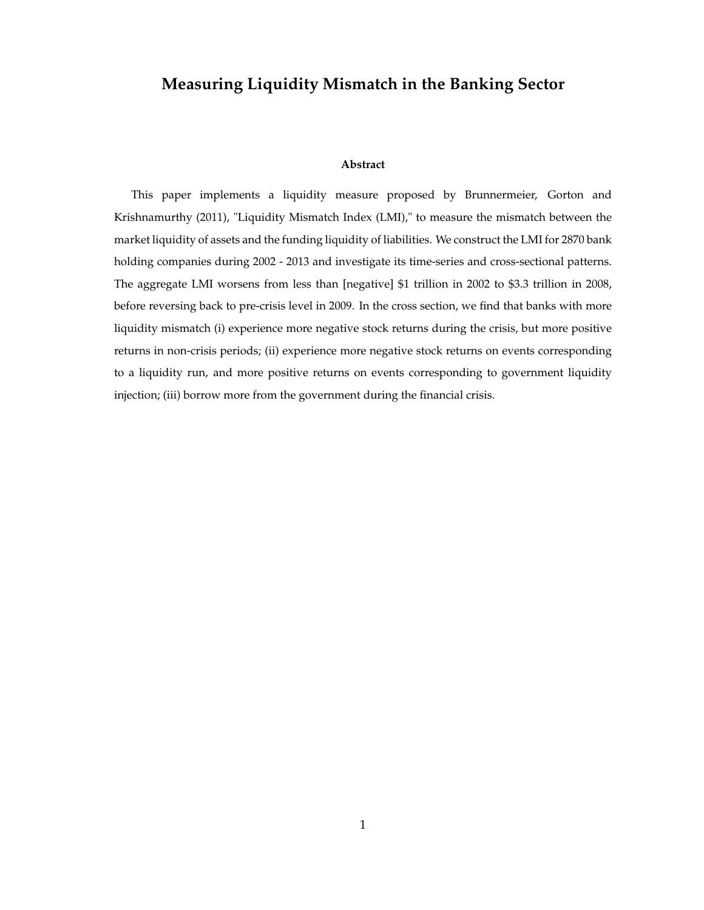# **Measuring Liquidity Mismatch in the Banking Sector**

#### **Abstract**

This paper implements a liquidity measure proposed by Brunnermeier, Gorton and Krishnamurthy (2011), "Liquidity Mismatch Index (LMI)," to measure the mismatch between the market liquidity of assets and the funding liquidity of liabilities. We construct the LMI for 2870 bank holding companies during 2002 - 2013 and investigate its time-series and cross-sectional patterns. The aggregate LMI worsens from less than [negative] \$1 trillion in 2002 to \$3.3 trillion in 2008, before reversing back to pre-crisis level in 2009. In the cross section, we find that banks with more liquidity mismatch (i) experience more negative stock returns during the crisis, but more positive returns in non-crisis periods; (ii) experience more negative stock returns on events corresponding to a liquidity run, and more positive returns on events corresponding to government liquidity injection; (iii) borrow more from the government during the financial crisis.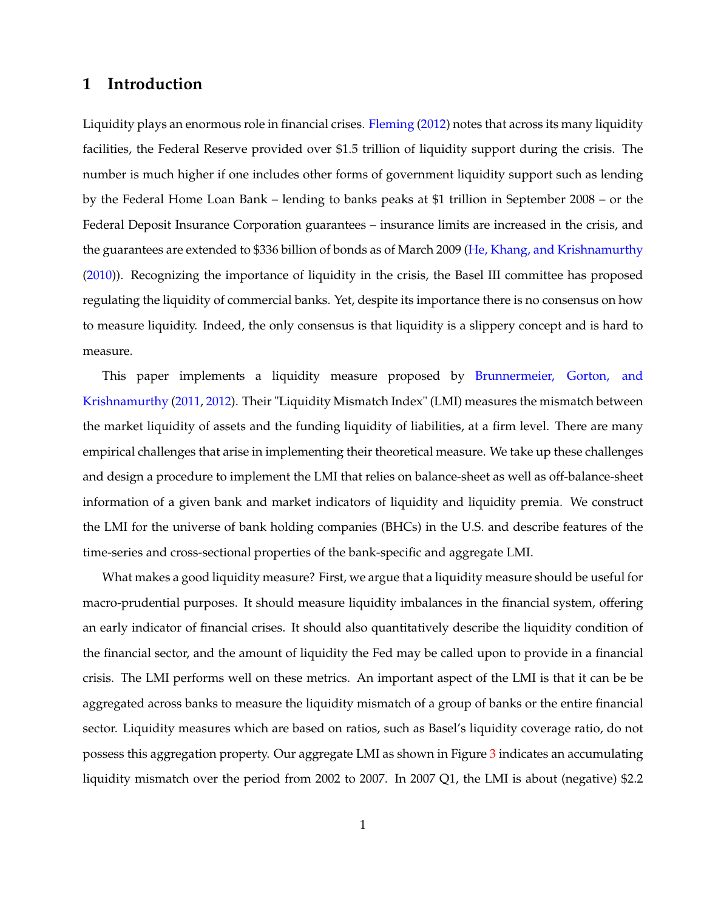# **1 Introduction**

Liquidity plays an enormous role in financial crises. [Fleming](#page-32-0) [\(2012\)](#page-32-0) notes that across its many liquidity facilities, the Federal Reserve provided over \$1.5 trillion of liquidity support during the crisis. The number is much higher if one includes other forms of government liquidity support such as lending by the Federal Home Loan Bank – lending to banks peaks at \$1 trillion in September 2008 – or the Federal Deposit Insurance Corporation guarantees – insurance limits are increased in the crisis, and the guarantees are extended to \$336 billion of bonds as of March 2009 [\(He, Khang, and Krishnamurthy](#page-32-1) [\(2010\)](#page-32-1)). Recognizing the importance of liquidity in the crisis, the Basel III committee has proposed regulating the liquidity of commercial banks. Yet, despite its importance there is no consensus on how to measure liquidity. Indeed, the only consensus is that liquidity is a slippery concept and is hard to measure.

This paper implements a liquidity measure proposed by [Brunnermeier, Gorton, and](#page-31-0) [Krishnamurthy](#page-31-0) [\(2011,](#page-31-0) [2012\)](#page-31-1). Their "Liquidity Mismatch Index" (LMI) measures the mismatch between the market liquidity of assets and the funding liquidity of liabilities, at a firm level. There are many empirical challenges that arise in implementing their theoretical measure. We take up these challenges and design a procedure to implement the LMI that relies on balance-sheet as well as off-balance-sheet information of a given bank and market indicators of liquidity and liquidity premia. We construct the LMI for the universe of bank holding companies (BHCs) in the U.S. and describe features of the time-series and cross-sectional properties of the bank-specific and aggregate LMI.

What makes a good liquidity measure? First, we argue that a liquidity measure should be useful for macro-prudential purposes. It should measure liquidity imbalances in the financial system, offering an early indicator of financial crises. It should also quantitatively describe the liquidity condition of the financial sector, and the amount of liquidity the Fed may be called upon to provide in a financial crisis. The LMI performs well on these metrics. An important aspect of the LMI is that it can be be aggregated across banks to measure the liquidity mismatch of a group of banks or the entire financial sector. Liquidity measures which are based on ratios, such as Basel's liquidity coverage ratio, do not possess this aggregation property. Our aggregate LMI as shown in Figure [3](#page-42-0) indicates an accumulating liquidity mismatch over the period from 2002 to 2007. In 2007 Q1, the LMI is about (negative) \$2.2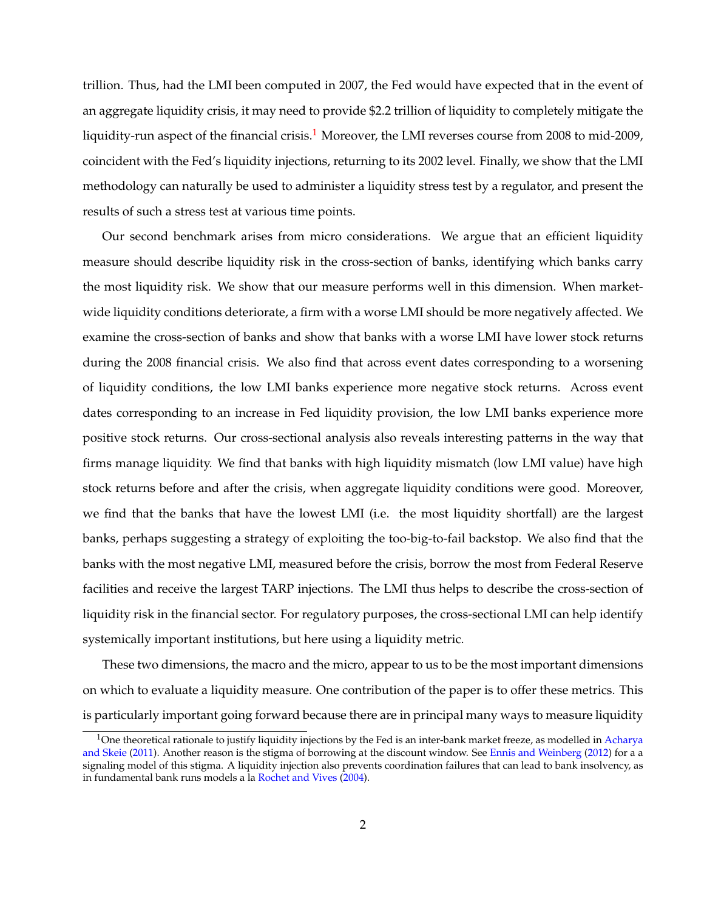trillion. Thus, had the LMI been computed in 2007, the Fed would have expected that in the event of an aggregate liquidity crisis, it may need to provide \$2.2 trillion of liquidity to completely mitigate the liquidity-run aspect of the financial crisis.<sup>[1](#page-0-0)</sup> Moreover, the LMI reverses course from 2008 to mid-2009, coincident with the Fed's liquidity injections, returning to its 2002 level. Finally, we show that the LMI methodology can naturally be used to administer a liquidity stress test by a regulator, and present the results of such a stress test at various time points.

Our second benchmark arises from micro considerations. We argue that an efficient liquidity measure should describe liquidity risk in the cross-section of banks, identifying which banks carry the most liquidity risk. We show that our measure performs well in this dimension. When marketwide liquidity conditions deteriorate, a firm with a worse LMI should be more negatively affected. We examine the cross-section of banks and show that banks with a worse LMI have lower stock returns during the 2008 financial crisis. We also find that across event dates corresponding to a worsening of liquidity conditions, the low LMI banks experience more negative stock returns. Across event dates corresponding to an increase in Fed liquidity provision, the low LMI banks experience more positive stock returns. Our cross-sectional analysis also reveals interesting patterns in the way that firms manage liquidity. We find that banks with high liquidity mismatch (low LMI value) have high stock returns before and after the crisis, when aggregate liquidity conditions were good. Moreover, we find that the banks that have the lowest LMI (i.e. the most liquidity shortfall) are the largest banks, perhaps suggesting a strategy of exploiting the too-big-to-fail backstop. We also find that the banks with the most negative LMI, measured before the crisis, borrow the most from Federal Reserve facilities and receive the largest TARP injections. The LMI thus helps to describe the cross-section of liquidity risk in the financial sector. For regulatory purposes, the cross-sectional LMI can help identify systemically important institutions, but here using a liquidity metric.

These two dimensions, the macro and the micro, appear to us to be the most important dimensions on which to evaluate a liquidity measure. One contribution of the paper is to offer these metrics. This is particularly important going forward because there are in principal many ways to measure liquidity

<sup>&</sup>lt;sup>1</sup>One theoretical rationale to justify liquidity injections by the Fed is an inter-bank market freeze, as modelled in [Acharya](#page-31-2) [and Skeie](#page-31-2) [\(2011\)](#page-31-2). Another reason is the stigma of borrowing at the discount window. See [Ennis and Weinberg](#page-32-2) [\(2012\)](#page-32-2) for a a signaling model of this stigma. A liquidity injection also prevents coordination failures that can lead to bank insolvency, as in fundamental bank runs models a la [Rochet and Vives](#page-33-0) [\(2004\)](#page-33-0).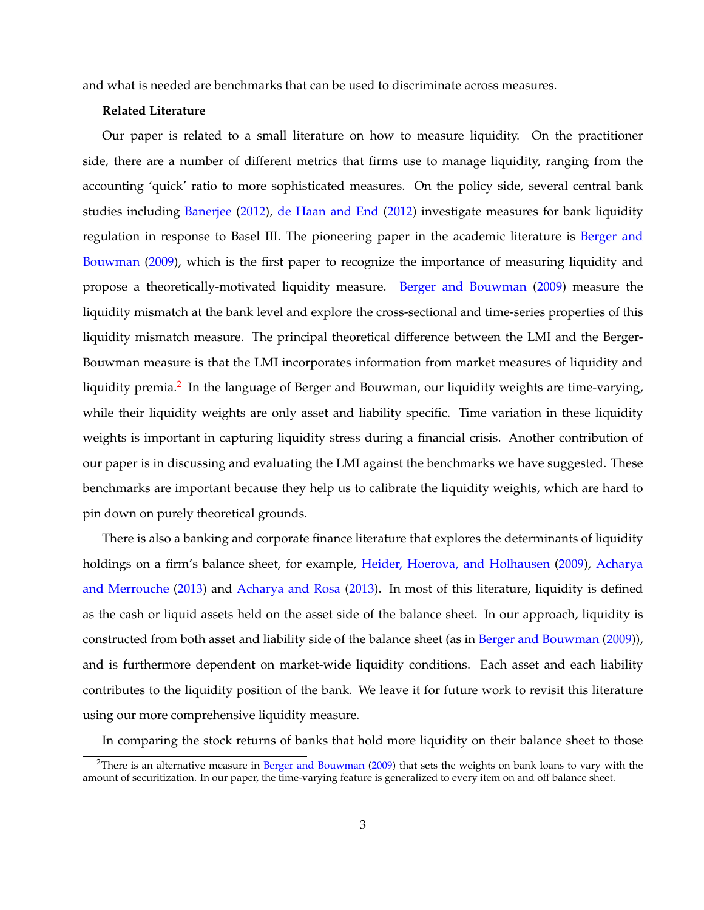and what is needed are benchmarks that can be used to discriminate across measures.

#### **Related Literature**

Our paper is related to a small literature on how to measure liquidity. On the practitioner side, there are a number of different metrics that firms use to manage liquidity, ranging from the accounting 'quick' ratio to more sophisticated measures. On the policy side, several central bank studies including [Banerjee](#page-31-3) [\(2012\)](#page-31-3), [de Haan and End](#page-32-3) [\(2012\)](#page-32-3) investigate measures for bank liquidity regulation in response to Basel III. The pioneering paper in the academic literature is [Berger and](#page-31-4) [Bouwman](#page-31-4) [\(2009\)](#page-31-4), which is the first paper to recognize the importance of measuring liquidity and propose a theoretically-motivated liquidity measure. [Berger and Bouwman](#page-31-4) [\(2009\)](#page-31-4) measure the liquidity mismatch at the bank level and explore the cross-sectional and time-series properties of this liquidity mismatch measure. The principal theoretical difference between the LMI and the Berger-Bouwman measure is that the LMI incorporates information from market measures of liquidity and liquidity premia.<sup>[2](#page-0-0)</sup> In the language of Berger and Bouwman, our liquidity weights are time-varying, while their liquidity weights are only asset and liability specific. Time variation in these liquidity weights is important in capturing liquidity stress during a financial crisis. Another contribution of our paper is in discussing and evaluating the LMI against the benchmarks we have suggested. These benchmarks are important because they help us to calibrate the liquidity weights, which are hard to pin down on purely theoretical grounds.

There is also a banking and corporate finance literature that explores the determinants of liquidity holdings on a firm's balance sheet, for example, [Heider, Hoerova, and Holhausen](#page-32-4) [\(2009\)](#page-32-4), [Acharya](#page-31-5) [and Merrouche](#page-31-5) [\(2013\)](#page-31-5) and [Acharya and Rosa](#page-31-6) [\(2013\)](#page-31-6). In most of this literature, liquidity is defined as the cash or liquid assets held on the asset side of the balance sheet. In our approach, liquidity is constructed from both asset and liability side of the balance sheet (as in [Berger and Bouwman](#page-31-4) [\(2009\)](#page-31-4)), and is furthermore dependent on market-wide liquidity conditions. Each asset and each liability contributes to the liquidity position of the bank. We leave it for future work to revisit this literature using our more comprehensive liquidity measure.

In comparing the stock returns of banks that hold more liquidity on their balance sheet to those

<sup>&</sup>lt;sup>2</sup>There is an alternative measure in [Berger and Bouwman](#page-31-4) [\(2009\)](#page-31-4) that sets the weights on bank loans to vary with the amount of securitization. In our paper, the time-varying feature is generalized to every item on and off balance sheet.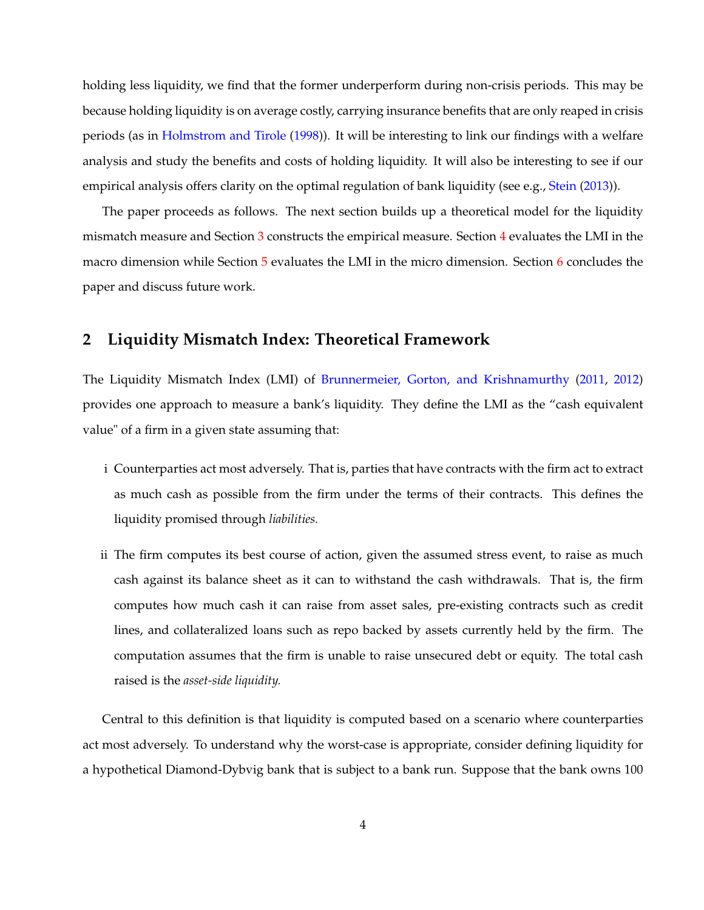holding less liquidity, we find that the former underperform during non-crisis periods. This may be because holding liquidity is on average costly, carrying insurance benefits that are only reaped in crisis periods (as in [Holmstrom and Tirole](#page-32-5) [\(1998\)](#page-32-5)). It will be interesting to link our findings with a welfare analysis and study the benefits and costs of holding liquidity. It will also be interesting to see if our empirical analysis offers clarity on the optimal regulation of bank liquidity (see e.g., [Stein](#page-33-1) [\(2013\)](#page-33-1)).

The paper proceeds as follows. The next section builds up a theoretical model for the liquidity mismatch measure and Section [3](#page-13-0) constructs the empirical measure. Section [4](#page-19-0) evaluates the LMI in the macro dimension while Section [5](#page-24-0) evaluates the LMI in the micro dimension. Section [6](#page-30-0) concludes the paper and discuss future work.

### **2 Liquidity Mismatch Index: Theoretical Framework**

The Liquidity Mismatch Index (LMI) of [Brunnermeier, Gorton, and Krishnamurthy](#page-31-0) [\(2011,](#page-31-0) [2012\)](#page-31-1) provides one approach to measure a bank's liquidity. They define the LMI as the "cash equivalent value" of a firm in a given state assuming that:

- i Counterparties act most adversely. That is, parties that have contracts with the firm act to extract as much cash as possible from the firm under the terms of their contracts. This defines the liquidity promised through *liabilities.*
- ii The firm computes its best course of action, given the assumed stress event, to raise as much cash against its balance sheet as it can to withstand the cash withdrawals. That is, the firm computes how much cash it can raise from asset sales, pre-existing contracts such as credit lines, and collateralized loans such as repo backed by assets currently held by the firm. The computation assumes that the firm is unable to raise unsecured debt or equity. The total cash raised is the *asset-side liquidity.*

Central to this definition is that liquidity is computed based on a scenario where counterparties act most adversely. To understand why the worst-case is appropriate, consider defining liquidity for a hypothetical Diamond-Dybvig bank that is subject to a bank run. Suppose that the bank owns 100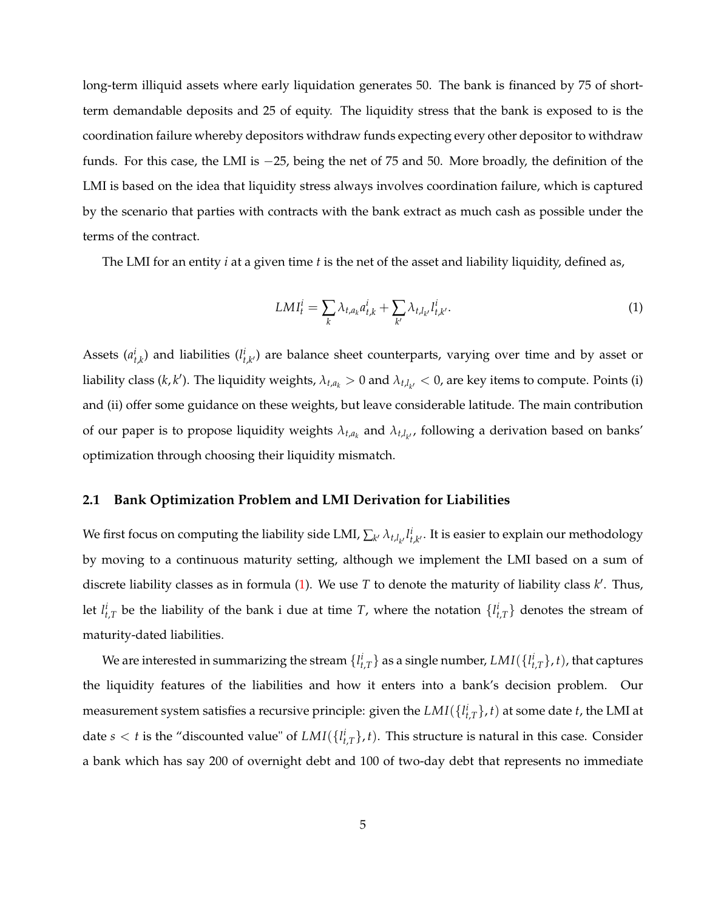long-term illiquid assets where early liquidation generates 50. The bank is financed by 75 of shortterm demandable deposits and 25 of equity. The liquidity stress that the bank is exposed to is the coordination failure whereby depositors withdraw funds expecting every other depositor to withdraw funds. For this case, the LMI is −25, being the net of 75 and 50. More broadly, the definition of the LMI is based on the idea that liquidity stress always involves coordination failure, which is captured by the scenario that parties with contracts with the bank extract as much cash as possible under the terms of the contract.

The LMI for an entity *i* at a given time *t* is the net of the asset and liability liquidity, defined as,

<span id="page-6-0"></span>
$$
LMI_t^i = \sum_k \lambda_{t,a_k} a_{t,k}^i + \sum_{k'} \lambda_{t,l_{k'}} l_{t,k'}^i.
$$
\n<sup>(1)</sup>

Assets  $(a_{t,k}^i)$  and liabilities  $(l_{t,k'}^i)$  are balance sheet counterparts, varying over time and by asset or liability class (*k*, *k'*). The liquidity weights,  $\lambda_{t,a_k} > 0$  and  $\lambda_{t,l_{k'}} < 0$ , are key items to compute. Points (i) and (ii) offer some guidance on these weights, but leave considerable latitude. The main contribution of our paper is to propose liquidity weights  $\lambda_{t, a_k}$  and  $\lambda_{t, l_{k'}},$  following a derivation based on banks' optimization through choosing their liquidity mismatch.

#### **2.1 Bank Optimization Problem and LMI Derivation for Liabilities**

We first focus on computing the liability side LMI,  $\sum_{k'} \lambda_{t,l_{k'}} l_{t,k'}^i$ . It is easier to explain our methodology by moving to a continuous maturity setting, although we implement the LMI based on a sum of discrete liability classes as in formula [\(1\)](#page-6-0). We use *T* to denote the maturity of liability class *k* 0 . Thus, let  $l_{t,T}^i$  be the liability of the bank i due at time *T*, where the notation  $\{l_{t,T}^i\}$  denotes the stream of maturity-dated liabilities.

We are interested in summarizing the stream  $\{l^i_{t,T}\}$  as a single number,  $LMI(\{l^i_{t,T}\},t)$ , that captures the liquidity features of the liabilities and how it enters into a bank's decision problem. Our measurement system satisfies a recursive principle: given the  $LMI(\{l_{t,T}^i\},t)$  at some date  $t$ , the LMI at date  $s < t$  is the "discounted value" of  $LMI(\{l_{t,T}^i\}, t)$ . This structure is natural in this case. Consider a bank which has say 200 of overnight debt and 100 of two-day debt that represents no immediate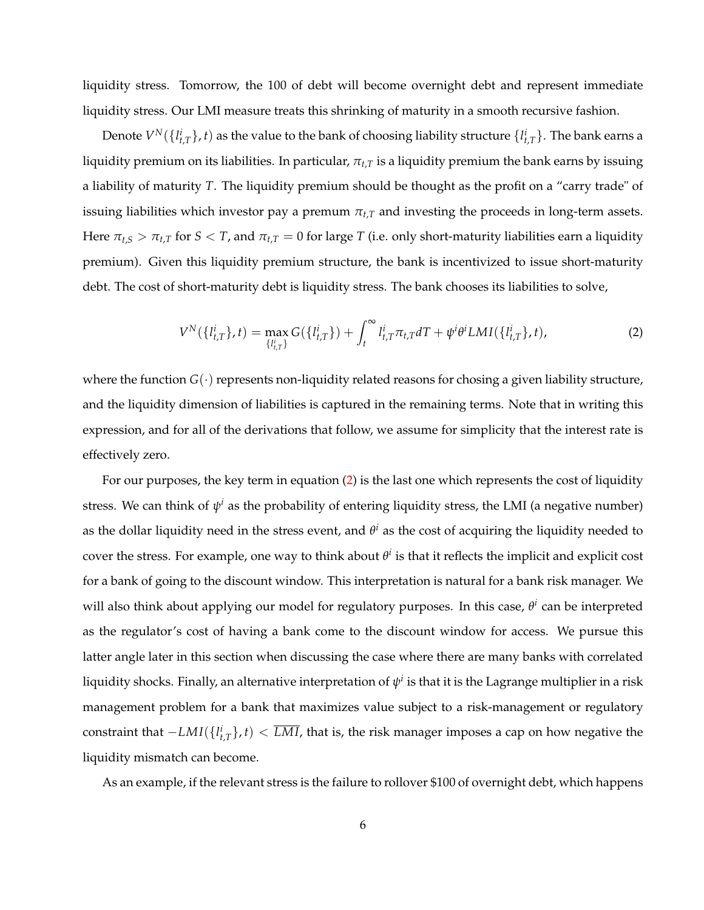liquidity stress. Tomorrow, the 100 of debt will become overnight debt and represent immediate liquidity stress. Our LMI measure treats this shrinking of maturity in a smooth recursive fashion.

Denote  $V^N(\{l^i_{t,T}\},t)$  as the value to the bank of choosing liability structure  $\{l^i_{t,T}\}.$  The bank earns a liquidity premium on its liabilities. In particular,  $\pi_{t,T}$  is a liquidity premium the bank earns by issuing a liability of maturity *T*. The liquidity premium should be thought as the profit on a "carry trade" of issuing liabilities which investor pay a premum  $\pi_{t,T}$  and investing the proceeds in long-term assets. Here  $\pi_{t,S} > \pi_{t,T}$  for  $S < T$ , and  $\pi_{t,T} = 0$  for large *T* (i.e. only short-maturity liabilities earn a liquidity premium). Given this liquidity premium structure, the bank is incentivized to issue short-maturity debt. The cost of short-maturity debt is liquidity stress. The bank chooses its liabilities to solve,

<span id="page-7-0"></span>
$$
V^{N}(\lbrace l_{t,T}^{i}\rbrace,t)=\max_{\lbrace l_{t,T}^{i}\rbrace}G(\lbrace l_{t,T}^{i}\rbrace)+\int_{t}^{\infty}l_{t,T}^{i}\pi_{t,T}dT+\psi^{i}\theta^{i}LMI(\lbrace l_{t,T}^{i}\rbrace,t),
$$
\n(2)

where the function  $G(\cdot)$  represents non-liquidity related reasons for chosing a given liability structure, and the liquidity dimension of liabilities is captured in the remaining terms. Note that in writing this expression, and for all of the derivations that follow, we assume for simplicity that the interest rate is effectively zero.

For our purposes, the key term in equation [\(2\)](#page-7-0) is the last one which represents the cost of liquidity stress. We can think of  $\psi^i$  as the probability of entering liquidity stress, the LMI (a negative number) as the dollar liquidity need in the stress event, and *θ <sup>i</sup>* as the cost of acquiring the liquidity needed to cover the stress. For example, one way to think about  $\theta^i$  is that it reflects the implicit and explicit cost for a bank of going to the discount window. This interpretation is natural for a bank risk manager. We will also think about applying our model for regulatory purposes. In this case, θ<sup>i</sup> can be interpreted as the regulator's cost of having a bank come to the discount window for access. We pursue this latter angle later in this section when discussing the case where there are many banks with correlated liquidity shocks. Finally, an alternative interpretation of *ψ i* is that it is the Lagrange multiplier in a risk management problem for a bank that maximizes value subject to a risk-management or regulatory constraint that  $-LMI(\{l_{t,T}^i\},t) < \overline{LMI}$ , that is, the risk manager imposes a cap on how negative the liquidity mismatch can become.

As an example, if the relevant stress is the failure to rollover \$100 of overnight debt, which happens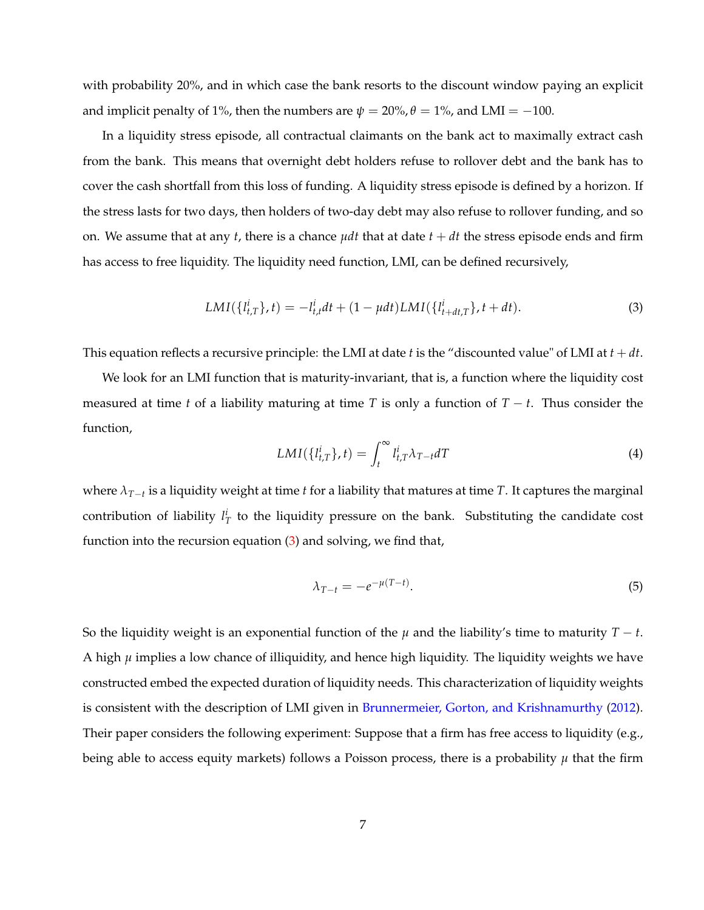with probability 20%, and in which case the bank resorts to the discount window paying an explicit and implicit penalty of 1%, then the numbers are  $\psi = 20\%$ ,  $\theta = 1\%$ , and LMI = -100.

In a liquidity stress episode, all contractual claimants on the bank act to maximally extract cash from the bank. This means that overnight debt holders refuse to rollover debt and the bank has to cover the cash shortfall from this loss of funding. A liquidity stress episode is defined by a horizon. If the stress lasts for two days, then holders of two-day debt may also refuse to rollover funding, and so on. We assume that at any *t*, there is a chance  $\mu dt$  that at date  $t + dt$  the stress episode ends and firm has access to free liquidity. The liquidity need function, LMI, can be defined recursively,

<span id="page-8-0"></span>
$$
LMI(\{l_{t,T}^i\},t) = -l_{t,t}^i dt + (1 - \mu dt)LMI(\{l_{t+dt,T}^i\},t + dt). \tag{3}
$$

This equation reflects a recursive principle: the LMI at date  $t$  is the "discounted value" of LMI at  $t + dt$ .

We look for an LMI function that is maturity-invariant, that is, a function where the liquidity cost measured at time *t* of a liability maturing at time *T* is only a function of *T* − *t*. Thus consider the function,

$$
LMI(\lbrace l_{t,T}^{i}\rbrace,t)=\int_{t}^{\infty}l_{t,T}^{i}\lambda_{T-t}dT
$$
\n(4)

where *λT*−*<sup>t</sup>* is a liquidity weight at time *t* for a liability that matures at time *T*. It captures the marginal contribution of liability  $l_T^i$  to the liquidity pressure on the bank. Substituting the candidate cost function into the recursion equation [\(3\)](#page-8-0) and solving, we find that,

$$
\lambda_{T-t} = -e^{-\mu(T-t)}.\tag{5}
$$

So the liquidity weight is an exponential function of the  $\mu$  and the liability's time to maturity  $T - t$ . A high  $\mu$  implies a low chance of illiquidity, and hence high liquidity. The liquidity weights we have constructed embed the expected duration of liquidity needs. This characterization of liquidity weights is consistent with the description of LMI given in [Brunnermeier, Gorton, and Krishnamurthy](#page-31-1) [\(2012\)](#page-31-1). Their paper considers the following experiment: Suppose that a firm has free access to liquidity (e.g., being able to access equity markets) follows a Poisson process, there is a probability  $\mu$  that the firm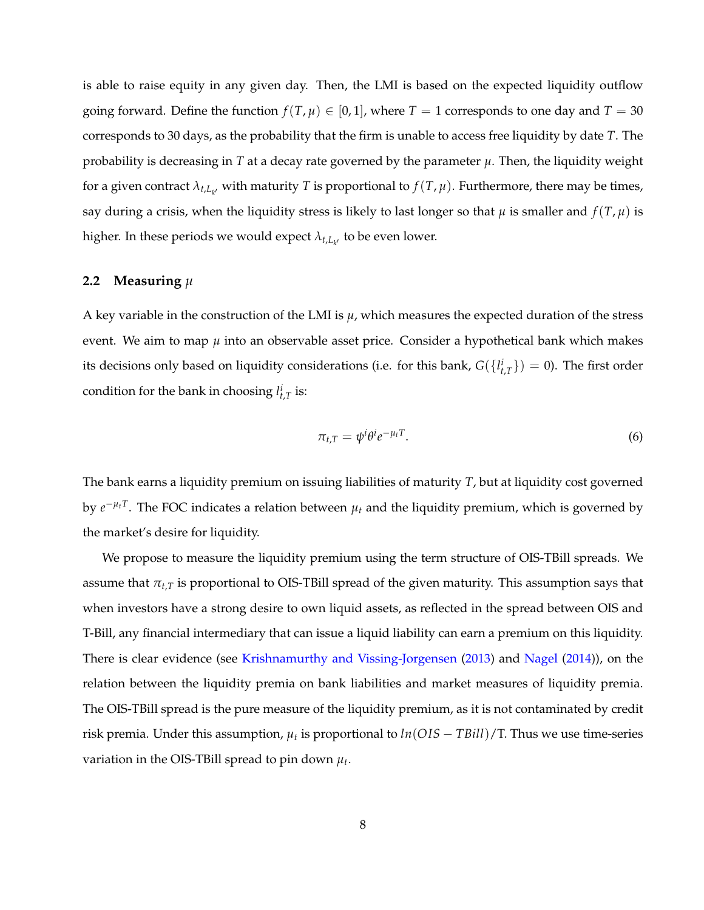is able to raise equity in any given day. Then, the LMI is based on the expected liquidity outflow going forward. Define the function  $f(T, \mu) \in [0, 1]$ , where  $T = 1$  corresponds to one day and  $T = 30$ corresponds to 30 days, as the probability that the firm is unable to access free liquidity by date *T*. The probability is decreasing in *T* at a decay rate governed by the parameter  $\mu$ . Then, the liquidity weight for a given contract  $\lambda_{t,L_{k'}}$  with maturity  $T$  is proportional to  $f(T,\mu)$ . Furthermore, there may be times, say during a crisis, when the liquidity stress is likely to last longer so that  $\mu$  is smaller and  $f(T, \mu)$  is higher. In these periods we would expect  $\lambda_{t,L_{k'}}$  to be even lower.

#### **2.2 Measuring** *µ*

A key variable in the construction of the LMI is  $\mu$ , which measures the expected duration of the stress event. We aim to map  $\mu$  into an observable asset price. Consider a hypothetical bank which makes its decisions only based on liquidity considerations (i.e. for this bank,  $G({l_{t,T}^i}) = 0$ ). The first order condition for the bank in choosing  $l_{t,T}^i$  is:

$$
\pi_{t,T} = \psi^i \theta^i e^{-\mu_t T}.
$$
\n<sup>(6)</sup>

The bank earns a liquidity premium on issuing liabilities of maturity *T*, but at liquidity cost governed by  $e^{-\mu_t T}$ . The FOC indicates a relation between  $\mu_t$  and the liquidity premium, which is governed by the market's desire for liquidity.

We propose to measure the liquidity premium using the term structure of OIS-TBill spreads. We assume that  $\pi_{t,T}$  is proportional to OIS-TBill spread of the given maturity. This assumption says that when investors have a strong desire to own liquid assets, as reflected in the spread between OIS and T-Bill, any financial intermediary that can issue a liquid liability can earn a premium on this liquidity. There is clear evidence (see [Krishnamurthy and Vissing-Jorgensen](#page-33-2) [\(2013\)](#page-33-2) and [Nagel](#page-33-3) [\(2014\)](#page-33-3)), on the relation between the liquidity premia on bank liabilities and market measures of liquidity premia. The OIS-TBill spread is the pure measure of the liquidity premium, as it is not contaminated by credit risk premia. Under this assumption,  $\mu_t$  is proportional to  $ln(OIS-TBill)/T$ . Thus we use time-series variation in the OIS-TBill spread to pin down *µ<sup>t</sup>* .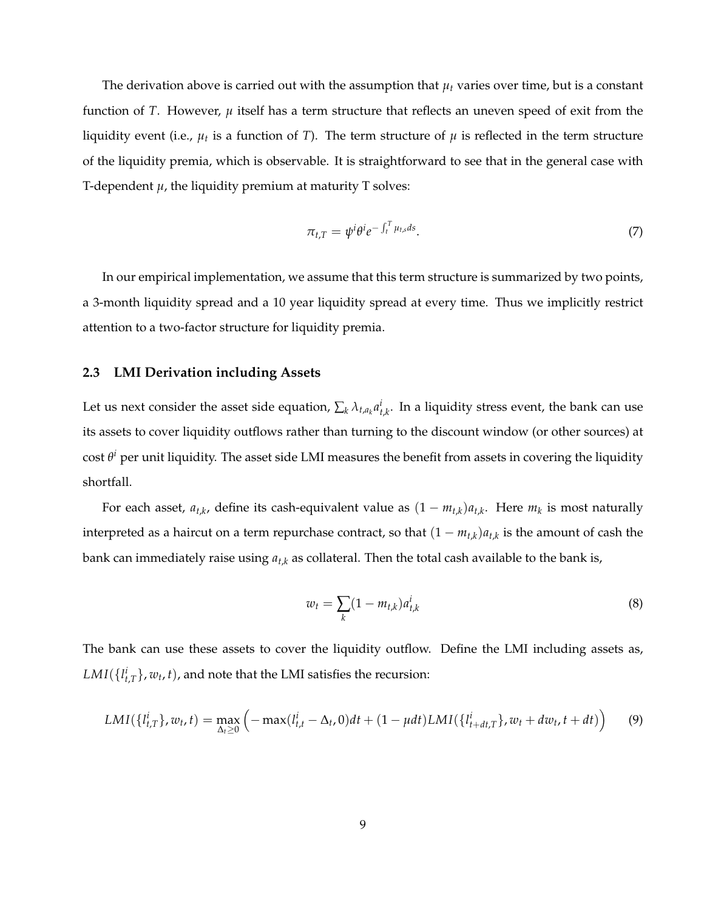The derivation above is carried out with the assumption that  $\mu_t$  varies over time, but is a constant function of *T*. However,  $\mu$  itself has a term structure that reflects an uneven speed of exit from the liquidity event (i.e.,  $\mu_t$  is a function of *T*). The term structure of  $\mu$  is reflected in the term structure of the liquidity premia, which is observable. It is straightforward to see that in the general case with T-dependent  $\mu$ , the liquidity premium at maturity T solves:

$$
\pi_{t,T} = \psi^i \theta^i e^{-\int_t^T \mu_{t,s} ds}.\tag{7}
$$

In our empirical implementation, we assume that this term structure is summarized by two points, a 3-month liquidity spread and a 10 year liquidity spread at every time. Thus we implicitly restrict attention to a two-factor structure for liquidity premia.

#### **2.3 LMI Derivation including Assets**

Let us next consider the asset side equation,  $\sum_k \lambda_{t,a_k} a_{t,k}^i$ . In a liquidity stress event, the bank can use its assets to cover liquidity outflows rather than turning to the discount window (or other sources) at  $\cot\theta^i$  per unit liquidity. The asset side LMI measures the benefit from assets in covering the liquidity shortfall.

For each asset,  $a_{t,k}$ , define its cash-equivalent value as  $(1 - m_{t,k})a_{t,k}$ . Here  $m_k$  is most naturally interpreted as a haircut on a term repurchase contract, so that  $(1 - m_{t,k})a_{t,k}$  is the amount of cash the bank can immediately raise using *at*,*<sup>k</sup>* as collateral. Then the total cash available to the bank is,

$$
w_t = \sum_{k} (1 - m_{t,k}) a_{t,k}^i
$$
 (8)

The bank can use these assets to cover the liquidity outflow. Define the LMI including assets as,  $LMI(\lbrace l_{t,T}^i \rbrace, w_t, t)$ , and note that the LMI satisfies the recursion:

$$
LMI(\{l_{t,T}^i\}, w_t, t) = \max_{\Delta_t \ge 0} \left( -\max(l_{t,t}^i - \Delta_t, 0)dt + (1 - \mu dt)LMI(\{l_{t+dt,T}^i\}, w_t + dw_t, t + dt) \right) \tag{9}
$$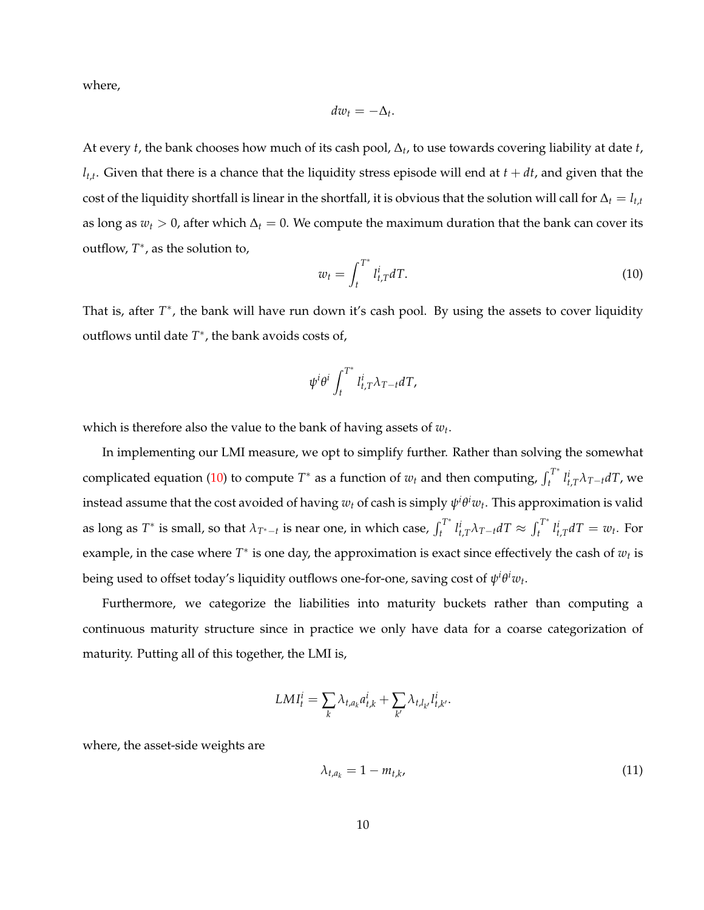where,

$$
dw_t=-\Delta_t.
$$

At every *t*, the bank chooses how much of its cash pool, ∆*<sup>t</sup>* , to use towards covering liability at date *t*, *lt*,*t* . Given that there is a chance that the liquidity stress episode will end at *t* + *dt*, and given that the cost of the liquidity shortfall is linear in the shortfall, it is obvious that the solution will call for  $\Delta_t = l_{t,t}$ as long as  $w_t > 0$ , after which  $\Delta_t = 0$ . We compute the maximum duration that the bank can cover its outflow, *T* ∗ , as the solution to,

<span id="page-11-0"></span>
$$
w_t = \int_t^{T^*} l_{t,T}^i dT.
$$
\n(10)

That is, after T<sup>\*</sup>, the bank will have run down it's cash pool. By using the assets to cover liquidity outflows until date *T* ∗ , the bank avoids costs of,

$$
\psi^i \theta^i \int_t^{T^*} l_{t,T}^i \lambda_{T-t} dT,
$$

which is therefore also the value to the bank of having assets of  $w_t$ .

In implementing our LMI measure, we opt to simplify further. Rather than solving the somewhat complicated equation [\(10\)](#page-11-0) to compute  $T^*$  as a function of  $w_t$  and then computing,  $\int_t^{T^*}$  $\int_t^T l_{t,T}^i \lambda_{T-t} dT$ , we instead assume that the cost avoided of having  $w_t$  of cash is simply  $\psi^i\theta^i w_t$ . This approximation is valid as long as  $T^*$  is small, so that  $\lambda_{T^*-t}$  is near one, in which case,  $\int_t^{T^*}$  $\int_t^{T^*} l_{t,T}^i \lambda_{T-t} dT \approx \int_t^{T^*}$  $t_t^{i}$ <sup>*l*</sup> $t$ </sup>,*T* $dT = w_t$ . For example, in the case where  $T^*$  is one day, the approximation is exact since effectively the cash of  $w_t$  is being used to offset today's liquidity outflows one-for-one, saving cost of  $\psi^i\theta^i w_t$ .

Furthermore, we categorize the liabilities into maturity buckets rather than computing a continuous maturity structure since in practice we only have data for a coarse categorization of maturity. Putting all of this together, the LMI is,

$$
LMI_t^i = \sum_k \lambda_{t,a_k} a_{t,k}^i + \sum_{k'} \lambda_{t,l_{k'}} l_{t,k'}^i.
$$

where, the asset-side weights are

$$
\lambda_{t,a_k} = 1 - m_{t,k},\tag{11}
$$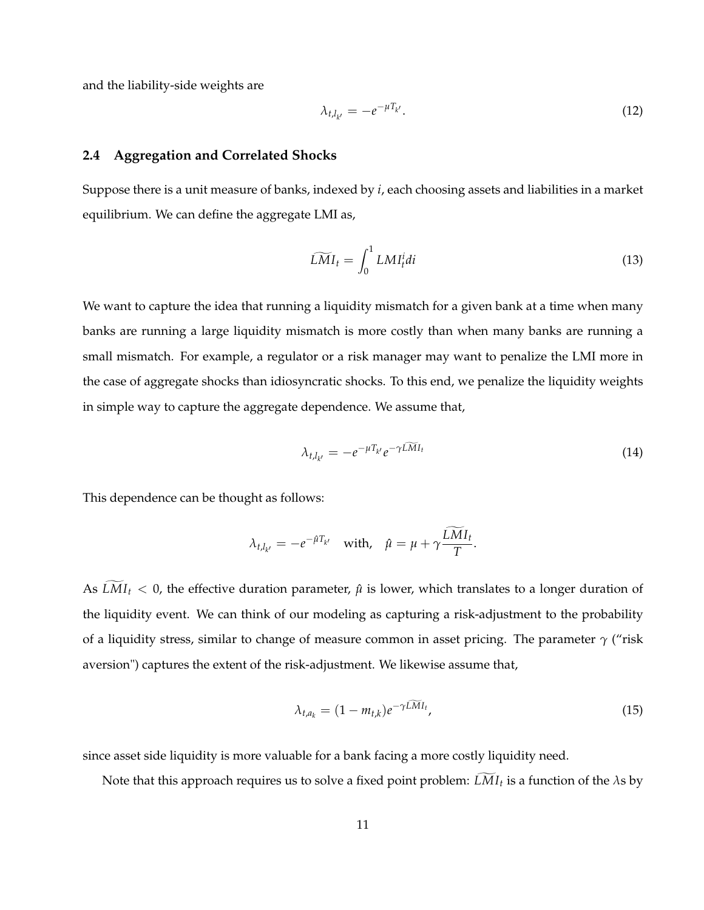and the liability-side weights are

$$
\lambda_{t,l_{k'}} = -e^{-\mu T_{k'}}.\tag{12}
$$

#### **2.4 Aggregation and Correlated Shocks**

Suppose there is a unit measure of banks, indexed by *i*, each choosing assets and liabilities in a market equilibrium. We can define the aggregate LMI as,

$$
\widetilde{LMI}_t = \int_0^1 LMI_t^i di \tag{13}
$$

We want to capture the idea that running a liquidity mismatch for a given bank at a time when many banks are running a large liquidity mismatch is more costly than when many banks are running a small mismatch. For example, a regulator or a risk manager may want to penalize the LMI more in the case of aggregate shocks than idiosyncratic shocks. To this end, we penalize the liquidity weights in simple way to capture the aggregate dependence. We assume that,

$$
\lambda_{t,l_{k'}} = -e^{-\mu T_{k'}} e^{-\gamma \tilde{L} \tilde{M} l_t}
$$
\n(14)

This dependence can be thought as follows:

$$
\lambda_{t,l_{k'}} = -e^{-\hat{\mu}T_{k'}} \quad \text{with,} \quad \hat{\mu} = \mu + \gamma \frac{\tilde{L}\tilde{M}I_t}{T}.
$$

As  $\widetilde{LMI}_t < 0$ , the effective duration parameter,  $\hat{\mu}$  is lower, which translates to a longer duration of the liquidity event. We can think of our modeling as capturing a risk-adjustment to the probability of a liquidity stress, similar to change of measure common in asset pricing. The parameter *γ* ("risk aversion") captures the extent of the risk-adjustment. We likewise assume that,

$$
\lambda_{t,a_k} = (1 - m_{t,k})e^{-\gamma L \overline{M}I_t},\tag{15}
$$

since asset side liquidity is more valuable for a bank facing a more costly liquidity need.

Note that this approach requires us to solve a fixed point problem:  $LMI_t$  is a function of the  $\lambda$ s by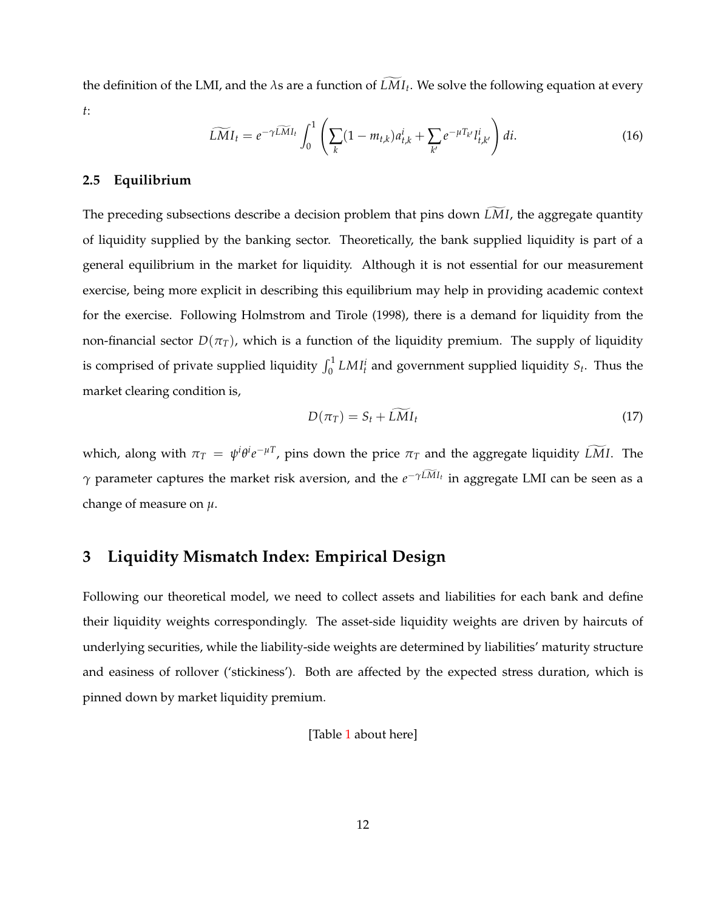the definition of the LMI, and the  $\lambda$ s are a function of  $LMI_t$ . We solve the following equation at every *t*:

$$
\widetilde{LMI}_t = e^{-\gamma \widetilde{LMI}_t} \int_0^1 \left( \sum_k (1 - m_{t,k}) a_{t,k}^i + \sum_{k'} e^{-\mu T_{k'}} l_{t,k'}^i \right) dt.
$$
 (16)

#### **2.5 Equilibrium**

The preceding subsections describe a decision problem that pins down  $\tilde{L}M$ , the aggregate quantity of liquidity supplied by the banking sector. Theoretically, the bank supplied liquidity is part of a general equilibrium in the market for liquidity. Although it is not essential for our measurement exercise, being more explicit in describing this equilibrium may help in providing academic context for the exercise. Following Holmstrom and Tirole (1998), there is a demand for liquidity from the non-financial sector  $D(\pi_T)$ , which is a function of the liquidity premium. The supply of liquidity is comprised of private supplied liquidity  $\int_0^1 LMI_t^i$  and government supplied liquidity  $S_t$ . Thus the market clearing condition is,

$$
D(\pi_T) = S_t + \tilde{L}\tilde{M}I_t
$$
\n(17)

which, along with  $\pi_T = \psi^i \theta^i e^{-\mu T}$ , pins down the price  $\pi_T$  and the aggregate liquidity *LMI*. The *γ* parameter captures the market risk aversion, and the  $e^{-γLMI_t}$  in aggregate LMI can be seen as a change of measure on *µ*.

### <span id="page-13-0"></span>**3 Liquidity Mismatch Index: Empirical Design**

Following our theoretical model, we need to collect assets and liabilities for each bank and define their liquidity weights correspondingly. The asset-side liquidity weights are driven by haircuts of underlying securities, while the liability-side weights are determined by liabilities' maturity structure and easiness of rollover ('stickiness'). Both are affected by the expected stress duration, which is pinned down by market liquidity premium.

[Table [1](#page-34-0) about here]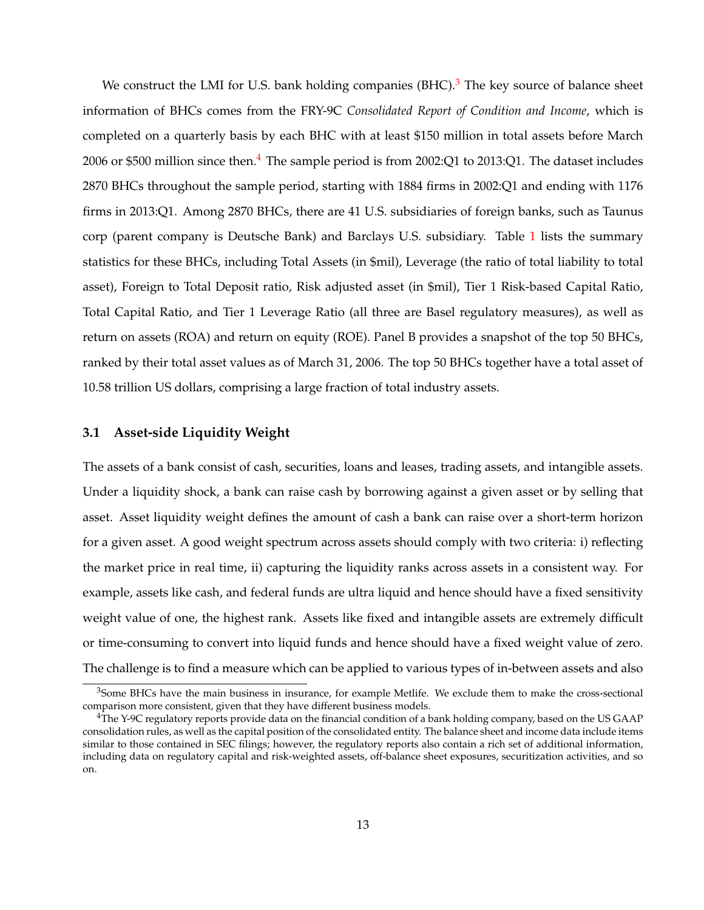We construct the LMI for U.S. bank holding companies  $(BHC)$ .<sup>[3](#page-0-0)</sup> The key source of balance sheet information of BHCs comes from the FRY-9C *Consolidated Report of Condition and Income*, which is completed on a quarterly basis by each BHC with at least \$150 million in total assets before March 2006 or \$500 million since then.<sup>[4](#page-0-0)</sup> The sample period is from 2002:Q1 to 2013:Q1. The dataset includes 2870 BHCs throughout the sample period, starting with 1884 firms in 2002:Q1 and ending with 1176 firms in 2013:Q1. Among 2870 BHCs, there are 41 U.S. subsidiaries of foreign banks, such as Taunus corp (parent company is Deutsche Bank) and Barclays U.S. subsidiary. Table [1](#page-34-0) lists the summary statistics for these BHCs, including Total Assets (in \$mil), Leverage (the ratio of total liability to total asset), Foreign to Total Deposit ratio, Risk adjusted asset (in \$mil), Tier 1 Risk-based Capital Ratio, Total Capital Ratio, and Tier 1 Leverage Ratio (all three are Basel regulatory measures), as well as return on assets (ROA) and return on equity (ROE). Panel B provides a snapshot of the top 50 BHCs, ranked by their total asset values as of March 31, 2006. The top 50 BHCs together have a total asset of 10.58 trillion US dollars, comprising a large fraction of total industry assets.

#### **3.1 Asset-side Liquidity Weight**

The assets of a bank consist of cash, securities, loans and leases, trading assets, and intangible assets. Under a liquidity shock, a bank can raise cash by borrowing against a given asset or by selling that asset. Asset liquidity weight defines the amount of cash a bank can raise over a short-term horizon for a given asset. A good weight spectrum across assets should comply with two criteria: i) reflecting the market price in real time, ii) capturing the liquidity ranks across assets in a consistent way. For example, assets like cash, and federal funds are ultra liquid and hence should have a fixed sensitivity weight value of one, the highest rank. Assets like fixed and intangible assets are extremely difficult or time-consuming to convert into liquid funds and hence should have a fixed weight value of zero. The challenge is to find a measure which can be applied to various types of in-between assets and also

<sup>&</sup>lt;sup>3</sup>Some BHCs have the main business in insurance, for example Metlife. We exclude them to make the cross-sectional comparison more consistent, given that they have different business models.

<sup>4</sup>The Y-9C regulatory reports provide data on the financial condition of a bank holding company, based on the US GAAP consolidation rules, as well as the capital position of the consolidated entity. The balance sheet and income data include items similar to those contained in SEC filings; however, the regulatory reports also contain a rich set of additional information, including data on regulatory capital and risk-weighted assets, off-balance sheet exposures, securitization activities, and so on.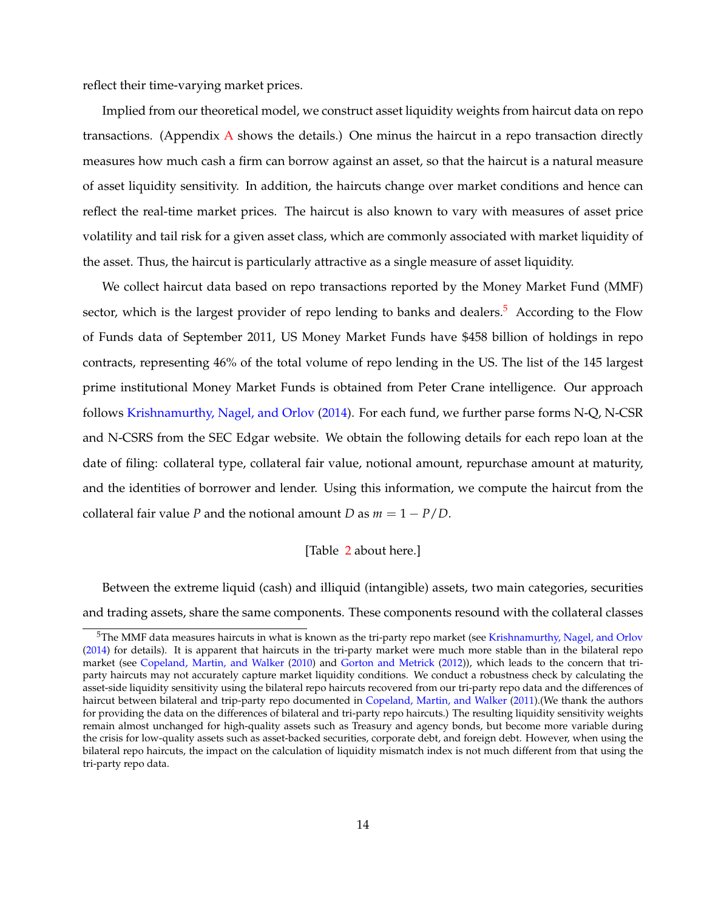reflect their time-varying market prices.

Implied from our theoretical model, we construct asset liquidity weights from haircut data on repo transactions. (Appendix [A](#page-51-0) shows the details.) One minus the haircut in a repo transaction directly measures how much cash a firm can borrow against an asset, so that the haircut is a natural measure of asset liquidity sensitivity. In addition, the haircuts change over market conditions and hence can reflect the real-time market prices. The haircut is also known to vary with measures of asset price volatility and tail risk for a given asset class, which are commonly associated with market liquidity of the asset. Thus, the haircut is particularly attractive as a single measure of asset liquidity.

We collect haircut data based on repo transactions reported by the Money Market Fund (MMF) sector, which is the largest provider of repo lending to banks and dealers.<sup>[5](#page-0-0)</sup> According to the Flow of Funds data of September 2011, US Money Market Funds have \$458 billion of holdings in repo contracts, representing 46% of the total volume of repo lending in the US. The list of the 145 largest prime institutional Money Market Funds is obtained from Peter Crane intelligence. Our approach follows [Krishnamurthy, Nagel, and Orlov](#page-32-6) [\(2014\)](#page-32-6). For each fund, we further parse forms N-Q, N-CSR and N-CSRS from the SEC Edgar website. We obtain the following details for each repo loan at the date of filing: collateral type, collateral fair value, notional amount, repurchase amount at maturity, and the identities of borrower and lender. Using this information, we compute the haircut from the collateral fair value *P* and the notional amount *D* as  $m = 1 - P/D$ .

#### [Table [2](#page-35-0) about here.]

Between the extreme liquid (cash) and illiquid (intangible) assets, two main categories, securities and trading assets, share the same components. These components resound with the collateral classes

<sup>&</sup>lt;sup>5</sup>The MMF data measures haircuts in what is known as the tri-party repo market (see [Krishnamurthy, Nagel, and Orlov](#page-32-6) [\(2014\)](#page-32-6) for details). It is apparent that haircuts in the tri-party market were much more stable than in the bilateral repo market (see [Copeland, Martin, and Walker](#page-31-7) [\(2010\)](#page-31-7) and [Gorton and Metrick](#page-32-7) [\(2012\)](#page-32-7)), which leads to the concern that triparty haircuts may not accurately capture market liquidity conditions. We conduct a robustness check by calculating the asset-side liquidity sensitivity using the bilateral repo haircuts recovered from our tri-party repo data and the differences of haircut between bilateral and trip-party repo documented in [Copeland, Martin, and Walker](#page-31-8) [\(2011\)](#page-31-8).(We thank the authors for providing the data on the differences of bilateral and tri-party repo haircuts.) The resulting liquidity sensitivity weights remain almost unchanged for high-quality assets such as Treasury and agency bonds, but become more variable during the crisis for low-quality assets such as asset-backed securities, corporate debt, and foreign debt. However, when using the bilateral repo haircuts, the impact on the calculation of liquidity mismatch index is not much different from that using the tri-party repo data.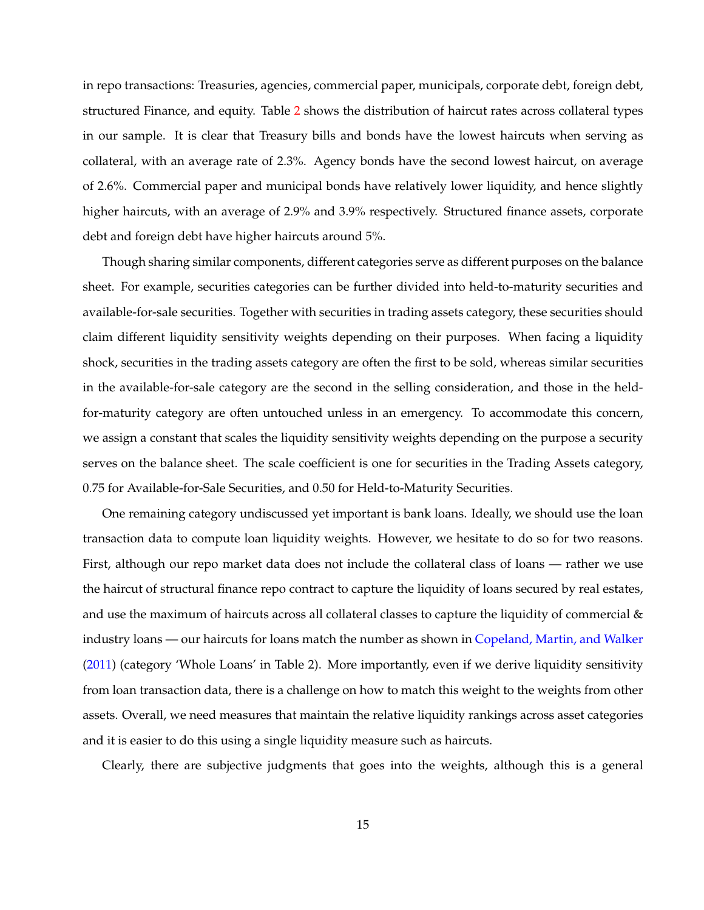in repo transactions: Treasuries, agencies, commercial paper, municipals, corporate debt, foreign debt, structured Finance, and equity. Table [2](#page-35-0) shows the distribution of haircut rates across collateral types in our sample. It is clear that Treasury bills and bonds have the lowest haircuts when serving as collateral, with an average rate of 2.3%. Agency bonds have the second lowest haircut, on average of 2.6%. Commercial paper and municipal bonds have relatively lower liquidity, and hence slightly higher haircuts, with an average of 2.9% and 3.9% respectively. Structured finance assets, corporate debt and foreign debt have higher haircuts around 5%.

Though sharing similar components, different categories serve as different purposes on the balance sheet. For example, securities categories can be further divided into held-to-maturity securities and available-for-sale securities. Together with securities in trading assets category, these securities should claim different liquidity sensitivity weights depending on their purposes. When facing a liquidity shock, securities in the trading assets category are often the first to be sold, whereas similar securities in the available-for-sale category are the second in the selling consideration, and those in the heldfor-maturity category are often untouched unless in an emergency. To accommodate this concern, we assign a constant that scales the liquidity sensitivity weights depending on the purpose a security serves on the balance sheet. The scale coefficient is one for securities in the Trading Assets category, 0.75 for Available-for-Sale Securities, and 0.50 for Held-to-Maturity Securities.

One remaining category undiscussed yet important is bank loans. Ideally, we should use the loan transaction data to compute loan liquidity weights. However, we hesitate to do so for two reasons. First, although our repo market data does not include the collateral class of loans — rather we use the haircut of structural finance repo contract to capture the liquidity of loans secured by real estates, and use the maximum of haircuts across all collateral classes to capture the liquidity of commercial  $\&$ industry loans — our haircuts for loans match the number as shown in [Copeland, Martin, and Walker](#page-31-8) [\(2011\)](#page-31-8) (category 'Whole Loans' in Table 2). More importantly, even if we derive liquidity sensitivity from loan transaction data, there is a challenge on how to match this weight to the weights from other assets. Overall, we need measures that maintain the relative liquidity rankings across asset categories and it is easier to do this using a single liquidity measure such as haircuts.

Clearly, there are subjective judgments that goes into the weights, although this is a general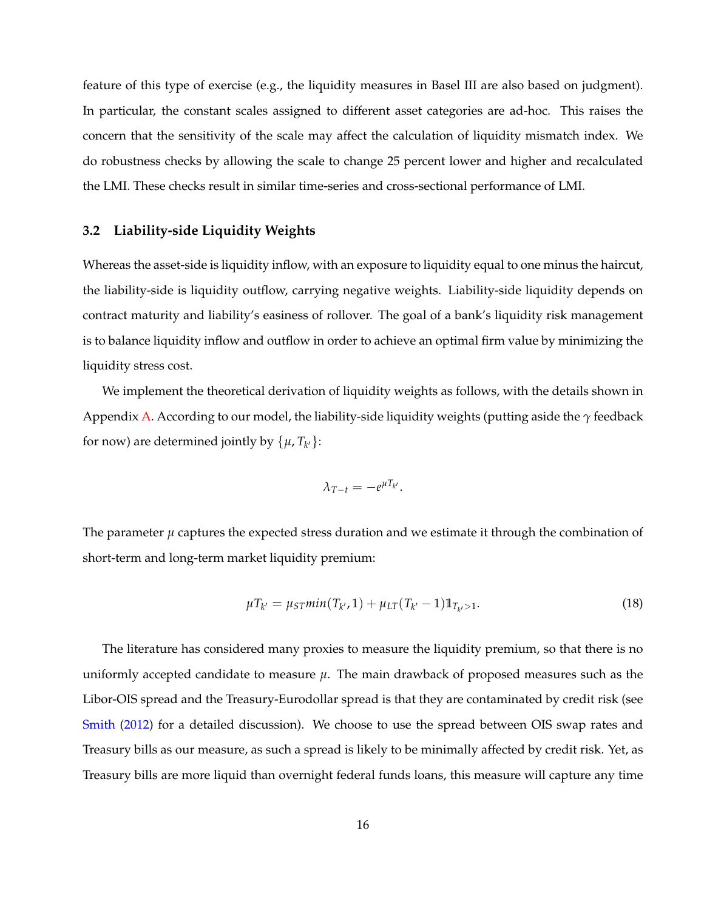feature of this type of exercise (e.g., the liquidity measures in Basel III are also based on judgment). In particular, the constant scales assigned to different asset categories are ad-hoc. This raises the concern that the sensitivity of the scale may affect the calculation of liquidity mismatch index. We do robustness checks by allowing the scale to change 25 percent lower and higher and recalculated the LMI. These checks result in similar time-series and cross-sectional performance of LMI.

#### **3.2 Liability-side Liquidity Weights**

Whereas the asset-side is liquidity inflow, with an exposure to liquidity equal to one minus the haircut, the liability-side is liquidity outflow, carrying negative weights. Liability-side liquidity depends on contract maturity and liability's easiness of rollover. The goal of a bank's liquidity risk management is to balance liquidity inflow and outflow in order to achieve an optimal firm value by minimizing the liquidity stress cost.

We implement the theoretical derivation of liquidity weights as follows, with the details shown in Appendix [A.](#page-51-0) According to our model, the liability-side liquidity weights (putting aside the *γ* feedback for now) are determined jointly by  $\{\mu, T_{k'}\}$ :

$$
\lambda_{T-t}=-e^{\mu T_{k'}}.
$$

The parameter  $\mu$  captures the expected stress duration and we estimate it through the combination of short-term and long-term market liquidity premium:

<span id="page-17-0"></span>
$$
\mu T_{k'} = \mu_{ST} \min(T_{k'}, 1) + \mu_{LT}(T_{k'} - 1) \mathbb{1}_{T_{k'} > 1}.
$$
\n(18)

The literature has considered many proxies to measure the liquidity premium, so that there is no uniformly accepted candidate to measure  $\mu$ . The main drawback of proposed measures such as the Libor-OIS spread and the Treasury-Eurodollar spread is that they are contaminated by credit risk (see [Smith](#page-33-4) [\(2012\)](#page-33-4) for a detailed discussion). We choose to use the spread between OIS swap rates and Treasury bills as our measure, as such a spread is likely to be minimally affected by credit risk. Yet, as Treasury bills are more liquid than overnight federal funds loans, this measure will capture any time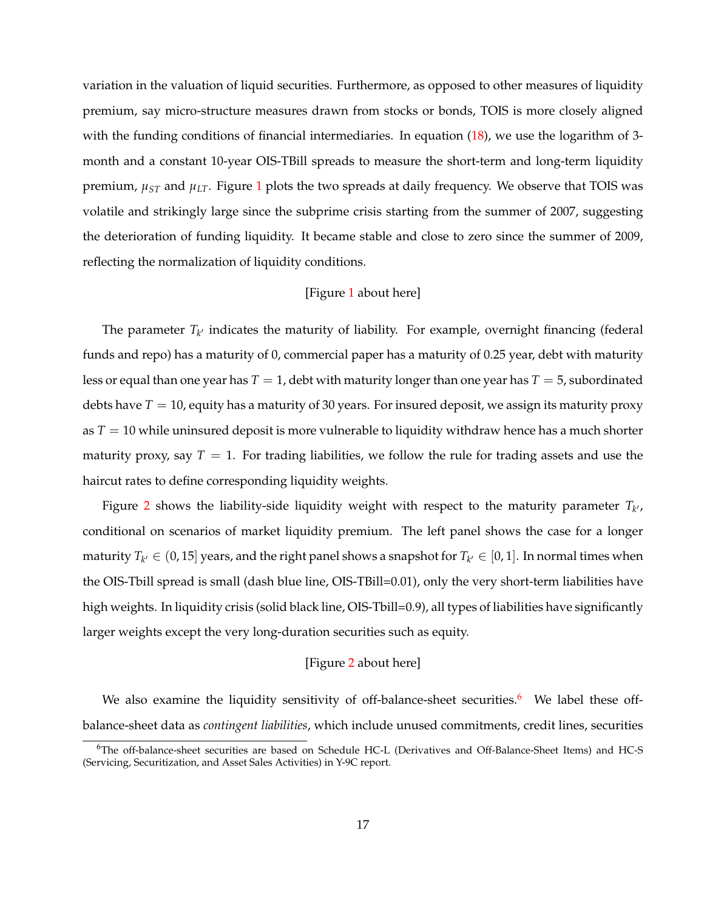variation in the valuation of liquid securities. Furthermore, as opposed to other measures of liquidity premium, say micro-structure measures drawn from stocks or bonds, TOIS is more closely aligned with the funding conditions of financial intermediaries. In equation [\(18\)](#page-17-0), we use the logarithm of 3 month and a constant 10-year OIS-TBill spreads to measure the short-term and long-term liquidity premium,  $\mu_{ST}$  and  $\mu_{LT}$ . Figure [1](#page-41-0) plots the two spreads at daily frequency. We observe that TOIS was volatile and strikingly large since the subprime crisis starting from the summer of 2007, suggesting the deterioration of funding liquidity. It became stable and close to zero since the summer of 2009, reflecting the normalization of liquidity conditions.

#### [Figure [1](#page-41-0) about here]

The parameter  $T_{k'}$  indicates the maturity of liability. For example, overnight financing (federal funds and repo) has a maturity of 0, commercial paper has a maturity of 0.25 year, debt with maturity less or equal than one year has  $T = 1$ , debt with maturity longer than one year has  $T = 5$ , subordinated debts have *T* = 10, equity has a maturity of 30 years. For insured deposit, we assign its maturity proxy as  $T = 10$  while uninsured deposit is more vulnerable to liquidity withdraw hence has a much shorter maturity proxy, say  $T = 1$ . For trading liabilities, we follow the rule for trading assets and use the haircut rates to define corresponding liquidity weights.

Figure [2](#page-41-1) shows the liability-side liquidity weight with respect to the maturity parameter  $T_{k^\prime}$ , conditional on scenarios of market liquidity premium. The left panel shows the case for a longer maturity  $T_{k'}\in(0,15]$  years, and the right panel shows a snapshot for  $T_{k'}\in[0,1].$  In normal times when the OIS-Tbill spread is small (dash blue line, OIS-TBill=0.01), only the very short-term liabilities have high weights. In liquidity crisis (solid black line, OIS-Tbill=0.9), all types of liabilities have significantly larger weights except the very long-duration securities such as equity.

#### [Figure [2](#page-41-1) about here]

We also examine the liquidity sensitivity of off-balance-sheet securities.<sup>[6](#page-0-0)</sup> We label these offbalance-sheet data as *contingent liabilities*, which include unused commitments, credit lines, securities

<sup>6</sup>The off-balance-sheet securities are based on Schedule HC-L (Derivatives and Off-Balance-Sheet Items) and HC-S (Servicing, Securitization, and Asset Sales Activities) in Y-9C report.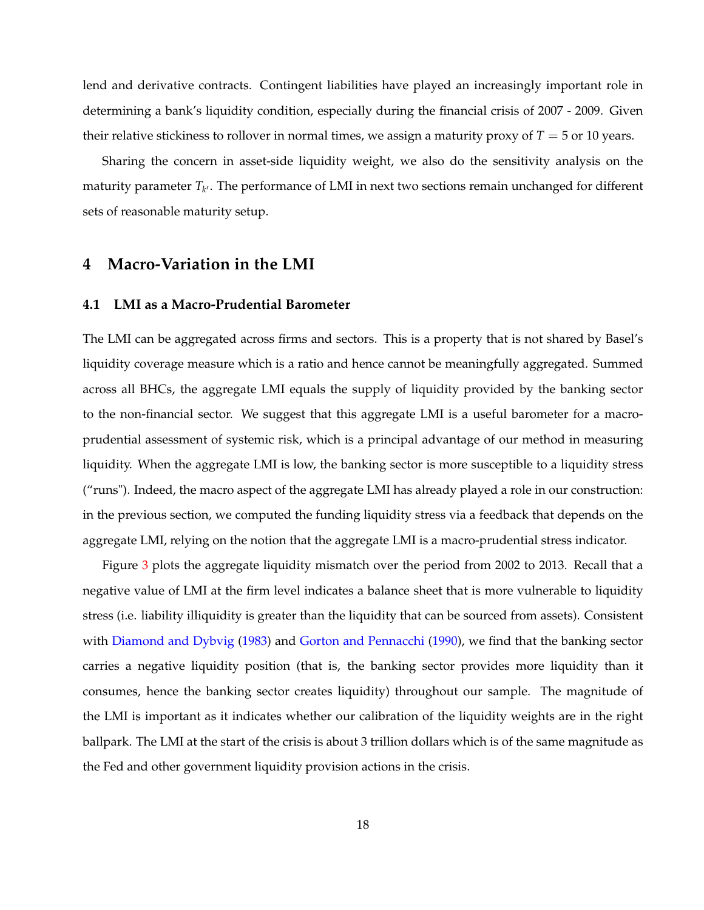lend and derivative contracts. Contingent liabilities have played an increasingly important role in determining a bank's liquidity condition, especially during the financial crisis of 2007 - 2009. Given their relative stickiness to rollover in normal times, we assign a maturity proxy of  $T = 5$  or 10 years.

Sharing the concern in asset-side liquidity weight, we also do the sensitivity analysis on the maturity parameter  $T_{k'}$ . The performance of LMI in next two sections remain unchanged for different sets of reasonable maturity setup.

#### <span id="page-19-0"></span>**4 Macro-Variation in the LMI**

#### **4.1 LMI as a Macro-Prudential Barometer**

The LMI can be aggregated across firms and sectors. This is a property that is not shared by Basel's liquidity coverage measure which is a ratio and hence cannot be meaningfully aggregated. Summed across all BHCs, the aggregate LMI equals the supply of liquidity provided by the banking sector to the non-financial sector. We suggest that this aggregate LMI is a useful barometer for a macroprudential assessment of systemic risk, which is a principal advantage of our method in measuring liquidity. When the aggregate LMI is low, the banking sector is more susceptible to a liquidity stress ("runs"). Indeed, the macro aspect of the aggregate LMI has already played a role in our construction: in the previous section, we computed the funding liquidity stress via a feedback that depends on the aggregate LMI, relying on the notion that the aggregate LMI is a macro-prudential stress indicator.

Figure [3](#page-42-0) plots the aggregate liquidity mismatch over the period from 2002 to 2013. Recall that a negative value of LMI at the firm level indicates a balance sheet that is more vulnerable to liquidity stress (i.e. liability illiquidity is greater than the liquidity that can be sourced from assets). Consistent with [Diamond and Dybvig](#page-32-8) [\(1983\)](#page-32-8) and [Gorton and Pennacchi](#page-32-9) [\(1990\)](#page-32-9), we find that the banking sector carries a negative liquidity position (that is, the banking sector provides more liquidity than it consumes, hence the banking sector creates liquidity) throughout our sample. The magnitude of the LMI is important as it indicates whether our calibration of the liquidity weights are in the right ballpark. The LMI at the start of the crisis is about 3 trillion dollars which is of the same magnitude as the Fed and other government liquidity provision actions in the crisis.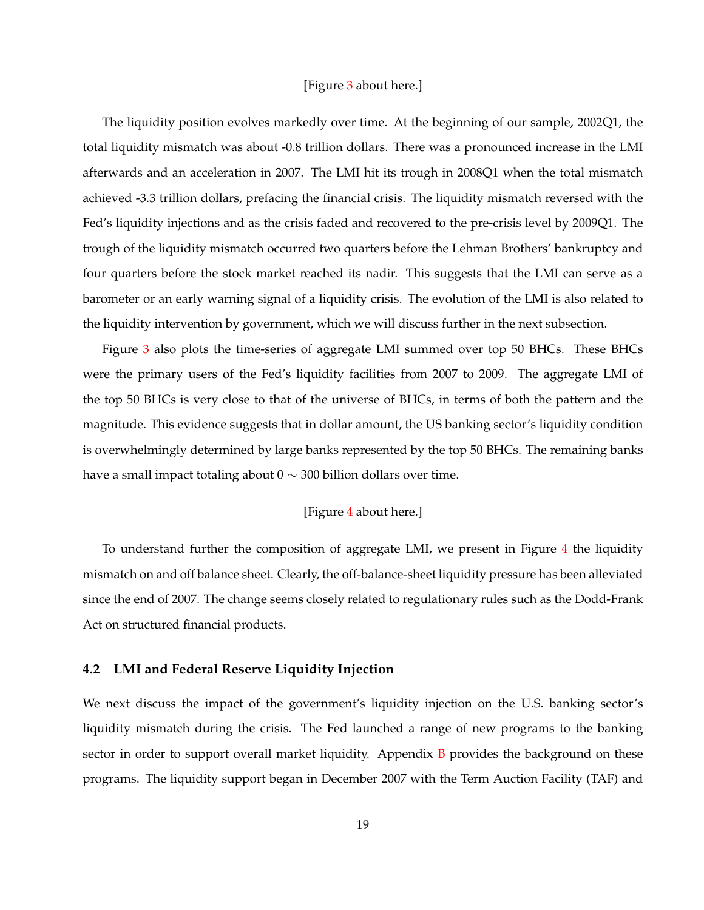#### [Figure [3](#page-42-0) about here.]

The liquidity position evolves markedly over time. At the beginning of our sample, 2002Q1, the total liquidity mismatch was about -0.8 trillion dollars. There was a pronounced increase in the LMI afterwards and an acceleration in 2007. The LMI hit its trough in 2008Q1 when the total mismatch achieved -3.3 trillion dollars, prefacing the financial crisis. The liquidity mismatch reversed with the Fed's liquidity injections and as the crisis faded and recovered to the pre-crisis level by 2009Q1. The trough of the liquidity mismatch occurred two quarters before the Lehman Brothers' bankruptcy and four quarters before the stock market reached its nadir. This suggests that the LMI can serve as a barometer or an early warning signal of a liquidity crisis. The evolution of the LMI is also related to the liquidity intervention by government, which we will discuss further in the next subsection.

Figure [3](#page-42-0) also plots the time-series of aggregate LMI summed over top 50 BHCs. These BHCs were the primary users of the Fed's liquidity facilities from 2007 to 2009. The aggregate LMI of the top 50 BHCs is very close to that of the universe of BHCs, in terms of both the pattern and the magnitude. This evidence suggests that in dollar amount, the US banking sector's liquidity condition is overwhelmingly determined by large banks represented by the top 50 BHCs. The remaining banks have a small impact totaling about  $0 \sim 300$  billion dollars over time.

#### [Figure [4](#page-42-1) about here.]

To understand further the composition of aggregate LMI, we present in Figure [4](#page-42-1) the liquidity mismatch on and off balance sheet. Clearly, the off-balance-sheet liquidity pressure has been alleviated since the end of 2007. The change seems closely related to regulationary rules such as the Dodd-Frank Act on structured financial products.

#### **4.2 LMI and Federal Reserve Liquidity Injection**

We next discuss the impact of the government's liquidity injection on the U.S. banking sector's liquidity mismatch during the crisis. The Fed launched a range of new programs to the banking sector in order to support overall market liquidity. Appendix [B](#page-54-0) provides the background on these programs. The liquidity support began in December 2007 with the Term Auction Facility (TAF) and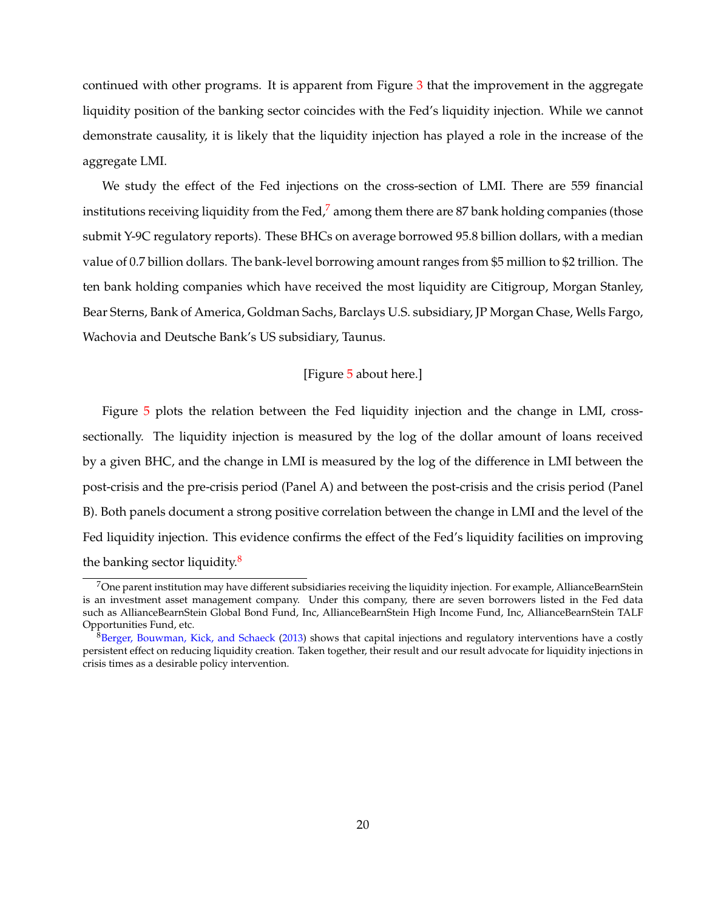continued with other programs. It is apparent from Figure [3](#page-42-0) that the improvement in the aggregate liquidity position of the banking sector coincides with the Fed's liquidity injection. While we cannot demonstrate causality, it is likely that the liquidity injection has played a role in the increase of the aggregate LMI.

We study the effect of the Fed injections on the cross-section of LMI. There are 559 financial institutions receiving liquidity from the Fed,<sup>[7](#page-0-0)</sup> among them there are 87 bank holding companies (those submit Y-9C regulatory reports). These BHCs on average borrowed 95.8 billion dollars, with a median value of 0.7 billion dollars. The bank-level borrowing amount ranges from \$5 million to \$2 trillion. The ten bank holding companies which have received the most liquidity are Citigroup, Morgan Stanley, Bear Sterns, Bank of America, Goldman Sachs, Barclays U.S. subsidiary, JP Morgan Chase, Wells Fargo, Wachovia and Deutsche Bank's US subsidiary, Taunus.

#### [Figure [5](#page-43-0) about here.]

Figure [5](#page-43-0) plots the relation between the Fed liquidity injection and the change in LMI, crosssectionally. The liquidity injection is measured by the log of the dollar amount of loans received by a given BHC, and the change in LMI is measured by the log of the difference in LMI between the post-crisis and the pre-crisis period (Panel A) and between the post-crisis and the crisis period (Panel B). Both panels document a strong positive correlation between the change in LMI and the level of the Fed liquidity injection. This evidence confirms the effect of the Fed's liquidity facilities on improving the banking sector liquidity. $8$ 

<sup>&</sup>lt;sup>7</sup>One parent institution may have different subsidiaries receiving the liquidity injection. For example, AllianceBearnStein is an investment asset management company. Under this company, there are seven borrowers listed in the Fed data such as AllianceBearnStein Global Bond Fund, Inc, AllianceBearnStein High Income Fund, Inc, AllianceBearnStein TALF Opportunities Fund, etc.

 ${}^{8}$ [Berger, Bouwman, Kick, and Schaeck](#page-31-9) [\(2013\)](#page-31-9) shows that capital injections and regulatory interventions have a costly persistent effect on reducing liquidity creation. Taken together, their result and our result advocate for liquidity injections in crisis times as a desirable policy intervention.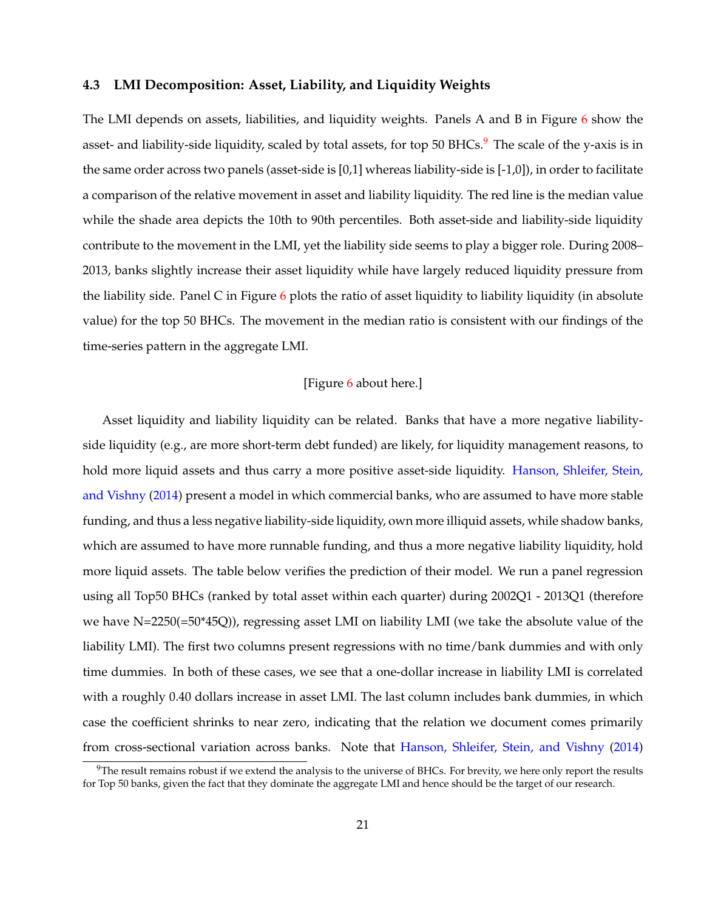#### **4.3 LMI Decomposition: Asset, Liability, and Liquidity Weights**

The LMI depends on assets, liabilities, and liquidity weights. Panels A and B in Figure [6](#page-44-0) show the asset- and liability-side liquidity, scaled by total assets, for top 50 BHCs.<sup>[9](#page-0-0)</sup> The scale of the y-axis is in the same order across two panels (asset-side is [0,1] whereas liability-side is [-1,0]), in order to facilitate a comparison of the relative movement in asset and liability liquidity. The red line is the median value while the shade area depicts the 10th to 90th percentiles. Both asset-side and liability-side liquidity contribute to the movement in the LMI, yet the liability side seems to play a bigger role. During 2008– 2013, banks slightly increase their asset liquidity while have largely reduced liquidity pressure from the liability side. Panel C in Figure [6](#page-44-0) plots the ratio of asset liquidity to liability liquidity (in absolute value) for the top 50 BHCs. The movement in the median ratio is consistent with our findings of the time-series pattern in the aggregate LMI.

#### [Figure [6](#page-44-0) about here.]

Asset liquidity and liability liquidity can be related. Banks that have a more negative liabilityside liquidity (e.g., are more short-term debt funded) are likely, for liquidity management reasons, to hold more liquid assets and thus carry a more positive asset-side liquidity. [Hanson, Shleifer, Stein,](#page-32-10) [and Vishny](#page-32-10) [\(2014\)](#page-32-10) present a model in which commercial banks, who are assumed to have more stable funding, and thus a less negative liability-side liquidity, own more illiquid assets, while shadow banks, which are assumed to have more runnable funding, and thus a more negative liability liquidity, hold more liquid assets. The table below verifies the prediction of their model. We run a panel regression using all Top50 BHCs (ranked by total asset within each quarter) during 2002Q1 - 2013Q1 (therefore we have N=2250(=50\*45Q)), regressing asset LMI on liability LMI (we take the absolute value of the liability LMI). The first two columns present regressions with no time/bank dummies and with only time dummies. In both of these cases, we see that a one-dollar increase in liability LMI is correlated with a roughly 0.40 dollars increase in asset LMI. The last column includes bank dummies, in which case the coefficient shrinks to near zero, indicating that the relation we document comes primarily from cross-sectional variation across banks. Note that [Hanson, Shleifer, Stein, and Vishny](#page-32-10) [\(2014\)](#page-32-10)

 $9$ The result remains robust if we extend the analysis to the universe of BHCs. For brevity, we here only report the results for Top 50 banks, given the fact that they dominate the aggregate LMI and hence should be the target of our research.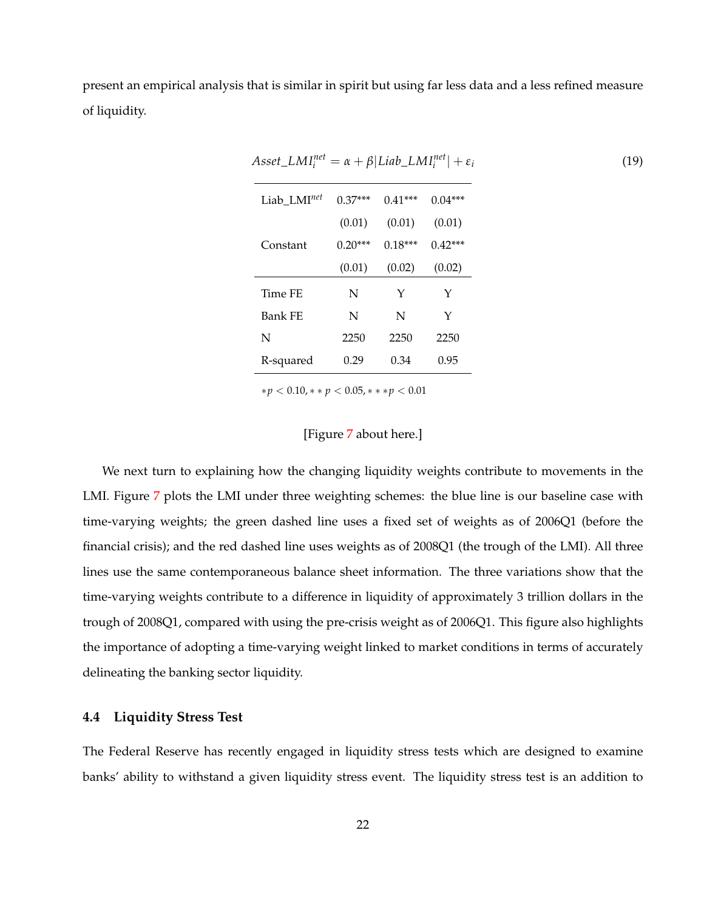present an empirical analysis that is similar in spirit but using far less data and a less refined measure of liquidity.

| Liab_LMI <sup>net</sup> | $0.37***$ | $0.41***$ | $0.04***$ |
|-------------------------|-----------|-----------|-----------|
|                         | (0.01)    | (0.01)    | (0.01)    |
| Constant                | $0.20***$ | $0.18***$ | $0.42***$ |
|                         | (0.01)    | (0.02)    | (0.02)    |
| Time FE                 | N         | Υ         | Υ         |
| Bank FE                 | N         | N         | Υ         |
| N                       | 2250      | 2250      | 2250      |
| R-squared               | 0.29      | 0.34      | 0.95      |

 $\Delta$ *sset*\_*LMI*<sup>*net*</sup></sup> =  $\alpha + \beta |$ *Liab*\_*LMI*<sup>*net*</sup></sup> | +  $\varepsilon$ <sup>*i*</sup> (19)

∗*p* < 0.10, ∗ ∗ *p* < 0.05, ∗ ∗ ∗*p* < 0.01

#### [Figure [7](#page-45-0) about here.]

We next turn to explaining how the changing liquidity weights contribute to movements in the LMI. Figure [7](#page-45-0) plots the LMI under three weighting schemes: the blue line is our baseline case with time-varying weights; the green dashed line uses a fixed set of weights as of 2006Q1 (before the financial crisis); and the red dashed line uses weights as of 2008Q1 (the trough of the LMI). All three lines use the same contemporaneous balance sheet information. The three variations show that the time-varying weights contribute to a difference in liquidity of approximately 3 trillion dollars in the trough of 2008Q1, compared with using the pre-crisis weight as of 2006Q1. This figure also highlights the importance of adopting a time-varying weight linked to market conditions in terms of accurately delineating the banking sector liquidity.

#### **4.4 Liquidity Stress Test**

The Federal Reserve has recently engaged in liquidity stress tests which are designed to examine banks' ability to withstand a given liquidity stress event. The liquidity stress test is an addition to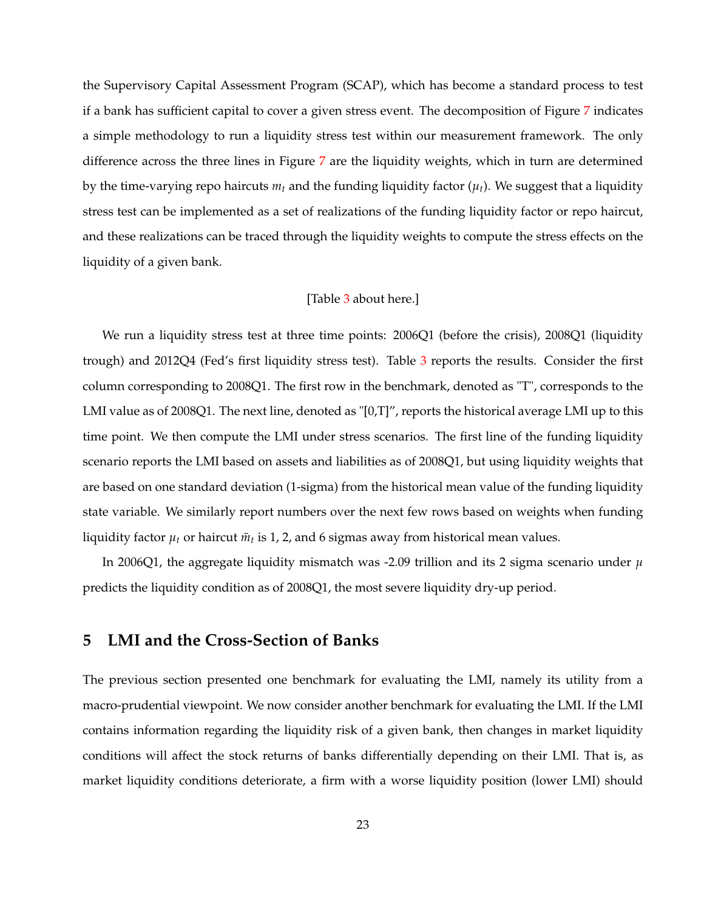the Supervisory Capital Assessment Program (SCAP), which has become a standard process to test if a bank has sufficient capital to cover a given stress event. The decomposition of Figure [7](#page-45-0) indicates a simple methodology to run a liquidity stress test within our measurement framework. The only difference across the three lines in Figure [7](#page-45-0) are the liquidity weights, which in turn are determined by the time-varying repo haircuts  $m_t$  and the funding liquidity factor  $(\mu_t)$ . We suggest that a liquidity stress test can be implemented as a set of realizations of the funding liquidity factor or repo haircut, and these realizations can be traced through the liquidity weights to compute the stress effects on the liquidity of a given bank.

#### [Table [3](#page-36-0) about here.]

We run a liquidity stress test at three time points: 2006Q1 (before the crisis), 2008Q1 (liquidity trough) and 2012Q4 (Fed's first liquidity stress test). Table [3](#page-36-0) reports the results. Consider the first column corresponding to 2008Q1. The first row in the benchmark, denoted as "T", corresponds to the LMI value as of 2008Q1. The next line, denoted as "[0,T]", reports the historical average LMI up to this time point. We then compute the LMI under stress scenarios. The first line of the funding liquidity scenario reports the LMI based on assets and liabilities as of 2008Q1, but using liquidity weights that are based on one standard deviation (1-sigma) from the historical mean value of the funding liquidity state variable. We similarly report numbers over the next few rows based on weights when funding liquidity factor  $\mu_t$  or haircut  $\bar{m}_t$  is 1, 2, and 6 sigmas away from historical mean values.

In 2006Q1, the aggregate liquidity mismatch was -2.09 trillion and its 2 sigma scenario under *µ* predicts the liquidity condition as of 2008Q1, the most severe liquidity dry-up period.

## <span id="page-24-0"></span>**5 LMI and the Cross-Section of Banks**

The previous section presented one benchmark for evaluating the LMI, namely its utility from a macro-prudential viewpoint. We now consider another benchmark for evaluating the LMI. If the LMI contains information regarding the liquidity risk of a given bank, then changes in market liquidity conditions will affect the stock returns of banks differentially depending on their LMI. That is, as market liquidity conditions deteriorate, a firm with a worse liquidity position (lower LMI) should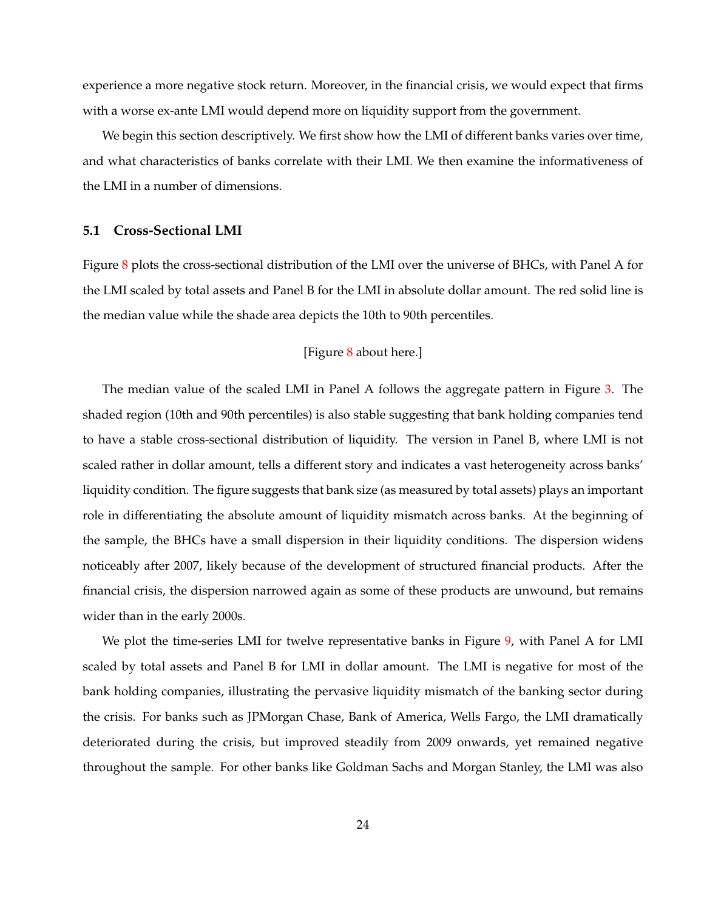experience a more negative stock return. Moreover, in the financial crisis, we would expect that firms with a worse ex-ante LMI would depend more on liquidity support from the government.

We begin this section descriptively. We first show how the LMI of different banks varies over time, and what characteristics of banks correlate with their LMI. We then examine the informativeness of the LMI in a number of dimensions.

#### **5.1 Cross-Sectional LMI**

Figure [8](#page-46-0) plots the cross-sectional distribution of the LMI over the universe of BHCs, with Panel A for the LMI scaled by total assets and Panel B for the LMI in absolute dollar amount. The red solid line is the median value while the shade area depicts the 10th to 90th percentiles.

#### [Figure [8](#page-46-0) about here.]

The median value of the scaled LMI in Panel A follows the aggregate pattern in Figure [3.](#page-42-0) The shaded region (10th and 90th percentiles) is also stable suggesting that bank holding companies tend to have a stable cross-sectional distribution of liquidity. The version in Panel B, where LMI is not scaled rather in dollar amount, tells a different story and indicates a vast heterogeneity across banks' liquidity condition. The figure suggests that bank size (as measured by total assets) plays an important role in differentiating the absolute amount of liquidity mismatch across banks. At the beginning of the sample, the BHCs have a small dispersion in their liquidity conditions. The dispersion widens noticeably after 2007, likely because of the development of structured financial products. After the financial crisis, the dispersion narrowed again as some of these products are unwound, but remains wider than in the early 2000s.

We plot the time-series LMI for twelve representative banks in Figure [9,](#page-47-0) with Panel A for LMI scaled by total assets and Panel B for LMI in dollar amount. The LMI is negative for most of the bank holding companies, illustrating the pervasive liquidity mismatch of the banking sector during the crisis. For banks such as JPMorgan Chase, Bank of America, Wells Fargo, the LMI dramatically deteriorated during the crisis, but improved steadily from 2009 onwards, yet remained negative throughout the sample. For other banks like Goldman Sachs and Morgan Stanley, the LMI was also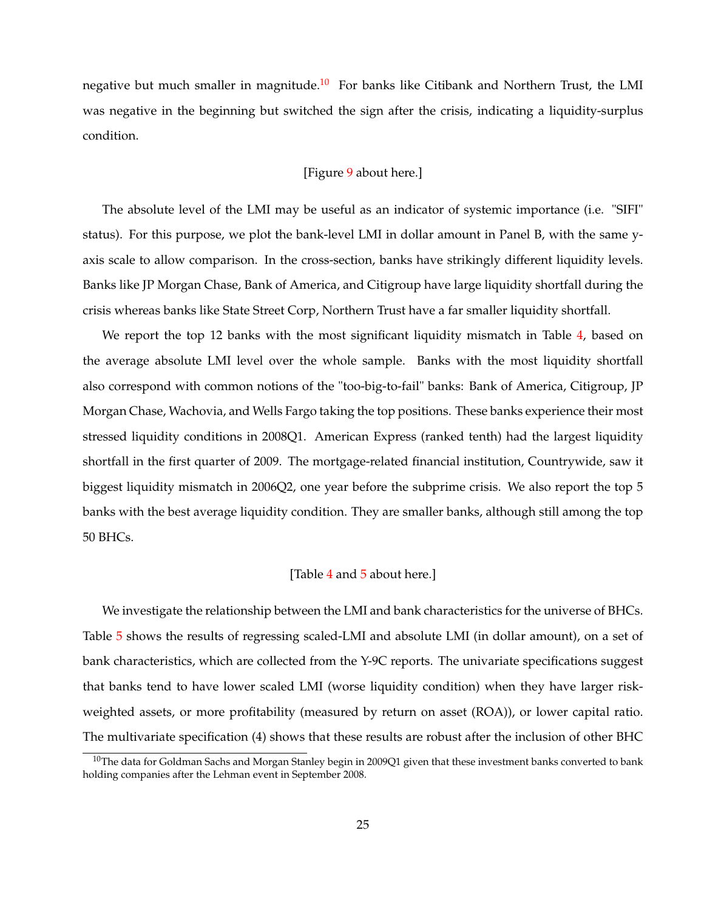negative but much smaller in magnitude.<sup>[10](#page-0-0)</sup> For banks like Citibank and Northern Trust, the LMI was negative in the beginning but switched the sign after the crisis, indicating a liquidity-surplus condition.

#### [Figure [9](#page-47-0) about here.]

The absolute level of the LMI may be useful as an indicator of systemic importance (i.e. "SIFI" status). For this purpose, we plot the bank-level LMI in dollar amount in Panel B, with the same yaxis scale to allow comparison. In the cross-section, banks have strikingly different liquidity levels. Banks like JP Morgan Chase, Bank of America, and Citigroup have large liquidity shortfall during the crisis whereas banks like State Street Corp, Northern Trust have a far smaller liquidity shortfall.

We report the top 12 banks with the most significant liquidity mismatch in Table [4,](#page-37-0) based on the average absolute LMI level over the whole sample. Banks with the most liquidity shortfall also correspond with common notions of the "too-big-to-fail" banks: Bank of America, Citigroup, JP Morgan Chase, Wachovia, and Wells Fargo taking the top positions. These banks experience their most stressed liquidity conditions in 2008Q1. American Express (ranked tenth) had the largest liquidity shortfall in the first quarter of 2009. The mortgage-related financial institution, Countrywide, saw it biggest liquidity mismatch in 2006Q2, one year before the subprime crisis. We also report the top 5 banks with the best average liquidity condition. They are smaller banks, although still among the top 50 BHCs.

#### [Table [4](#page-37-0) and [5](#page-38-0) about here.]

We investigate the relationship between the LMI and bank characteristics for the universe of BHCs. Table [5](#page-38-0) shows the results of regressing scaled-LMI and absolute LMI (in dollar amount), on a set of bank characteristics, which are collected from the Y-9C reports. The univariate specifications suggest that banks tend to have lower scaled LMI (worse liquidity condition) when they have larger riskweighted assets, or more profitability (measured by return on asset (ROA)), or lower capital ratio. The multivariate specification (4) shows that these results are robust after the inclusion of other BHC

 $10$ The data for Goldman Sachs and Morgan Stanley begin in 2009Q1 given that these investment banks converted to bank holding companies after the Lehman event in September 2008.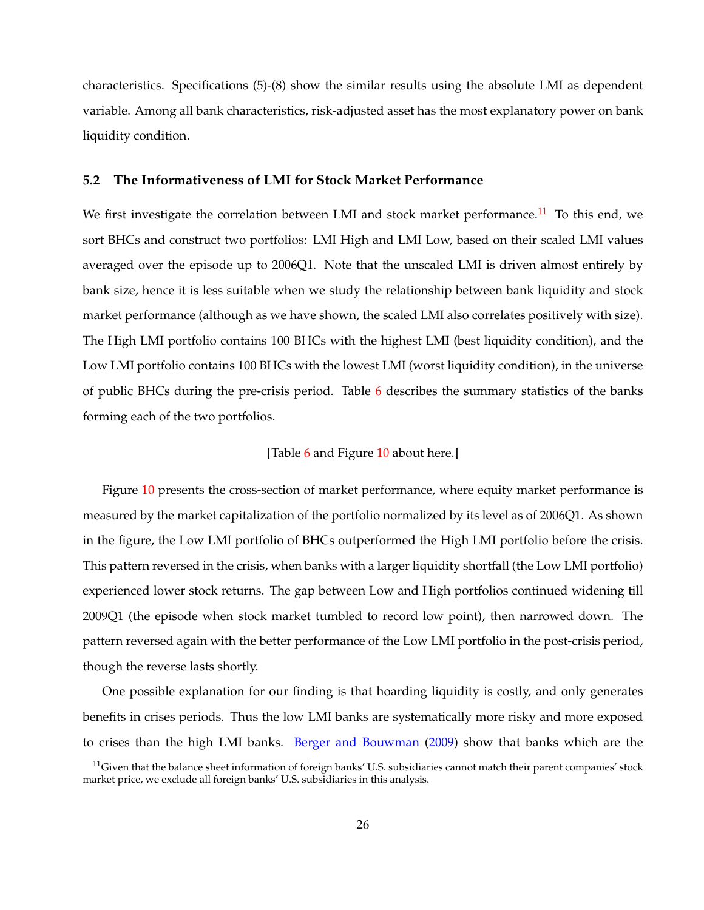characteristics. Specifications (5)-(8) show the similar results using the absolute LMI as dependent variable. Among all bank characteristics, risk-adjusted asset has the most explanatory power on bank liquidity condition.

#### **5.2 The Informativeness of LMI for Stock Market Performance**

We first investigate the correlation between LMI and stock market performance.<sup>[11](#page-0-0)</sup> To this end, we sort BHCs and construct two portfolios: LMI High and LMI Low, based on their scaled LMI values averaged over the episode up to 2006Q1. Note that the unscaled LMI is driven almost entirely by bank size, hence it is less suitable when we study the relationship between bank liquidity and stock market performance (although as we have shown, the scaled LMI also correlates positively with size). The High LMI portfolio contains 100 BHCs with the highest LMI (best liquidity condition), and the Low LMI portfolio contains 100 BHCs with the lowest LMI (worst liquidity condition), in the universe of public BHCs during the pre-crisis period. Table [6](#page-39-0) describes the summary statistics of the banks forming each of the two portfolios.

#### [Table [6](#page-39-0) and Figure [10](#page-49-0) about here.]

Figure [10](#page-49-0) presents the cross-section of market performance, where equity market performance is measured by the market capitalization of the portfolio normalized by its level as of 2006Q1. As shown in the figure, the Low LMI portfolio of BHCs outperformed the High LMI portfolio before the crisis. This pattern reversed in the crisis, when banks with a larger liquidity shortfall (the Low LMI portfolio) experienced lower stock returns. The gap between Low and High portfolios continued widening till 2009Q1 (the episode when stock market tumbled to record low point), then narrowed down. The pattern reversed again with the better performance of the Low LMI portfolio in the post-crisis period, though the reverse lasts shortly.

One possible explanation for our finding is that hoarding liquidity is costly, and only generates benefits in crises periods. Thus the low LMI banks are systematically more risky and more exposed to crises than the high LMI banks. [Berger and Bouwman](#page-31-4) [\(2009\)](#page-31-4) show that banks which are the

 $11$ Given that the balance sheet information of foreign banks' U.S. subsidiaries cannot match their parent companies' stock market price, we exclude all foreign banks' U.S. subsidiaries in this analysis.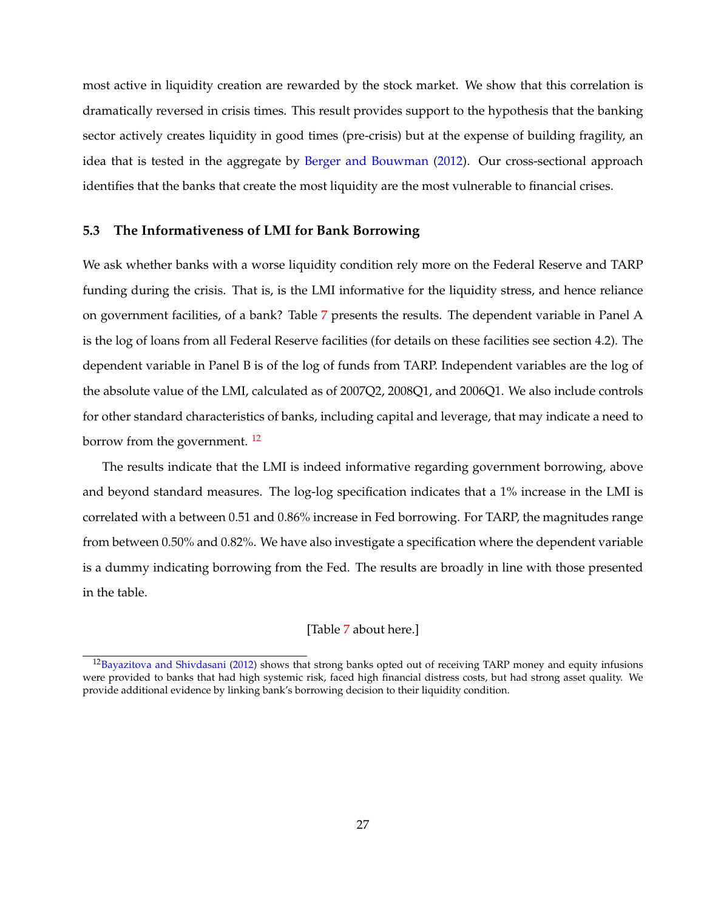most active in liquidity creation are rewarded by the stock market. We show that this correlation is dramatically reversed in crisis times. This result provides support to the hypothesis that the banking sector actively creates liquidity in good times (pre-crisis) but at the expense of building fragility, an idea that is tested in the aggregate by [Berger and Bouwman](#page-31-10) [\(2012\)](#page-31-10). Our cross-sectional approach identifies that the banks that create the most liquidity are the most vulnerable to financial crises.

#### **5.3 The Informativeness of LMI for Bank Borrowing**

We ask whether banks with a worse liquidity condition rely more on the Federal Reserve and TARP funding during the crisis. That is, is the LMI informative for the liquidity stress, and hence reliance on government facilities, of a bank? Table [7](#page-40-0) presents the results. The dependent variable in Panel A is the log of loans from all Federal Reserve facilities (for details on these facilities see section 4.2). The dependent variable in Panel B is of the log of funds from TARP. Independent variables are the log of the absolute value of the LMI, calculated as of 2007Q2, 2008Q1, and 2006Q1. We also include controls for other standard characteristics of banks, including capital and leverage, that may indicate a need to borrow from the government.<sup>[12](#page-0-0)</sup>

The results indicate that the LMI is indeed informative regarding government borrowing, above and beyond standard measures. The log-log specification indicates that a 1% increase in the LMI is correlated with a between 0.51 and 0.86% increase in Fed borrowing. For TARP, the magnitudes range from between 0.50% and 0.82%. We have also investigate a specification where the dependent variable is a dummy indicating borrowing from the Fed. The results are broadly in line with those presented in the table.

#### [Table [7](#page-40-0) about here.]

 $12$ [Bayazitova and Shivdasani](#page-31-11) [\(2012\)](#page-31-11) shows that strong banks opted out of receiving TARP money and equity infusions were provided to banks that had high systemic risk, faced high financial distress costs, but had strong asset quality. We provide additional evidence by linking bank's borrowing decision to their liquidity condition.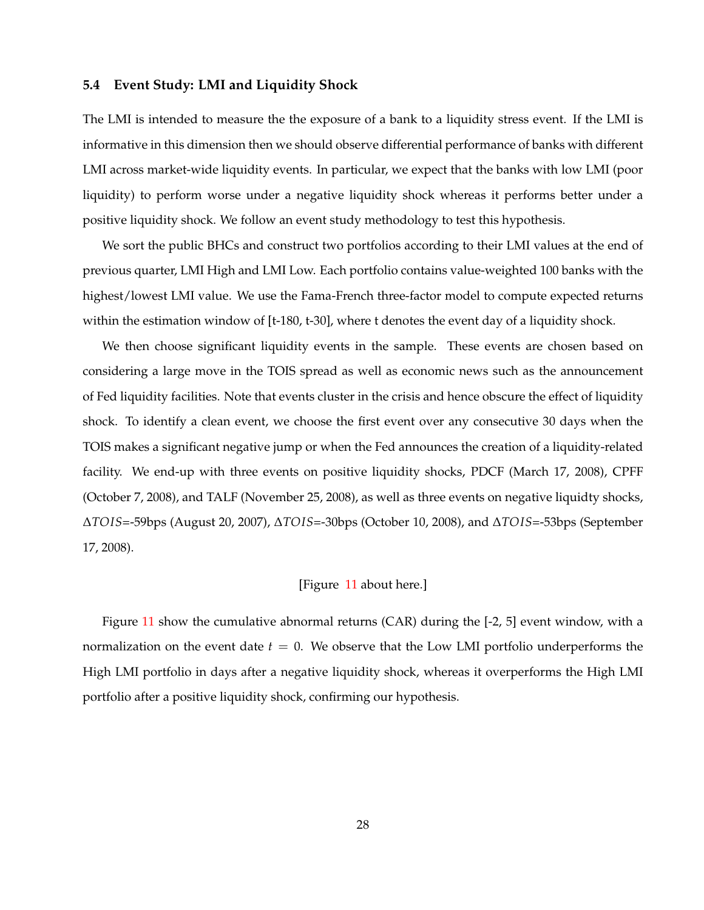#### **5.4 Event Study: LMI and Liquidity Shock**

The LMI is intended to measure the the exposure of a bank to a liquidity stress event. If the LMI is informative in this dimension then we should observe differential performance of banks with different LMI across market-wide liquidity events. In particular, we expect that the banks with low LMI (poor liquidity) to perform worse under a negative liquidity shock whereas it performs better under a positive liquidity shock. We follow an event study methodology to test this hypothesis.

We sort the public BHCs and construct two portfolios according to their LMI values at the end of previous quarter, LMI High and LMI Low. Each portfolio contains value-weighted 100 banks with the highest/lowest LMI value. We use the Fama-French three-factor model to compute expected returns within the estimation window of [t-180, t-30], where t denotes the event day of a liquidity shock.

We then choose significant liquidity events in the sample. These events are chosen based on considering a large move in the TOIS spread as well as economic news such as the announcement of Fed liquidity facilities. Note that events cluster in the crisis and hence obscure the effect of liquidity shock. To identify a clean event, we choose the first event over any consecutive 30 days when the TOIS makes a significant negative jump or when the Fed announces the creation of a liquidity-related facility. We end-up with three events on positive liquidity shocks, PDCF (March 17, 2008), CPFF (October 7, 2008), and TALF (November 25, 2008), as well as three events on negative liquidty shocks, ∆*TOIS*=-59bps (August 20, 2007), ∆*TOIS*=-30bps (October 10, 2008), and ∆*TOIS*=-53bps (September 17, 2008).

#### [Figure [11](#page-50-0) about here.]

Figure [11](#page-50-0) show the cumulative abnormal returns (CAR) during the [-2, 5] event window, with a normalization on the event date  $t = 0$ . We observe that the Low LMI portfolio underperforms the High LMI portfolio in days after a negative liquidity shock, whereas it overperforms the High LMI portfolio after a positive liquidity shock, confirming our hypothesis.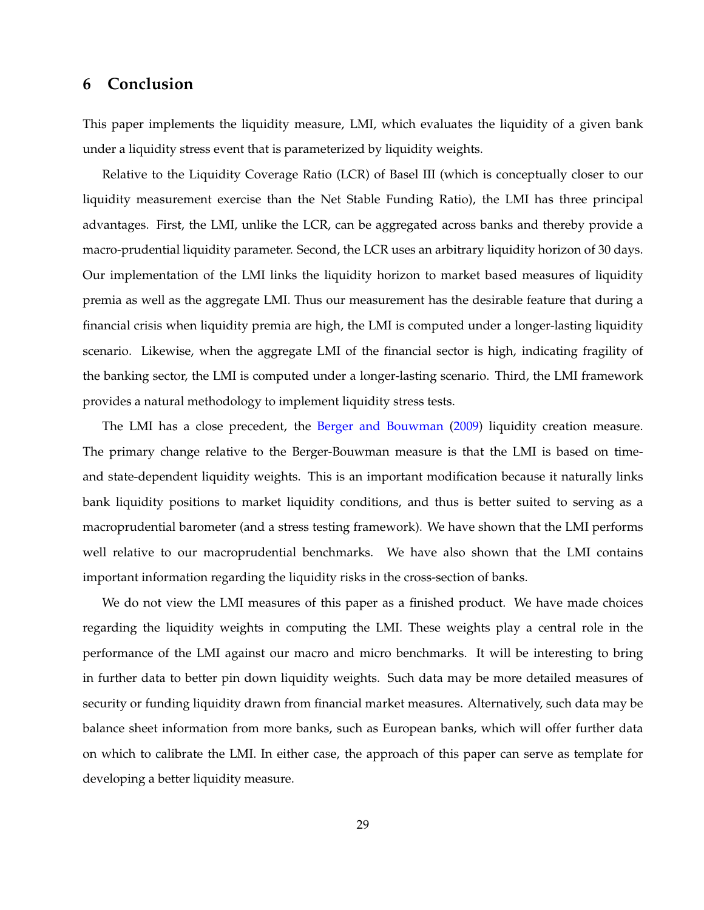## <span id="page-30-0"></span>**6 Conclusion**

This paper implements the liquidity measure, LMI, which evaluates the liquidity of a given bank under a liquidity stress event that is parameterized by liquidity weights.

Relative to the Liquidity Coverage Ratio (LCR) of Basel III (which is conceptually closer to our liquidity measurement exercise than the Net Stable Funding Ratio), the LMI has three principal advantages. First, the LMI, unlike the LCR, can be aggregated across banks and thereby provide a macro-prudential liquidity parameter. Second, the LCR uses an arbitrary liquidity horizon of 30 days. Our implementation of the LMI links the liquidity horizon to market based measures of liquidity premia as well as the aggregate LMI. Thus our measurement has the desirable feature that during a financial crisis when liquidity premia are high, the LMI is computed under a longer-lasting liquidity scenario. Likewise, when the aggregate LMI of the financial sector is high, indicating fragility of the banking sector, the LMI is computed under a longer-lasting scenario. Third, the LMI framework provides a natural methodology to implement liquidity stress tests.

The LMI has a close precedent, the [Berger and Bouwman](#page-31-4) [\(2009\)](#page-31-4) liquidity creation measure. The primary change relative to the Berger-Bouwman measure is that the LMI is based on timeand state-dependent liquidity weights. This is an important modification because it naturally links bank liquidity positions to market liquidity conditions, and thus is better suited to serving as a macroprudential barometer (and a stress testing framework). We have shown that the LMI performs well relative to our macroprudential benchmarks. We have also shown that the LMI contains important information regarding the liquidity risks in the cross-section of banks.

We do not view the LMI measures of this paper as a finished product. We have made choices regarding the liquidity weights in computing the LMI. These weights play a central role in the performance of the LMI against our macro and micro benchmarks. It will be interesting to bring in further data to better pin down liquidity weights. Such data may be more detailed measures of security or funding liquidity drawn from financial market measures. Alternatively, such data may be balance sheet information from more banks, such as European banks, which will offer further data on which to calibrate the LMI. In either case, the approach of this paper can serve as template for developing a better liquidity measure.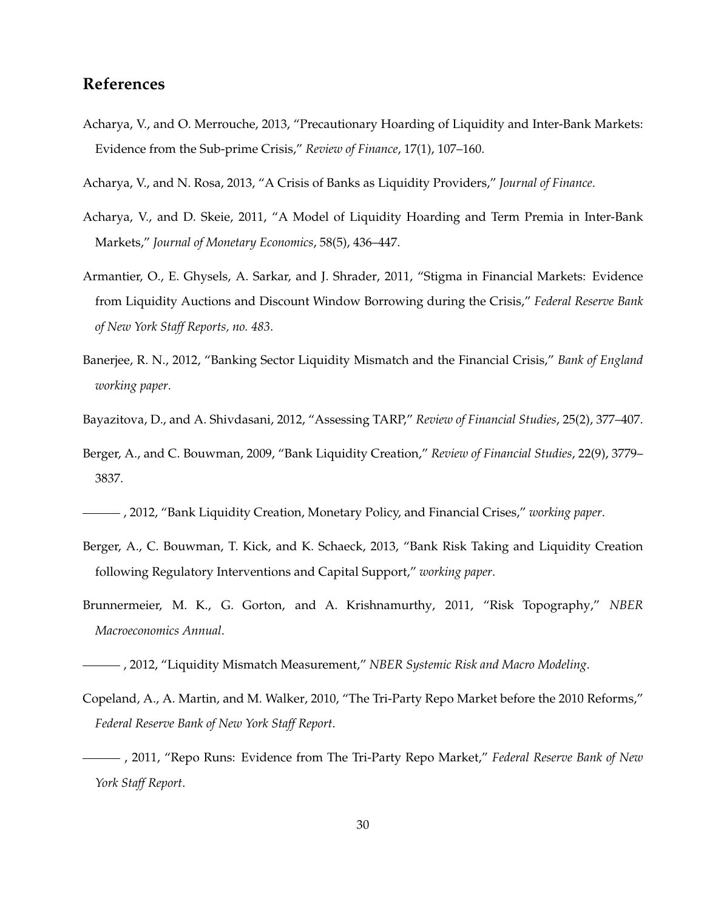# **References**

- <span id="page-31-5"></span>Acharya, V., and O. Merrouche, 2013, "Precautionary Hoarding of Liquidity and Inter-Bank Markets: Evidence from the Sub-prime Crisis," *Review of Finance*, 17(1), 107–160.
- <span id="page-31-6"></span>Acharya, V., and N. Rosa, 2013, "A Crisis of Banks as Liquidity Providers," *Journal of Finance*.
- <span id="page-31-2"></span>Acharya, V., and D. Skeie, 2011, "A Model of Liquidity Hoarding and Term Premia in Inter-Bank Markets," *Journal of Monetary Economics*, 58(5), 436–447.
- <span id="page-31-12"></span>Armantier, O., E. Ghysels, A. Sarkar, and J. Shrader, 2011, "Stigma in Financial Markets: Evidence from Liquidity Auctions and Discount Window Borrowing during the Crisis," *Federal Reserve Bank of New York Staff Reports, no. 483*.
- <span id="page-31-3"></span>Banerjee, R. N., 2012, "Banking Sector Liquidity Mismatch and the Financial Crisis," *Bank of England working paper*.
- <span id="page-31-11"></span>Bayazitova, D., and A. Shivdasani, 2012, "Assessing TARP," *Review of Financial Studies*, 25(2), 377–407.
- <span id="page-31-4"></span>Berger, A., and C. Bouwman, 2009, "Bank Liquidity Creation," *Review of Financial Studies*, 22(9), 3779– 3837.

<span id="page-31-10"></span>, 2012, "Bank Liquidity Creation, Monetary Policy, and Financial Crises," *working paper*.

- <span id="page-31-9"></span>Berger, A., C. Bouwman, T. Kick, and K. Schaeck, 2013, "Bank Risk Taking and Liquidity Creation following Regulatory Interventions and Capital Support," *working paper*.
- <span id="page-31-0"></span>Brunnermeier, M. K., G. Gorton, and A. Krishnamurthy, 2011, "Risk Topography," *NBER Macroeconomics Annual*.

<span id="page-31-7"></span>Copeland, A., A. Martin, and M. Walker, 2010, "The Tri-Party Repo Market before the 2010 Reforms," *Federal Reserve Bank of New York Staff Report*.

<span id="page-31-1"></span><sup>, 2012, &</sup>quot;Liquidity Mismatch Measurement," *NBER Systemic Risk and Macro Modeling*.

<span id="page-31-8"></span><sup>, 2011, &</sup>quot;Repo Runs: Evidence from The Tri-Party Repo Market," *Federal Reserve Bank of New York Staff Report*.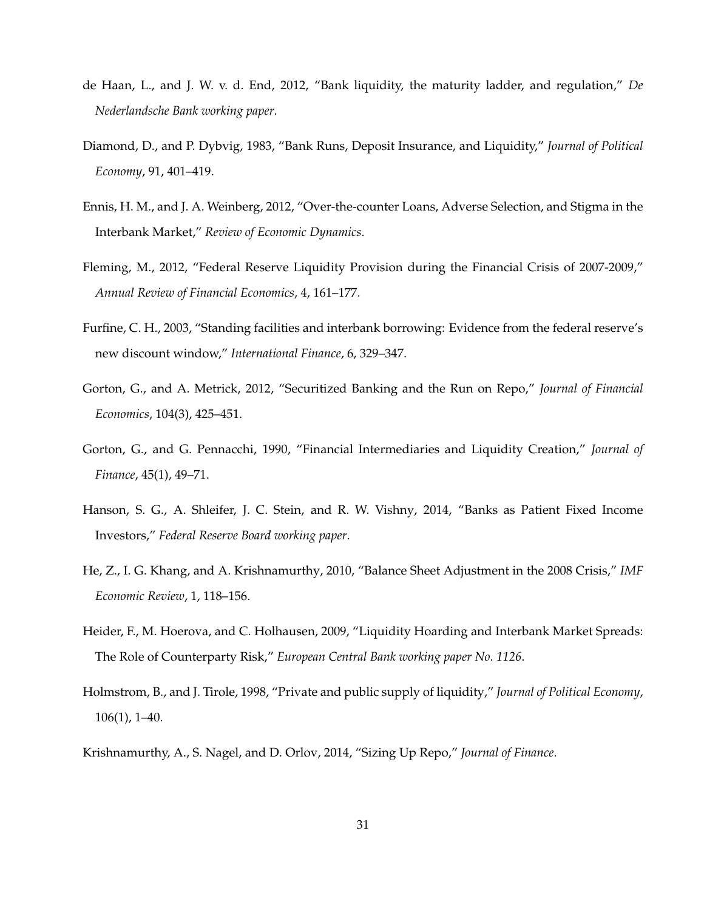- <span id="page-32-3"></span>de Haan, L., and J. W. v. d. End, 2012, "Bank liquidity, the maturity ladder, and regulation," *De Nederlandsche Bank working paper*.
- <span id="page-32-8"></span>Diamond, D., and P. Dybvig, 1983, "Bank Runs, Deposit Insurance, and Liquidity," *Journal of Political Economy*, 91, 401–419.
- <span id="page-32-2"></span>Ennis, H. M., and J. A. Weinberg, 2012, "Over-the-counter Loans, Adverse Selection, and Stigma in the Interbank Market," *Review of Economic Dynamics*.
- <span id="page-32-0"></span>Fleming, M., 2012, "Federal Reserve Liquidity Provision during the Financial Crisis of 2007-2009," *Annual Review of Financial Economics*, 4, 161–177.
- <span id="page-32-11"></span>Furfine, C. H., 2003, "Standing facilities and interbank borrowing: Evidence from the federal reserve's new discount window," *International Finance*, 6, 329–347.
- <span id="page-32-7"></span>Gorton, G., and A. Metrick, 2012, "Securitized Banking and the Run on Repo," *Journal of Financial Economics*, 104(3), 425–451.
- <span id="page-32-9"></span>Gorton, G., and G. Pennacchi, 1990, "Financial Intermediaries and Liquidity Creation," *Journal of Finance*, 45(1), 49–71.
- <span id="page-32-10"></span>Hanson, S. G., A. Shleifer, J. C. Stein, and R. W. Vishny, 2014, "Banks as Patient Fixed Income Investors," *Federal Reserve Board working paper*.
- <span id="page-32-1"></span>He, Z., I. G. Khang, and A. Krishnamurthy, 2010, "Balance Sheet Adjustment in the 2008 Crisis," *IMF Economic Review*, 1, 118–156.
- <span id="page-32-4"></span>Heider, F., M. Hoerova, and C. Holhausen, 2009, "Liquidity Hoarding and Interbank Market Spreads: The Role of Counterparty Risk," *European Central Bank working paper No. 1126*.
- <span id="page-32-5"></span>Holmstrom, B., and J. Tirole, 1998, "Private and public supply of liquidity," *Journal of Political Economy*, 106(1), 1–40.
- <span id="page-32-6"></span>Krishnamurthy, A., S. Nagel, and D. Orlov, 2014, "Sizing Up Repo," *Journal of Finance*.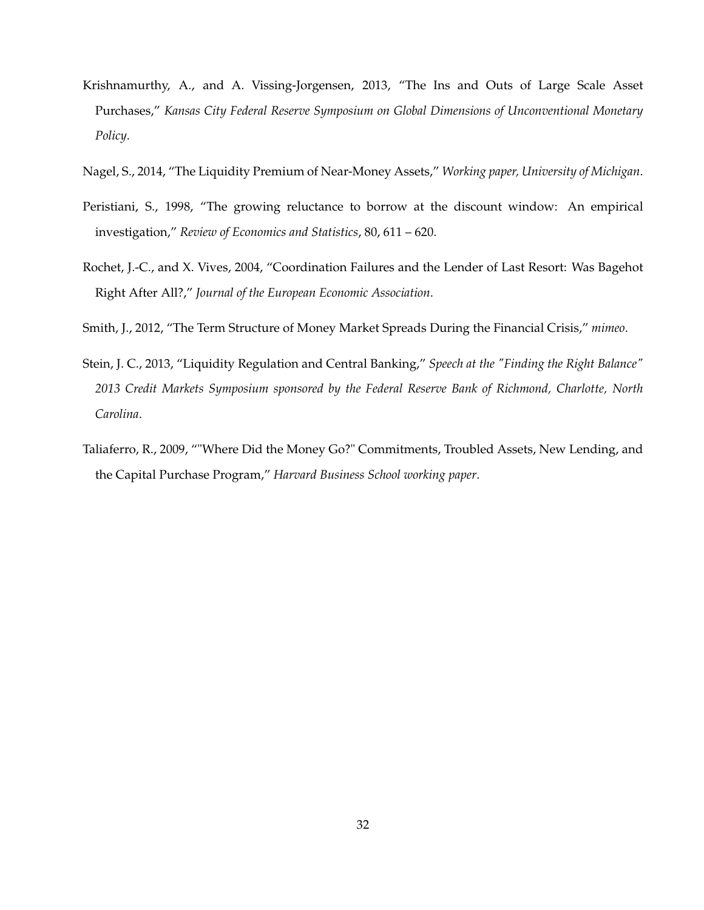- <span id="page-33-2"></span>Krishnamurthy, A., and A. Vissing-Jorgensen, 2013, "The Ins and Outs of Large Scale Asset Purchases," *Kansas City Federal Reserve Symposium on Global Dimensions of Unconventional Monetary Policy*.
- <span id="page-33-3"></span>Nagel, S., 2014, "The Liquidity Premium of Near-Money Assets," *Working paper, University of Michigan*.
- <span id="page-33-5"></span>Peristiani, S., 1998, "The growing reluctance to borrow at the discount window: An empirical investigation," *Review of Economics and Statistics*, 80, 611 – 620.
- <span id="page-33-0"></span>Rochet, J.-C., and X. Vives, 2004, "Coordination Failures and the Lender of Last Resort: Was Bagehot Right After All?," *Journal of the European Economic Association*.
- <span id="page-33-4"></span>Smith, J., 2012, "The Term Structure of Money Market Spreads During the Financial Crisis," *mimeo*.
- <span id="page-33-1"></span>Stein, J. C., 2013, "Liquidity Regulation and Central Banking," *Speech at the "Finding the Right Balance" 2013 Credit Markets Symposium sponsored by the Federal Reserve Bank of Richmond, Charlotte, North Carolina*.
- Taliaferro, R., 2009, ""Where Did the Money Go?" Commitments, Troubled Assets, New Lending, and the Capital Purchase Program," *Harvard Business School working paper*.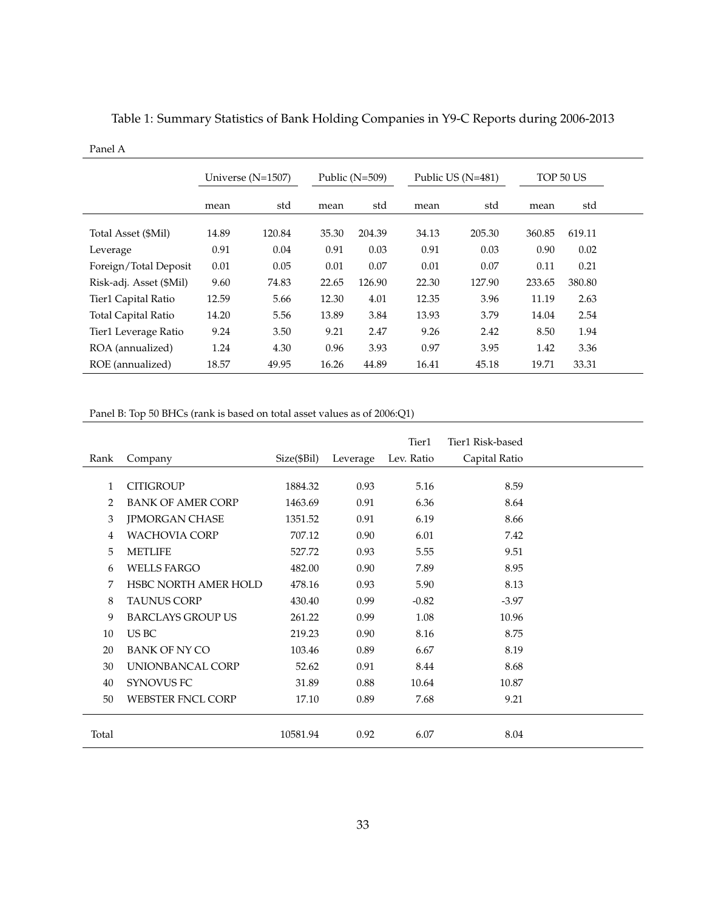<span id="page-34-0"></span>

| Table 1: Summary Statistics of Bank Holding Companies in Y9-C Reports during 2006-2013 |  |  |  |
|----------------------------------------------------------------------------------------|--|--|--|
|                                                                                        |  |  |  |

|                            |       | Universe $(N=1507)$ |       | Public $(N=509)$ |       | Public US (N=481) |        | TOP 50 US |
|----------------------------|-------|---------------------|-------|------------------|-------|-------------------|--------|-----------|
|                            | mean  | std                 | mean  | std              | mean  | std               | mean   | std       |
| Total Asset (\$Mil)        | 14.89 | 120.84              | 35.30 | 204.39           | 34.13 | 205.30            | 360.85 | 619.11    |
| Leverage                   | 0.91  | 0.04                | 0.91  | 0.03             | 0.91  | 0.03              | 0.90   | 0.02      |
| Foreign/Total Deposit      | 0.01  | 0.05                | 0.01  | 0.07             | 0.01  | 0.07              | 0.11   | 0.21      |
| Risk-adj. Asset (\$Mil)    | 9.60  | 74.83               | 22.65 | 126.90           | 22.30 | 127.90            | 233.65 | 380.80    |
| Tier1 Capital Ratio        | 12.59 | 5.66                | 12.30 | 4.01             | 12.35 | 3.96              | 11.19  | 2.63      |
| <b>Total Capital Ratio</b> | 14.20 | 5.56                | 13.89 | 3.84             | 13.93 | 3.79              | 14.04  | 2.54      |
| Tier1 Leverage Ratio       | 9.24  | 3.50                | 9.21  | 2.47             | 9.26  | 2.42              | 8.50   | 1.94      |
| ROA (annualized)           | 1.24  | 4.30                | 0.96  | 3.93             | 0.97  | 3.95              | 1.42   | 3.36      |
| ROE (annualized)           | 18.57 | 49.95               | 16.26 | 44.89            | 16.41 | 45.18             | 19.71  | 33.31     |

#### Panel A

Panel B: Top 50 BHCs (rank is based on total asset values as of 2006:Q1)

|       |                             |                |          | Tier1      | Tier1 Risk-based |  |
|-------|-----------------------------|----------------|----------|------------|------------------|--|
| Rank  | Company                     | $Size($ $Bil)$ | Leverage | Lev. Ratio | Capital Ratio    |  |
|       |                             |                |          |            |                  |  |
| 1     | <b>CITIGROUP</b>            | 1884.32        | 0.93     | 5.16       | 8.59             |  |
| 2     | <b>BANK OF AMER CORP</b>    | 1463.69        | 0.91     | 6.36       | 8.64             |  |
| 3     | <b>JPMORGAN CHASE</b>       | 1351.52        | 0.91     | 6.19       | 8.66             |  |
| 4     | <b>WACHOVIA CORP</b>        | 707.12         | 0.90     | 6.01       | 7.42             |  |
| 5     | <b>METLIFE</b>              | 527.72         | 0.93     | 5.55       | 9.51             |  |
| 6     | <b>WELLS FARGO</b>          | 482.00         | 0.90     | 7.89       | 8.95             |  |
| 7     | <b>HSBC NORTH AMER HOLD</b> | 478.16         | 0.93     | 5.90       | 8.13             |  |
| 8     | <b>TAUNUS CORP</b>          | 430.40         | 0.99     | $-0.82$    | $-3.97$          |  |
| 9     | <b>BARCLAYS GROUP US</b>    | 261.22         | 0.99     | 1.08       | 10.96            |  |
| 10    | US BC                       | 219.23         | 0.90     | 8.16       | 8.75             |  |
| 20    | <b>BANK OF NY CO</b>        | 103.46         | 0.89     | 6.67       | 8.19             |  |
| 30    | UNIONBANCAL CORP            | 52.62          | 0.91     | 8.44       | 8.68             |  |
| 40    | <b>SYNOVUS FC</b>           | 31.89          | 0.88     | 10.64      | 10.87            |  |
| 50    | <b>WEBSTER FNCL CORP</b>    | 17.10          | 0.89     | 7.68       | 9.21             |  |
| Total |                             | 10581.94       | 0.92     | 6.07       | 8.04             |  |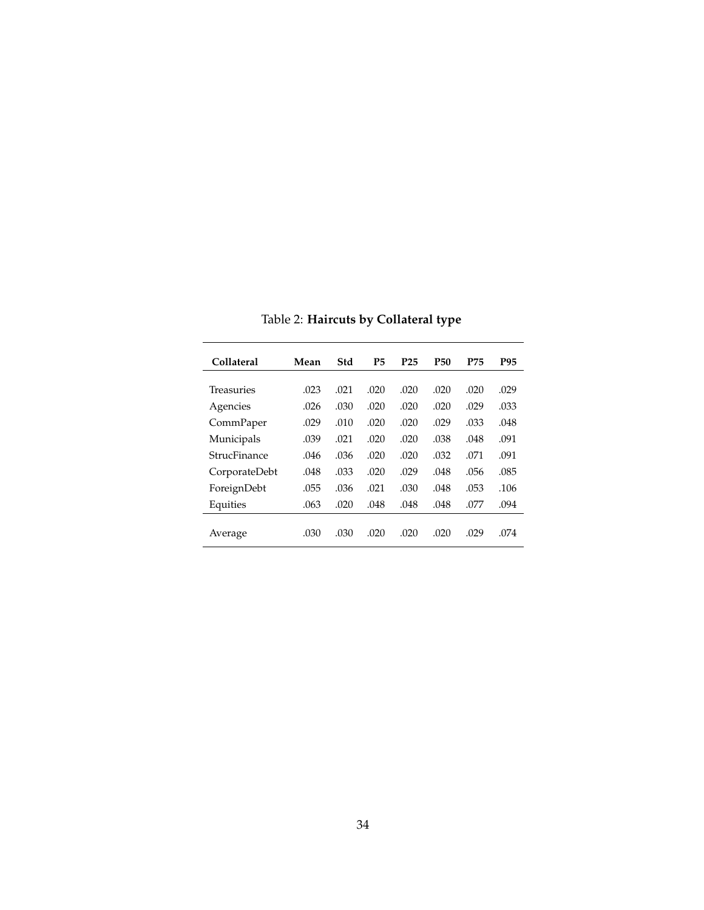| Collateral        | Mean | Std  | <b>P5</b> | P <sub>25</sub> | <b>P50</b> | <b>P75</b> | P95  |
|-------------------|------|------|-----------|-----------------|------------|------------|------|
|                   |      |      |           |                 |            |            |      |
| <b>Treasuries</b> | .023 | .021 | .020      | .020            | .020       | .020       | .029 |
| Agencies          | .026 | .030 | .020      | .020            | .020       | .029       | .033 |
| CommPaper         | .029 | .010 | .020      | .020            | .029       | .033       | .048 |
| Municipals        | .039 | .021 | .020      | .020            | .038       | .048       | .091 |
| StrucFinance      | .046 | .036 | .020      | .020            | .032       | .071       | .091 |
| CorporateDebt     | .048 | .033 | .020      | .029            | .048       | .056       | .085 |
| ForeignDebt       | .055 | .036 | .021      | .030            | .048       | .053       | .106 |
| Equities          | .063 | .020 | .048      | .048            | .048       | .077       | .094 |
|                   |      |      |           |                 |            |            |      |
| Average           | .030 | .030 | .020      | .020            | .020       | .029       | .074 |

<span id="page-35-0"></span>Table 2: **Haircuts by Collateral type**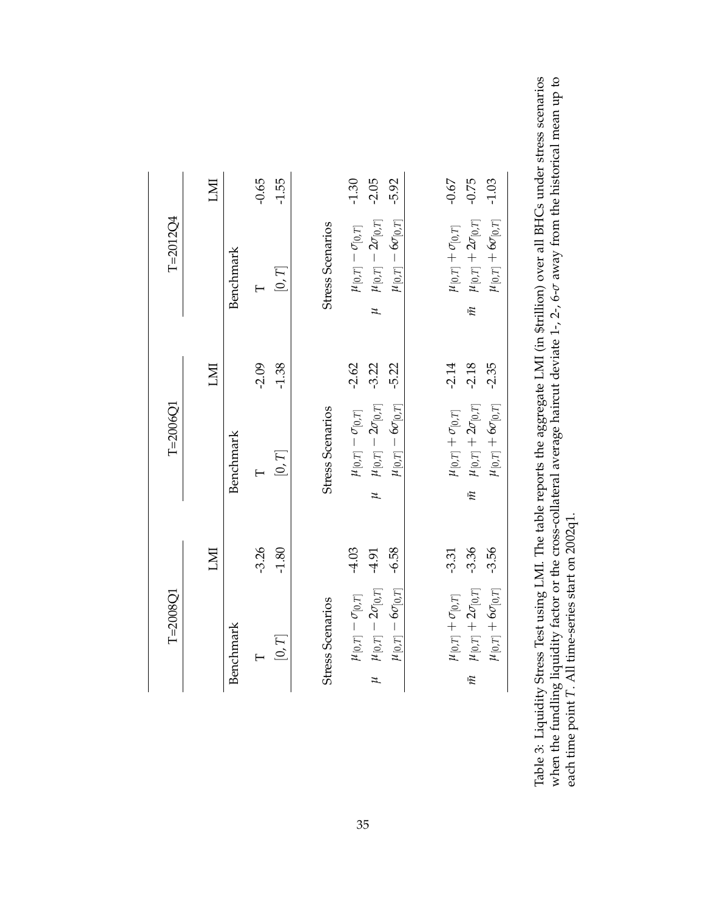|              | <b>IVII</b> | $-0.65$<br>$-1.55$                 | $-1.30$<br>$-2.05$<br>$-5.92$                                                                                                        | $-0.67$<br>$-0.75$<br>$-1.03$                                                                           |
|--------------|-------------|------------------------------------|--------------------------------------------------------------------------------------------------------------------------------------|---------------------------------------------------------------------------------------------------------|
| $T = 2012Q4$ | Benchmark   | [0, T]<br>$\overline{\phantom{0}}$ | $\mu_{[0,T]}-2\sigma_{[0,T]}$<br><b>Stress Scenarios</b><br>$\mu_{[0,T]}-6\sigma_{[0,T]}$<br>$\mu_{[0,T]} - \sigma_{[0,T]}$<br>$\mu$ | $\mu_{[0,T]} + 6\sigma_{[0,T]}$<br>$\mu_{[0,T]}+2\sigma_{[0,T]}$<br>$\mu_{[0,T]}+\sigma_{[0,T]}$<br>ijд |
|              | IMI         | $-1.38$<br>$-2.09$                 | $-2.62$<br>$-3.22$<br>$-5.22$                                                                                                        | $-2.14$<br>$-2.18$<br>$-2.35$                                                                           |
| $T=2006Q1$   | Benchmark   | [0, T]<br>$\overline{\phantom{0}}$ | $\mu_{[0,T]}-2\sigma_{[0,T]}$<br>$\mu_{[0,T]}-6\sigma_{[0,T]}$<br><b>Stress Scenarios</b><br>$\mu_{[0,T]} - \sigma_{[0,T]}$<br>Ħ     | $\mu_{[0,T]} + 6\sigma_{[0,T]}$<br>$\mu_{[0,T]}+2\sigma_{[0,T]}$<br>$\mu_{[0,T]}+\sigma_{[0,T]}$<br>Й   |
|              | <b>INT</b>  | $-3.26$<br>$-1.80$                 | $-4.03$<br>$-6.58$<br>$-4.91$                                                                                                        | $-3.36$<br>$-3.56$<br>$-3.31$                                                                           |
| $T=2008Q1$   | Benchmark   | [0, T]<br>$\overline{\phantom{0}}$ | $\mu_{[0,T]}-2\sigma_{[0,T]}$<br>$\mu_{[0,T]}-6\sigma_{[0,T]}$<br>$\mu_{[0,T]} - \sigma_{[0,T]}$<br><b>Stress Scenarios</b><br>z     | $\mu_{[0,T]} + 6\sigma_{[0,T]}$<br>$\mu_{[0,T]}+2\sigma_{[0,T]}$<br>$\mu_{[0,T]}+\sigma_{[0,T]}$<br>Й   |

<span id="page-36-0"></span>Table 3: Liquidity Stress Test using LMI. The table reports the aggregate LMI (in \$trillion) over all BHCs under stress scenarios when the fundling liquidity factor or the cross-collateral average haircut deviate 1-, 2-, 6- Table 3: Liquidity Stress Test using LMI. The table reports the aggregate LMI (in \$trillion) over all BHCs under stress scenarios<br>when the fundling liquidity factor or the cross-collateral average haircut deviate 1-, 2-, 6  $\sigma$  away from the historical mean up to each time point *T*. All time-series start on 2002q1.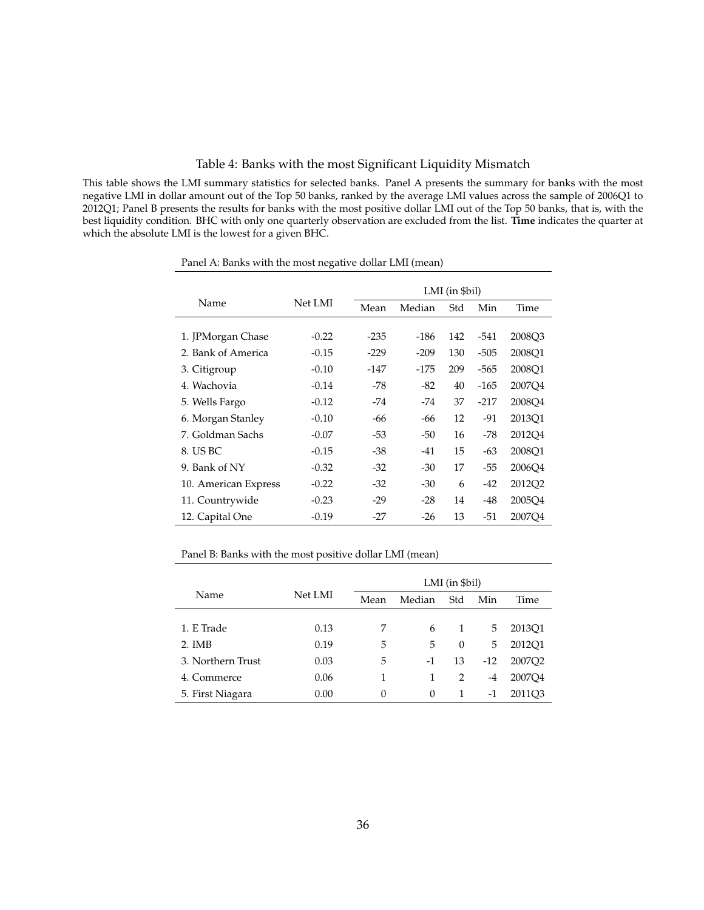#### <span id="page-37-0"></span>Table 4: Banks with the most Significant Liquidity Mismatch

This table shows the LMI summary statistics for selected banks. Panel A presents the summary for banks with the most negative LMI in dollar amount out of the Top 50 banks, ranked by the average LMI values across the sample of 2006Q1 to 2012Q1; Panel B presents the results for banks with the most positive dollar LMI out of the Top 50 banks, that is, with the best liquidity condition. BHC with only one quarterly observation are excluded from the list. **Time** indicates the quarter at which the absolute LMI is the lowest for a given BHC.

|                      |         |        |        | LMI (in \$bil) |        |        |
|----------------------|---------|--------|--------|----------------|--------|--------|
| Name                 | Net LMI | Mean   | Median | Std            | Min    | Time   |
|                      |         |        |        |                |        |        |
| 1. JPMorgan Chase    | $-0.22$ | $-235$ | $-186$ | 142            | $-541$ | 2008O3 |
| 2. Bank of America   | $-0.15$ | $-229$ | $-209$ | 130            | $-505$ | 2008Q1 |
| 3. Citigroup         | $-0.10$ | $-147$ | $-175$ | 209            | $-565$ | 2008O1 |
| 4. Wachovia          | $-0.14$ | -78    | $-82$  | 40             | -165   | 2007O4 |
| 5. Wells Fargo       | $-0.12$ | $-74$  | $-74$  | 37             | $-217$ | 2008O4 |
| 6. Morgan Stanley    | $-0.10$ | -66    | -66    | 12             | $-91$  | 2013Q1 |
| 7. Goldman Sachs     | $-0.07$ | $-53$  | $-50$  | 16             | -78    | 2012O4 |
| 8. US BC             | $-0.15$ | $-38$  | $-41$  | 15             | $-63$  | 2008Q1 |
| 9. Bank of NY        | $-0.32$ | $-32$  | $-30$  | 17             | $-55$  | 2006O4 |
| 10. American Express | $-0.22$ | $-32$  | $-30$  | 6              | $-42$  | 2012Q2 |
| 11. Countrywide      | $-0.23$ | $-29$  | $-28$  | 14             | -48    | 2005O4 |
| 12. Capital One      | $-0.19$ | $-27$  | $-26$  | 13             | $-51$  | 2007O4 |

Panel A: Banks with the most negative dollar LMI (mean)

Panel B: Banks with the most positive dollar LMI (mean)

|                   |         |      |        | $LMI$ (in $$bil$ ) |       |                    |
|-------------------|---------|------|--------|--------------------|-------|--------------------|
| Name              | Net LMI | Mean | Median | Std                | Min   | Time               |
|                   |         |      |        |                    |       |                    |
| 1. E Trade        | 0.13    | 7    | 6      | 1                  | 5     | 201301             |
| $2.$ IMB          | 0.19    | 5    | 5      | $\theta$           | 5     | 2012O1             |
| 3. Northern Trust | 0.03    | 5    | $-1$   | 13                 | $-12$ | 2007O <sub>2</sub> |
| 4. Commerce       | 0.06    | 1    | 1      | 2                  | $-4$  | 2007O4             |
| 5. First Niagara  | 0.00    | 0    | 0      |                    | -1    | 2011O <sub>3</sub> |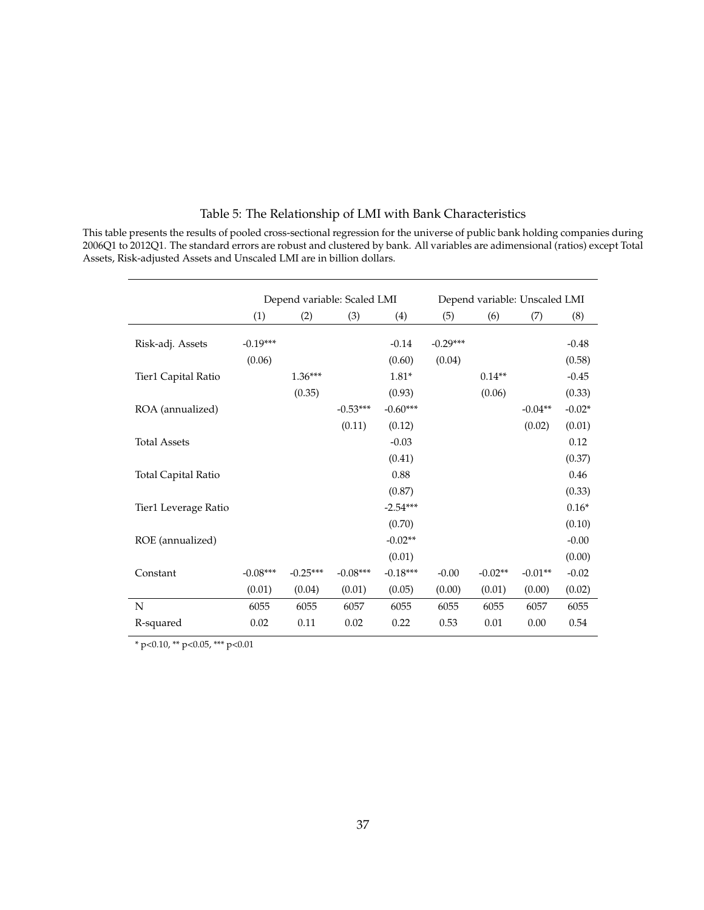|                            |            | Depend variable: Scaled LMI |            |            |            | Depend variable: Unscaled LMI |           |          |
|----------------------------|------------|-----------------------------|------------|------------|------------|-------------------------------|-----------|----------|
|                            | (1)        | (2)                         | (3)        | (4)        | (5)        | (6)                           | (7)       | (8)      |
| Risk-adj. Assets           | $-0.19***$ |                             |            | $-0.14$    | $-0.29***$ |                               |           | $-0.48$  |
|                            | (0.06)     |                             |            | (0.60)     | (0.04)     |                               |           | (0.58)   |
| Tier1 Capital Ratio        |            | $1.36***$                   |            | $1.81*$    |            | $0.14**$                      |           | $-0.45$  |
|                            |            | (0.35)                      |            | (0.93)     |            | (0.06)                        |           | (0.33)   |
| ROA (annualized)           |            |                             | $-0.53***$ | $-0.60***$ |            |                               | $-0.04**$ | $-0.02*$ |
|                            |            |                             | (0.11)     | (0.12)     |            |                               | (0.02)    | (0.01)   |
| <b>Total Assets</b>        |            |                             |            | $-0.03$    |            |                               |           | 0.12     |
|                            |            |                             |            | (0.41)     |            |                               |           | (0.37)   |
| <b>Total Capital Ratio</b> |            |                             |            | 0.88       |            |                               |           | 0.46     |
|                            |            |                             |            | (0.87)     |            |                               |           | (0.33)   |
| Tier1 Leverage Ratio       |            |                             |            | $-2.54***$ |            |                               |           | $0.16*$  |
|                            |            |                             |            | (0.70)     |            |                               |           | (0.10)   |
| ROE (annualized)           |            |                             |            | $-0.02**$  |            |                               |           | $-0.00$  |
|                            |            |                             |            | (0.01)     |            |                               |           | (0.00)   |
| Constant                   | $-0.08***$ | $-0.25***$                  | $-0.08***$ | $-0.18***$ | $-0.00$    | $-0.02**$                     | $-0.01**$ | $-0.02$  |
|                            | (0.01)     | (0.04)                      | (0.01)     | (0.05)     | (0.00)     | (0.01)                        | (0.00)    | (0.02)   |
| $\mathbb N$                | 6055       | 6055                        | 6057       | 6055       | 6055       | 6055                          | 6057      | 6055     |
| R-squared                  | 0.02       | 0.11                        | 0.02       | 0.22       | 0.53       | 0.01                          | 0.00      | 0.54     |

#### <span id="page-38-0"></span>Table 5: The Relationship of LMI with Bank Characteristics

This table presents the results of pooled cross-sectional regression for the universe of public bank holding companies during 2006Q1 to 2012Q1. The standard errors are robust and clustered by bank. All variables are adimensional (ratios) except Total Assets, Risk-adjusted Assets and Unscaled LMI are in billion dollars.

\* p<0.10, \*\* p<0.05, \*\*\* p<0.01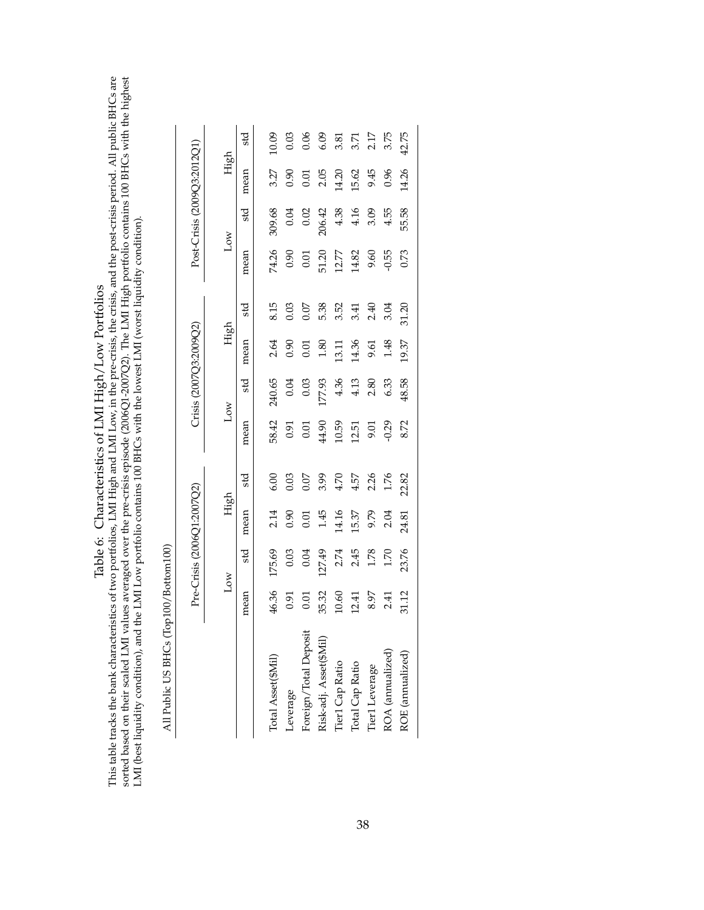Table 6: Characteristics of LMI High/Low Portfolios

<span id="page-39-0"></span>This table tracks the bank characteristics of two portfolios, LMI High MLOW Portfolios<br>sorted based on their scaled LMI values averaged over the pre-crisis episode (2006Q1-2007Q2). The LMI High portfolio contains 100 BHCs This table tracks the bank characteristics of two portfolios, LMI High and LMI Low, in the pre-crisis, the crisis, and the post-crisis period. All public BHCs are sorted based on their scaled LMI values averaged over the pre-crisis episode (2006Q1-2007Q2). The LMI High portfolio contains 100 BHCs with the highest LMI (best liquidity condition), and the LMI Low portfolio contains 100 BHCs with the lowest LMI (worst liquidity condition).

All Public US BHCs (Top100/Bottom100) All Public US BHCs (Top100/Bottom100)

|                        |                                  | Pre-Crisis (2006Q1:2007Q2)                       |       |        |                | Crisis (2007Q3:2009Q2) |       |       |                         | Post-Crisis (2009Q3:2012Q1) |          |                                                     |
|------------------------|----------------------------------|--------------------------------------------------|-------|--------|----------------|------------------------|-------|-------|-------------------------|-----------------------------|----------|-----------------------------------------------------|
|                        |                                  | Low                                              | High  |        |                | Low                    | High  |       |                         | $_{\text{Low}}$             | High     |                                                     |
|                        | mean                             | std                                              | mean  | st     | mean           | std                    | mean  | std   | mean                    | std                         | mean     | std                                                 |
| Total Asset(\$Mil)     | 46.36                            |                                                  | 2.14  | 6.00   | 58.42          | 240.65                 | 2.64  | 8.15  | 74.26                   | 309.68                      | 3.27     | 10.09                                               |
| Leverage               | 0.91                             | 175.69<br>0.03                                   | 0.90  | 0.03   | 0.91           | 0.04                   | 0.90  | 0.03  | 0.90                    | 0.04                        | 0.90     | 0.03                                                |
| Foreign/Total Deposit  | $0.01$<br>$35.32$<br>$10.60$     | 0.04                                             | 0.01  | 0.07   | $0.01\,$       | $0.03\,$               | 0.01  | 0.07  | $0.01\,$                | 0.02                        | $0.01\,$ | 0.06                                                |
| Risk-adj. Asset(\$Mil) |                                  |                                                  | 1.45  | 3.99   | 44.90<br>10.59 | 177.93                 | 1.80  | 5.38  |                         |                             | 2.05     | 6.09                                                |
| Tier1 Cap Ratio        |                                  |                                                  | 14.16 | 4.70   |                | 4.36                   | 13.11 | 3.52  | 51.20<br>12.77<br>14.82 | 206.42<br>4.38              | 14.20    |                                                     |
| Total Cap Ratio        | $12.41$<br>8.97<br>2.41<br>31.12 | $127.49$<br>$2.74$<br>$2.45$<br>$1.78$<br>$1.70$ | 15.37 | 4.57   | 12.51          | 4.13                   | 14.36 | 3.41  |                         | 4.16                        | 15.62    | $\begin{array}{c} 3.81 \\ 3.71 \\ 2.17 \end{array}$ |
| Tier1 Leverage         |                                  |                                                  | 9.79  | 2.26   | 9.01           | 2.80                   | 9.61  | 2.40  | 9.60                    | 3.09                        | 9.45     |                                                     |
| ROA (annualized)       |                                  |                                                  | 2.04  | $1.76$ | 0.29           | 6.33                   | 1.48  | 3.04  | 0.55                    | 4.55                        | 0.96     | 3.75                                                |
| ROE (annualized)       |                                  | 23.76                                            | 24.81 | 22.82  | 8.72           | 18.58                  | 19.37 | 31.20 | 0.73                    | 55.58                       | 14.26    | 42.75                                               |
|                        |                                  |                                                  |       |        |                |                        |       |       |                         |                             |          |                                                     |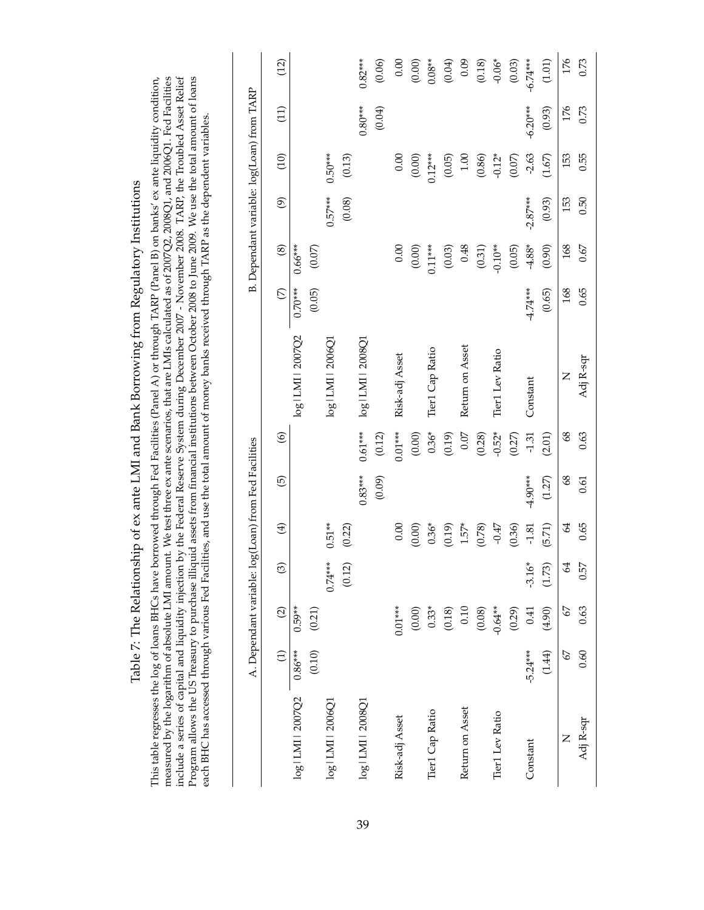<span id="page-40-0"></span>

|                    |             |                         |               |             |                               |           | include a series of capital and liquidity injection by the Federal Reserve System during December 2007 - November 2008. TARP, the Troubled Asset Relief<br>measured by the logarithm of absolute LMI amount. We test three ex ante scenarios, that are LMIs calculated as of 2007Q2, 2008Q1, and 2006Q1. Fed Facilities<br>Program allows the US Treasury to purchase illiquid assets from financial institutions between October 2008 to June 2009. We use the total amount of loans<br>each BHC has accessed through various Fed Facilities, and use the total amount of money banks received through TARP as the dependent variables |                |               |                |           |                                            |            |
|--------------------|-------------|-------------------------|---------------|-------------|-------------------------------|-----------|-----------------------------------------------------------------------------------------------------------------------------------------------------------------------------------------------------------------------------------------------------------------------------------------------------------------------------------------------------------------------------------------------------------------------------------------------------------------------------------------------------------------------------------------------------------------------------------------------------------------------------------------|----------------|---------------|----------------|-----------|--------------------------------------------|------------|
|                    |             | A. Dependant variable:  |               |             | log(Loan) from Fed Facilities |           |                                                                                                                                                                                                                                                                                                                                                                                                                                                                                                                                                                                                                                         |                |               |                |           | B. Dependant variable: log(Loan) from TARP |            |
|                    | $\bigoplus$ | $\widehat{\mathcal{Q}}$ | $\odot$       | $\bigoplus$ | $\widehat{\Theta}$            | $\odot$   |                                                                                                                                                                                                                                                                                                                                                                                                                                                                                                                                                                                                                                         | $\mathfrak{S}$ | $\circledast$ | $\circledcirc$ | (10)      | (11)                                       | (12)       |
| log   LMI   2007Q2 | $0.86***$   | $0.59**$                |               |             |                               |           | log   LMI   2007Q2                                                                                                                                                                                                                                                                                                                                                                                                                                                                                                                                                                                                                      | $0.70***$      | $0.66***$     |                |           |                                            |            |
|                    | (0.10)      | (0.21)                  |               |             |                               |           |                                                                                                                                                                                                                                                                                                                                                                                                                                                                                                                                                                                                                                         | (0.05)         | (0.07)        |                |           |                                            |            |
| log LMI 2006Q1     |             |                         | $0.74***$     | $0.51**$    |                               |           | log   LMI   2006Q1                                                                                                                                                                                                                                                                                                                                                                                                                                                                                                                                                                                                                      |                |               | $0.57***$      | $0.50***$ |                                            |            |
|                    |             |                         | (0.12)        | (0.22)      |                               |           |                                                                                                                                                                                                                                                                                                                                                                                                                                                                                                                                                                                                                                         |                |               | (0.08)         | (0.13)    |                                            |            |
| log LMI 2008Q1     |             |                         |               |             | $0.83***$                     | $0.61***$ | log   LMI   2008Q1                                                                                                                                                                                                                                                                                                                                                                                                                                                                                                                                                                                                                      |                |               |                |           | $0.80***$                                  | $0.82***$  |
|                    |             |                         |               |             | (0.09)                        | (0.12)    |                                                                                                                                                                                                                                                                                                                                                                                                                                                                                                                                                                                                                                         |                |               |                |           | (0.04)                                     | (0.06)     |
| Risk-adj Asset     |             | $0.01***$               |               | 0.00        |                               | $0.01***$ | Risk-adj Asset                                                                                                                                                                                                                                                                                                                                                                                                                                                                                                                                                                                                                          |                | 0.00          |                | 0.00      |                                            | 0.00       |
|                    |             | (0.00)                  |               | (0.00)      |                               | (0.00)    |                                                                                                                                                                                                                                                                                                                                                                                                                                                                                                                                                                                                                                         |                | (0.00)        |                | (0.00)    |                                            | (0.00)     |
| Tier1 Cap Ratio    |             | $0.33*$                 |               | $0.36*$     |                               | $0.36*$   | Tier1 Cap Ratio                                                                                                                                                                                                                                                                                                                                                                                                                                                                                                                                                                                                                         |                | $0.11***$     |                | $0.12***$ |                                            | $0.08**$   |
|                    |             | (0.18)                  |               | (0.19)      |                               | (0.19)    |                                                                                                                                                                                                                                                                                                                                                                                                                                                                                                                                                                                                                                         |                | (0.03)        |                | (0.05)    |                                            | (0.04)     |
| Return on Asset    |             | 0.10                    |               | $1.57*$     |                               | 0.07      | Return on Asset                                                                                                                                                                                                                                                                                                                                                                                                                                                                                                                                                                                                                         |                | 0.48          |                | $1.00\,$  |                                            | 0.09       |
|                    |             | (0.08)                  |               | (0.78)      |                               | (0.28)    |                                                                                                                                                                                                                                                                                                                                                                                                                                                                                                                                                                                                                                         |                | (0.31)        |                | (0.86)    |                                            | (0.18)     |
| Tier1 Lev Ratio    |             | $-0.64**$               |               | $-0.47$     |                               | $-0.52*$  | Tier1 Lev Ratio                                                                                                                                                                                                                                                                                                                                                                                                                                                                                                                                                                                                                         |                | $-0.10**$     |                | $-0.12*$  |                                            | $-0.06*$   |
|                    |             | (0.29)                  |               | (0.36)      |                               | (0.27)    |                                                                                                                                                                                                                                                                                                                                                                                                                                                                                                                                                                                                                                         |                | (0.05)        |                | (0.07)    |                                            | (0.03)     |
| Constant           | $-5.24***$  | 0.41                    | $-3.16*$      | $-1.81$     | $-4.90***$                    | $-1.31$   | Constant                                                                                                                                                                                                                                                                                                                                                                                                                                                                                                                                                                                                                                | $-4.74***$     | $-4.88*$      | $-2.87***$     | $-2.63$   | $-6.20***$                                 | $-6.74***$ |
|                    | (1.44)      | (4.90)                  | (1.73)        | (5.71)      | (1.27)                        | (2.01)    |                                                                                                                                                                                                                                                                                                                                                                                                                                                                                                                                                                                                                                         | (0.65)         | (0.90)        | (0.93)         | (1.67)    | (0.93)                                     | (1.01)     |
| Z                  | 2           | 2                       | $\mathcal{L}$ | \$4         | 89                            | 89        | Z                                                                                                                                                                                                                                                                                                                                                                                                                                                                                                                                                                                                                                       | 168            | 168           | 153            | 153       | 176                                        | 176        |

Adj R-sqr 0.60 0.63 0.57 0.65 0.61 0.63 Adj R-sqr 0.65 0.67 0.50 0.55 0.73 0.73

0.63

 $0.61$ 

 $0.65$ 

 $0.57$ 

0.63

 $0.60$ 

Adj R-sqr

Adj R-sqr

 $0.73$ 

 $0.73$ 

 $0.55$ 

 $0.50$ 

 $0.67$ 

 $0.65$ 

Table 7: The Relationship of ex ante LMI and Bank Borrowing from Regulatory Institutions Table 7: The Relationship of ex ante LMI and Bank Borrowing from Regulatory Institutions This table regresses the log of loans BHCs have borrowed through Fed Facilities (Panel A) or through TARP (Panel B) on banks' ex ante liquidity condition, measured by the logarithm of absolute LMI amount. We test three ex ante scenarios, that are LMIs calculated as of 2007Q2, 2008Q1, and 2006Q1. Fed Facilities include a series of capital and liquidity injection by the Federal Reserve System during December 2007 - November 2008. TARP, the Troubled Asset Relief

This table regresses the log of loans BHCs have borrowed through Fed Facilities (Panel A) or through TARP (Panel B) on banks' ex ante liquidity condition,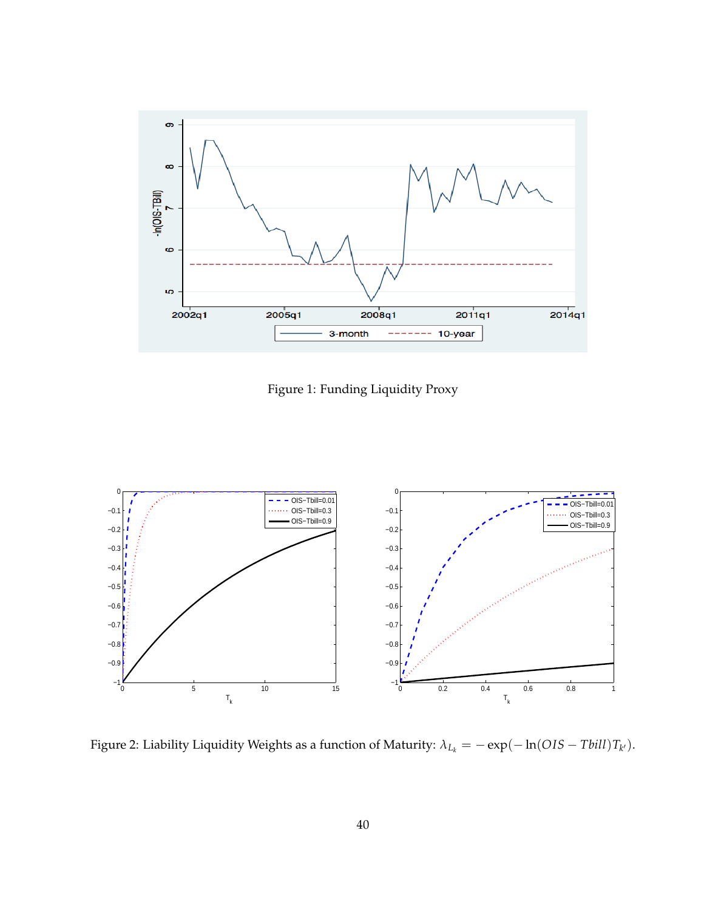

<span id="page-41-0"></span>Figure 1: Funding Liquidity Proxy



<span id="page-41-1"></span>Figure 2: Liability Liquidity Weights as a function of Maturity:  $\lambda_{L_k} = -\exp(-\ln(OIS - Tbill)T_{k'}).$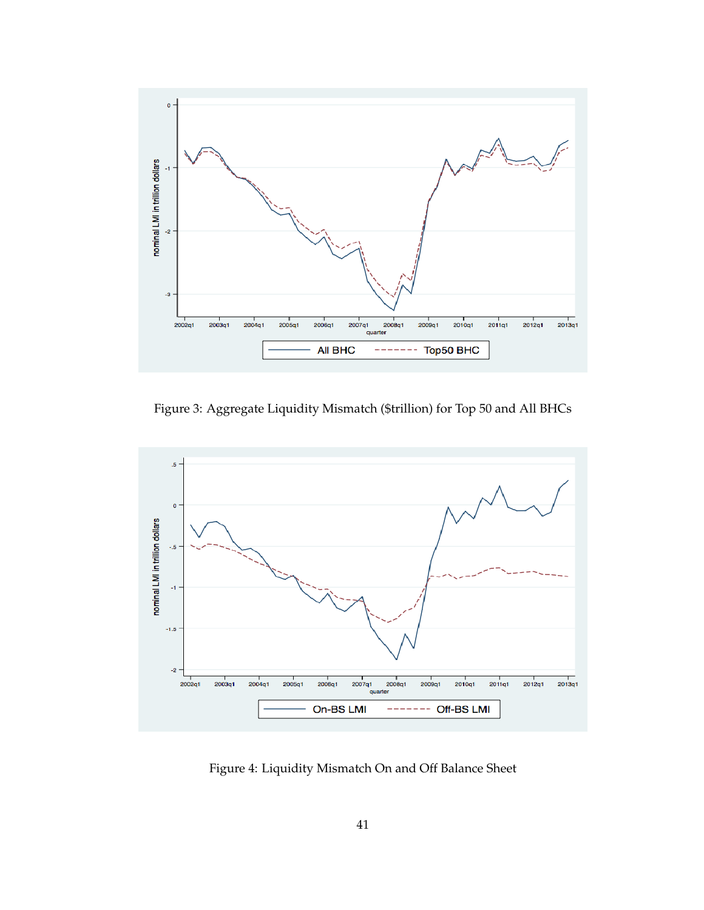

<span id="page-42-0"></span>Figure 3: Aggregate Liquidity Mismatch (\$trillion) for Top 50 and All BHCs



<span id="page-42-1"></span>Figure 4: Liquidity Mismatch On and Off Balance Sheet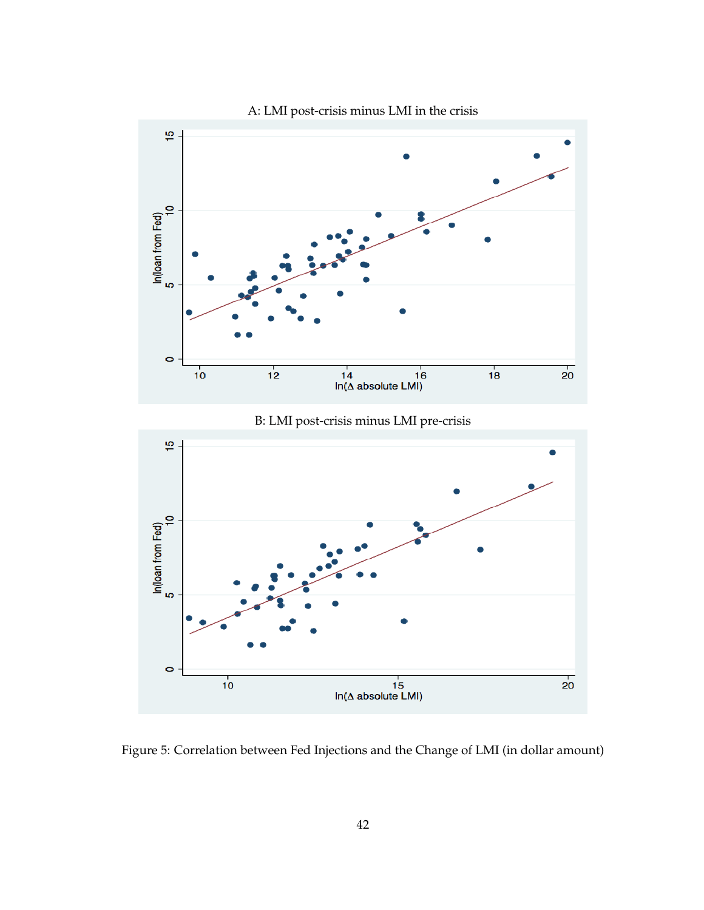

<span id="page-43-0"></span>Figure 5: Correlation between Fed Injections and the Change of LMI (in dollar amount)

 $\begin{array}{c}\n1\overset{\mathstrut\phantom{1}}{5}\n\end{array}$  In<br>( $\Delta$  absolute LMI)

 $\overline{20}$ 

 $\circ$ 

 $10$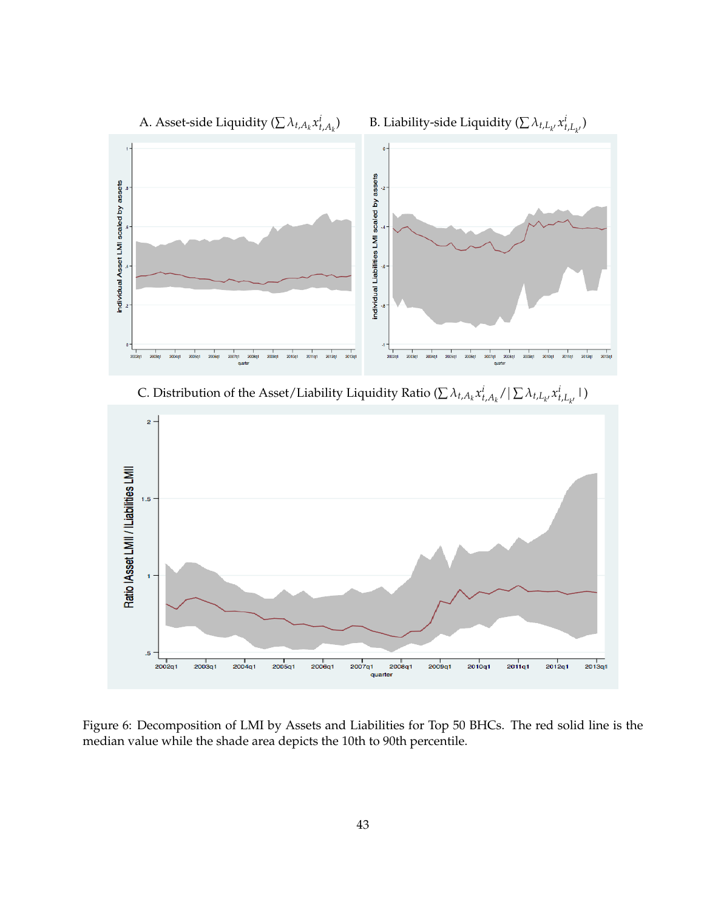

C. Distribution of the Asset/Liability Liquidity Ratio ( $\sum \lambda_{t,A_k} x_{t,A_k}^i/|\sum \lambda_{t,L_{k'}} x_{t,L_{k'}}^i|)$ 



<span id="page-44-0"></span>Figure 6: Decomposition of LMI by Assets and Liabilities for Top 50 BHCs. The red solid line is the median value while the shade area depicts the 10th to 90th percentile.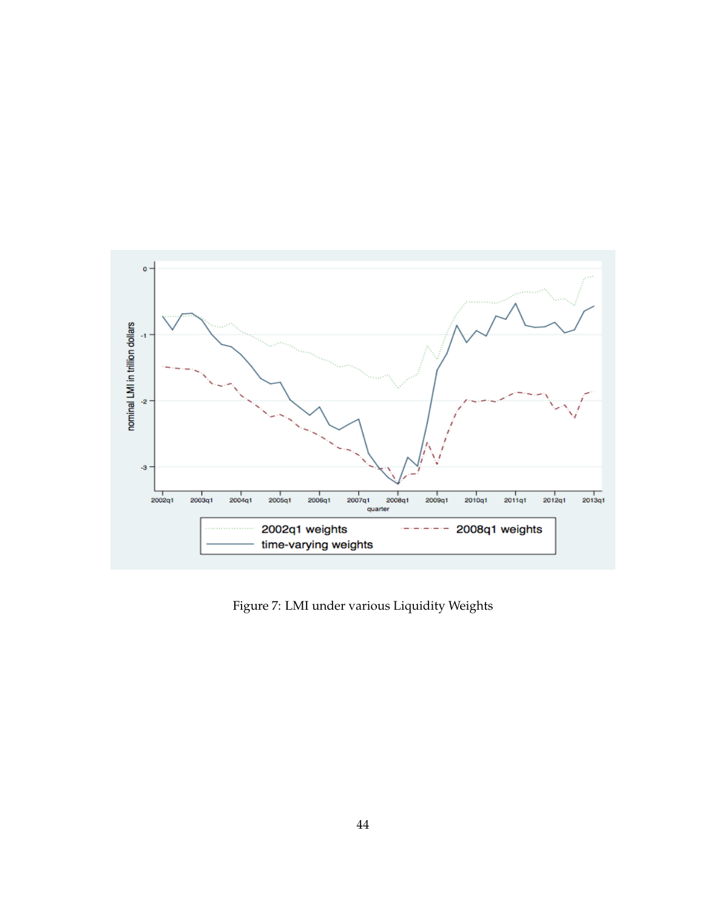

<span id="page-45-0"></span>Figure 7: LMI under various Liquidity Weights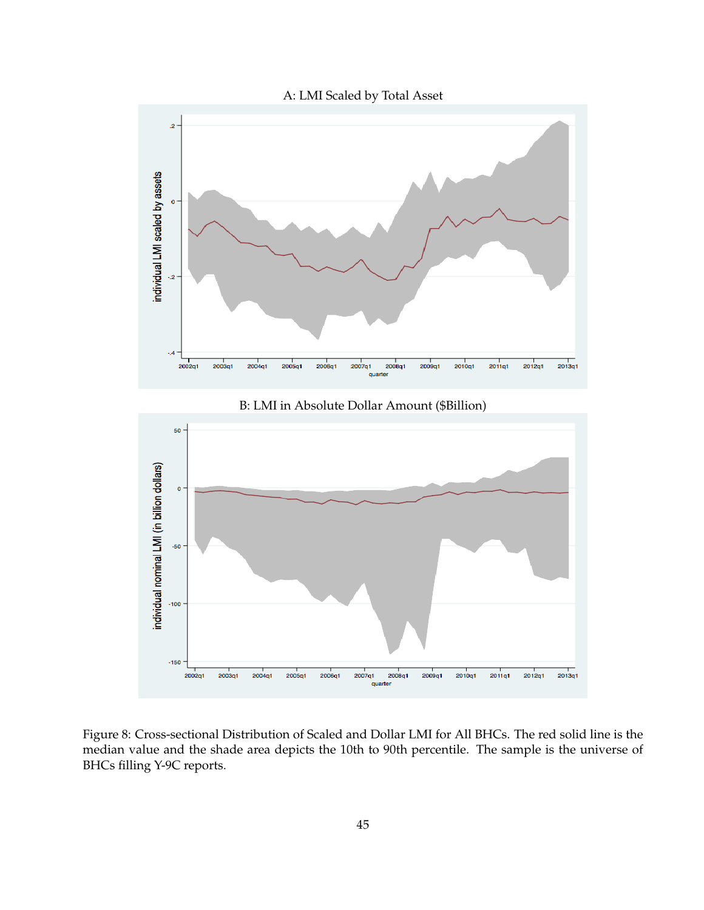



B: LMI in Absolute Dollar Amount (\$Billion)



<span id="page-46-0"></span>Figure 8: Cross-sectional Distribution of Scaled and Dollar LMI for All BHCs. The red solid line is the median value and the shade area depicts the 10th to 90th percentile. The sample is the universe of BHCs filling Y-9C reports.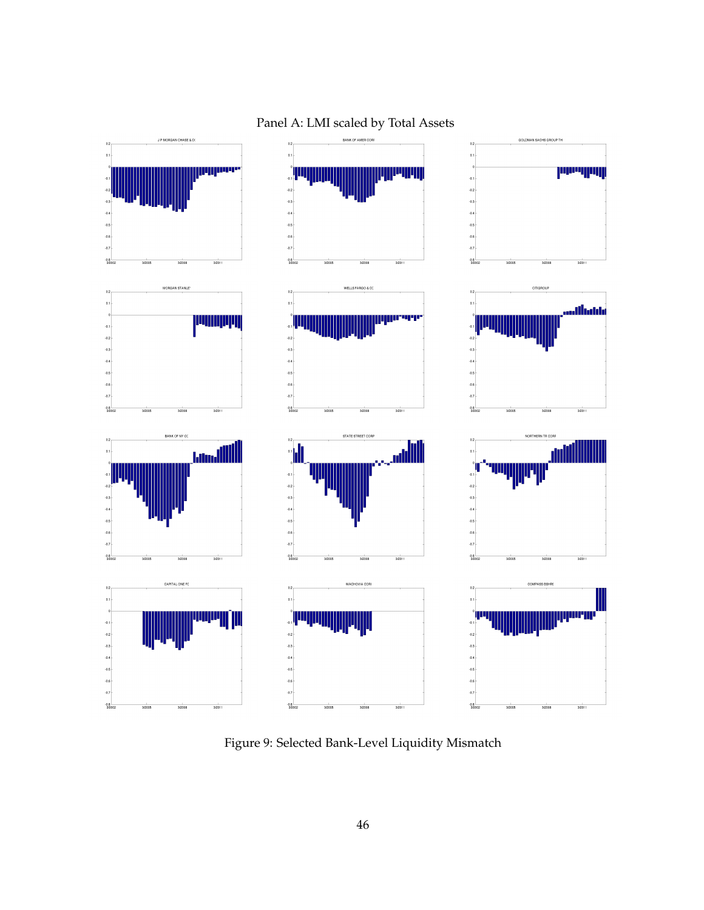

Panel A: LMI scaled by Total Assets

<span id="page-47-0"></span>Figure 9: Selected Bank-Level Liquidity Mismatch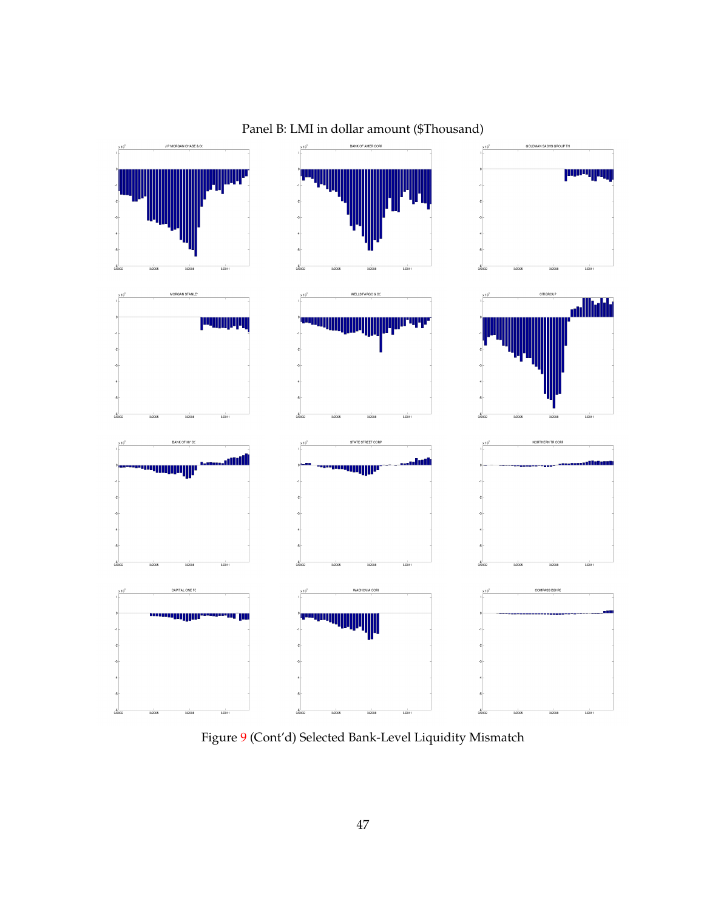

Panel B: LMI in dollar amount (\$Thousand)

Figure [9](#page-47-0) (Cont'd) Selected Bank-Level Liquidity Mismatch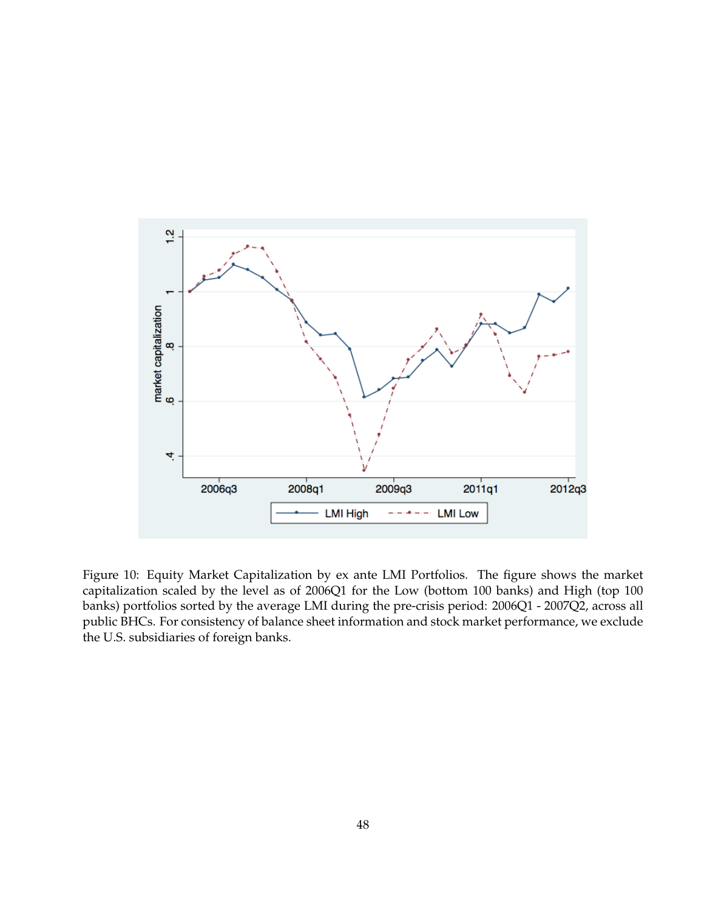

<span id="page-49-0"></span>Figure 10: Equity Market Capitalization by ex ante LMI Portfolios. The figure shows the market capitalization scaled by the level as of 2006Q1 for the Low (bottom 100 banks) and High (top 100 banks) portfolios sorted by the average LMI during the pre-crisis period: 2006Q1 - 2007Q2, across all public BHCs. For consistency of balance sheet information and stock market performance, we exclude the U.S. subsidiaries of foreign banks.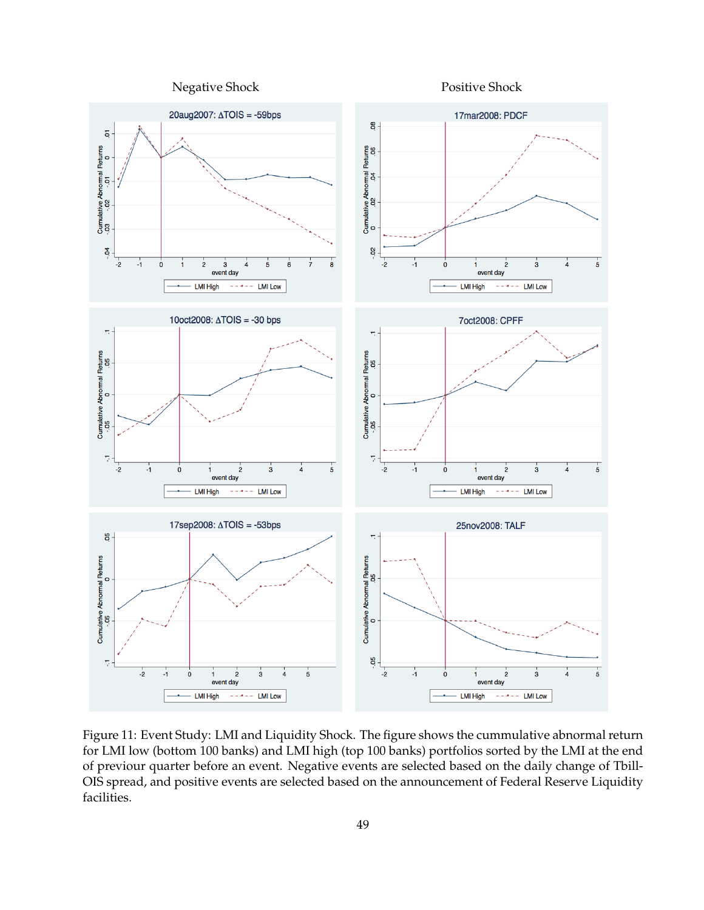Negative Shock Positive Shock



<span id="page-50-0"></span>Figure 11: Event Study: LMI and Liquidity Shock. The figure shows the cummulative abnormal return for LMI low (bottom 100 banks) and LMI high (top 100 banks) portfolios sorted by the LMI at the end of previour quarter before an event. Negative events are selected based on the daily change of Tbill-OIS spread, and positive events are selected based on the announcement of Federal Reserve Liquidity facilities.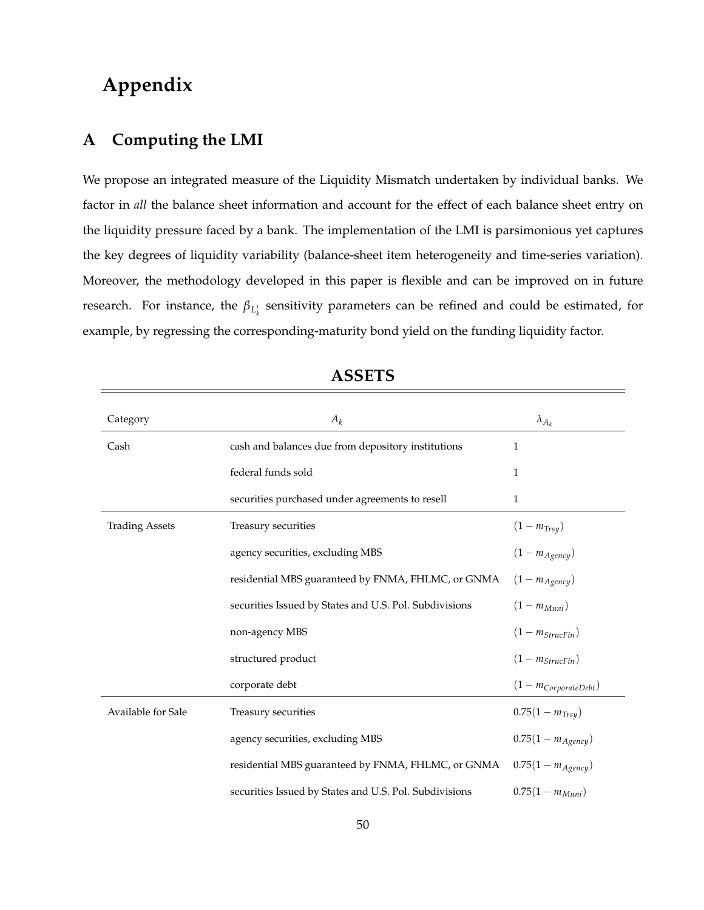# **Appendix**

# <span id="page-51-0"></span>**A Computing the LMI**

We propose an integrated measure of the Liquidity Mismatch undertaken by individual banks. We factor in *all* the balance sheet information and account for the effect of each balance sheet entry on the liquidity pressure faced by a bank. The implementation of the LMI is parsimonious yet captures the key degrees of liquidity variability (balance-sheet item heterogeneity and time-series variation). Moreover, the methodology developed in this paper is flexible and can be improved on in future research. For instance, the  $\beta_{L_k'}$  sensitivity parameters can be refined and could be estimated, for example, by regressing the corresponding-maturity bond yield on the funding liquidity factor.

| Category              | $A_k$                                                  | $\lambda_{A_k}$           |
|-----------------------|--------------------------------------------------------|---------------------------|
| Cash                  | cash and balances due from depository institutions     | 1                         |
|                       | federal funds sold                                     | 1                         |
|                       | securities purchased under agreements to resell        | $\mathbf{1}$              |
| <b>Trading Assets</b> | Treasury securities                                    | $(1 - m_{Trsy})$          |
|                       | agency securities, excluding MBS                       | $(1 - m_{Agency})$        |
|                       | residential MBS guaranteed by FNMA, FHLMC, or GNMA     | $(1 - m_{A\text{gency}})$ |
|                       | securities Issued by States and U.S. Pol. Subdivisions | $(1 - m_{Muni})$          |
|                       | non-agency MBS                                         | $(1 - m_{StrucFin})$      |
|                       | structured product                                     | $(1 - m_{StrucFin})$      |
|                       | corporate debt                                         | $(1 - m_{CorporateDebt})$ |
| Available for Sale    | Treasury securities                                    | $0.75(1 - m_{Trsy})$      |
|                       | agency securities, excluding MBS                       | $0.75(1 - m_{Agency})$    |
|                       | residential MBS guaranteed by FNMA, FHLMC, or GNMA     | $0.75(1 - m_{Agency})$    |
|                       | securities Issued by States and U.S. Pol. Subdivisions | $0.75(1 - m_{Muni})$      |

# **ASSETS**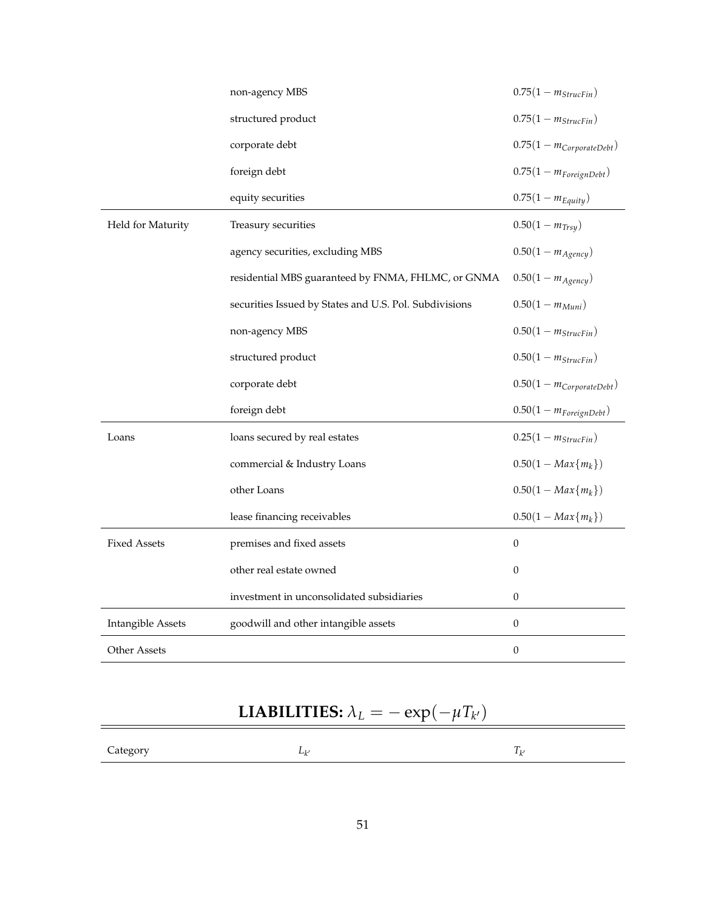|                          | non-agency MBS                                         | $0.75(1 - m_{StrucFin})$           |
|--------------------------|--------------------------------------------------------|------------------------------------|
|                          | structured product                                     | $0.75(1 - m_{StrucFin})$           |
|                          | corporate debt                                         | $0.75(1 - m_{CorporateDebt})$      |
|                          | foreign debt                                           | $0.75(1 - m_{\text{ForeignDebt}})$ |
|                          | equity securities                                      | $0.75(1 - m_{Equity})$             |
| Held for Maturity        | Treasury securities                                    | $0.50(1 - m_{Trsy})$               |
|                          | agency securities, excluding MBS                       | $0.50(1 - m_{Agency})$             |
|                          | residential MBS guaranteed by FNMA, FHLMC, or GNMA     | $0.50(1 - m_{Agency})$             |
|                          | securities Issued by States and U.S. Pol. Subdivisions | $0.50(1 - m_{Muni})$               |
|                          | non-agency MBS                                         | $0.50(1 - m_{StrucFin})$           |
|                          | structured product                                     | $0.50(1 - m_{StrucFin})$           |
|                          | corporate debt                                         | $0.50(1-m_{CorporateDebt})$        |
|                          | foreign debt                                           | $0.50(1 - m_{\text{ForeignDebt}})$ |
| Loans                    | loans secured by real estates                          | $0.25(1 - m_{StrucFin})$           |
|                          | commercial & Industry Loans                            | $0.50(1 - Max{m_k})$               |
|                          | other Loans                                            | $0.50(1 - Max{m_k})$               |
|                          | lease financing receivables                            | $0.50(1 - Max{m_k})$               |
| <b>Fixed Assets</b>      | premises and fixed assets                              | $\boldsymbol{0}$                   |
|                          | other real estate owned                                | $\Omega$                           |
|                          | investment in unconsolidated subsidiaries              | $\mathbf{0}$                       |
| <b>Intangible Assets</b> | goodwill and other intangible assets                   | $\theta$                           |
| <b>Other Assets</b>      |                                                        | $\boldsymbol{0}$                   |

# **LIABILITIES:**  $\lambda_L = -\exp(-\mu T_{k'})$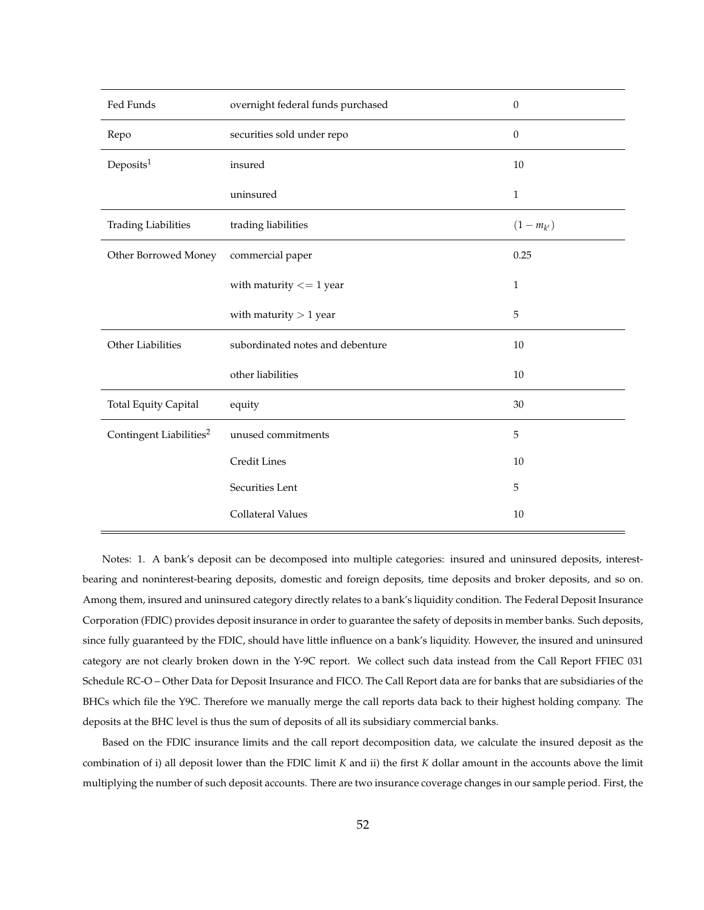| Fed Funds                           | overnight federal funds purchased | $\boldsymbol{0}$ |  |
|-------------------------------------|-----------------------------------|------------------|--|
| Repo                                | securities sold under repo        | $\mathbf{0}$     |  |
| Deposits <sup>1</sup>               | insured                           | 10               |  |
|                                     | uninsured                         | $\mathbf{1}$     |  |
| <b>Trading Liabilities</b>          | trading liabilities               | $(1 - m_{k'})$   |  |
| Other Borrowed Money                | commercial paper                  | 0.25             |  |
|                                     | with maturity $<= 1$ year         | $\mathbf{1}$     |  |
|                                     | with maturity $> 1$ year          | 5                |  |
| Other Liabilities                   | subordinated notes and debenture  | 10               |  |
|                                     | other liabilities                 | 10               |  |
| <b>Total Equity Capital</b>         | equity                            | $30\,$           |  |
| Contingent Liabilities <sup>2</sup> | unused commitments                | 5                |  |
|                                     | Credit Lines                      | 10               |  |
|                                     | Securities Lent                   | 5                |  |
|                                     | Collateral Values                 | 10               |  |

Notes: 1. A bank's deposit can be decomposed into multiple categories: insured and uninsured deposits, interestbearing and noninterest-bearing deposits, domestic and foreign deposits, time deposits and broker deposits, and so on. Among them, insured and uninsured category directly relates to a bank's liquidity condition. The Federal Deposit Insurance Corporation (FDIC) provides deposit insurance in order to guarantee the safety of deposits in member banks. Such deposits, since fully guaranteed by the FDIC, should have little influence on a bank's liquidity. However, the insured and uninsured category are not clearly broken down in the Y-9C report. We collect such data instead from the Call Report FFIEC 031 Schedule RC-O – Other Data for Deposit Insurance and FICO. The Call Report data are for banks that are subsidiaries of the BHCs which file the Y9C. Therefore we manually merge the call reports data back to their highest holding company. The deposits at the BHC level is thus the sum of deposits of all its subsidiary commercial banks.

Based on the FDIC insurance limits and the call report decomposition data, we calculate the insured deposit as the combination of i) all deposit lower than the FDIC limit *K* and ii) the first *K* dollar amount in the accounts above the limit multiplying the number of such deposit accounts. There are two insurance coverage changes in our sample period. First, the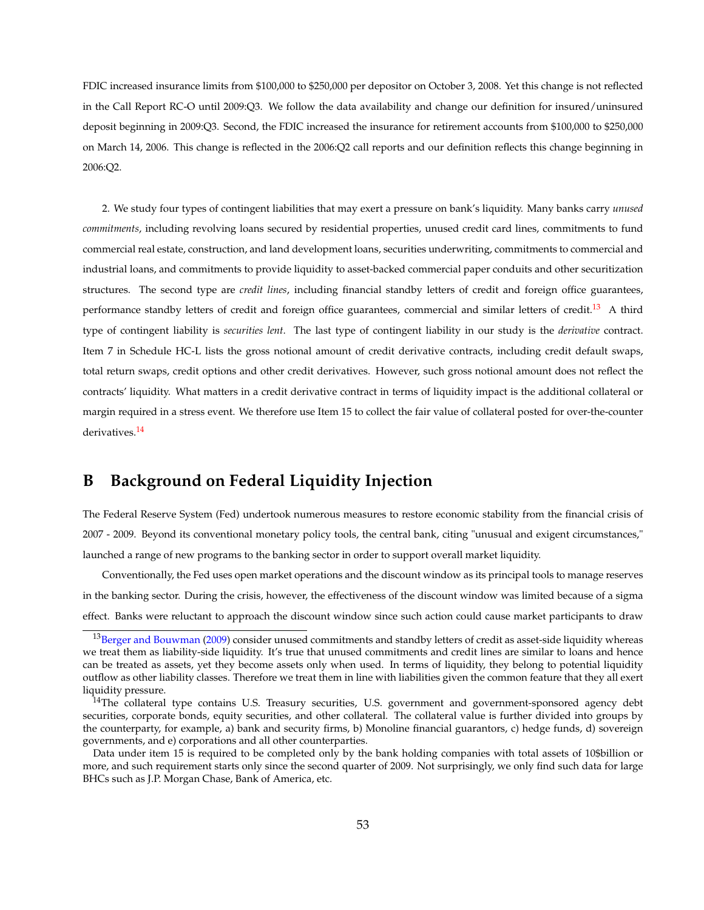FDIC increased insurance limits from \$100,000 to \$250,000 per depositor on October 3, 2008. Yet this change is not reflected in the Call Report RC-O until 2009:Q3. We follow the data availability and change our definition for insured/uninsured deposit beginning in 2009:Q3. Second, the FDIC increased the insurance for retirement accounts from \$100,000 to \$250,000 on March 14, 2006. This change is reflected in the 2006:Q2 call reports and our definition reflects this change beginning in 2006:Q2.

2. We study four types of contingent liabilities that may exert a pressure on bank's liquidity. Many banks carry *unused commitments*, including revolving loans secured by residential properties, unused credit card lines, commitments to fund commercial real estate, construction, and land development loans, securities underwriting, commitments to commercial and industrial loans, and commitments to provide liquidity to asset-backed commercial paper conduits and other securitization structures. The second type are *credit lines*, including financial standby letters of credit and foreign office guarantees, performance standby letters of credit and foreign office guarantees, commercial and similar letters of credit.<sup>[13](#page-0-0)</sup> A third type of contingent liability is *securities lent*. The last type of contingent liability in our study is the *derivative* contract. Item 7 in Schedule HC-L lists the gross notional amount of credit derivative contracts, including credit default swaps, total return swaps, credit options and other credit derivatives. However, such gross notional amount does not reflect the contracts' liquidity. What matters in a credit derivative contract in terms of liquidity impact is the additional collateral or margin required in a stress event. We therefore use Item 15 to collect the fair value of collateral posted for over-the-counter derivatives.[14](#page-0-0)

# <span id="page-54-0"></span>**B Background on Federal Liquidity Injection**

The Federal Reserve System (Fed) undertook numerous measures to restore economic stability from the financial crisis of 2007 - 2009. Beyond its conventional monetary policy tools, the central bank, citing "unusual and exigent circumstances," launched a range of new programs to the banking sector in order to support overall market liquidity.

Conventionally, the Fed uses open market operations and the discount window as its principal tools to manage reserves in the banking sector. During the crisis, however, the effectiveness of the discount window was limited because of a sigma effect. Banks were reluctant to approach the discount window since such action could cause market participants to draw

<sup>&</sup>lt;sup>13</sup>[Berger and Bouwman](#page-31-4) [\(2009\)](#page-31-4) consider unused commitments and standby letters of credit as asset-side liquidity whereas we treat them as liability-side liquidity. It's true that unused commitments and credit lines are similar to loans and hence can be treated as assets, yet they become assets only when used. In terms of liquidity, they belong to potential liquidity outflow as other liability classes. Therefore we treat them in line with liabilities given the common feature that they all exert liquidity pressure.

<sup>&</sup>lt;sup>14</sup>The collateral type contains U.S. Treasury securities, U.S. government and government-sponsored agency debt securities, corporate bonds, equity securities, and other collateral. The collateral value is further divided into groups by the counterparty, for example, a) bank and security firms, b) Monoline financial guarantors, c) hedge funds, d) sovereign governments, and e) corporations and all other counterparties.

Data under item 15 is required to be completed only by the bank holding companies with total assets of 10\$billion or more, and such requirement starts only since the second quarter of 2009. Not surprisingly, we only find such data for large BHCs such as J.P. Morgan Chase, Bank of America, etc.